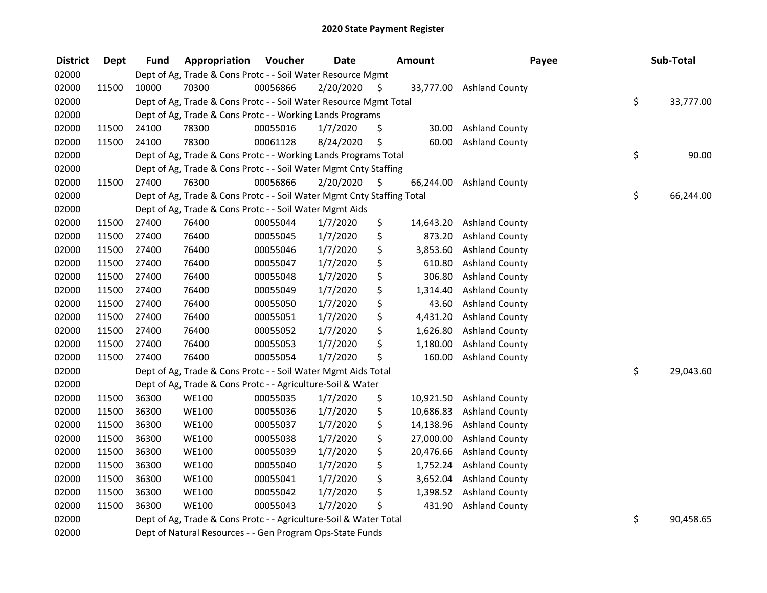| <b>District</b> | <b>Dept</b> | <b>Fund</b> | Appropriation                                                          | Voucher  | <b>Date</b> |      | <b>Amount</b> | Payee                    | Sub-Total       |
|-----------------|-------------|-------------|------------------------------------------------------------------------|----------|-------------|------|---------------|--------------------------|-----------------|
| 02000           |             |             | Dept of Ag, Trade & Cons Protc - - Soil Water Resource Mgmt            |          |             |      |               |                          |                 |
| 02000           | 11500       | 10000       | 70300                                                                  | 00056866 | 2/20/2020   | \$.  |               | 33,777.00 Ashland County |                 |
| 02000           |             |             | Dept of Ag, Trade & Cons Protc - - Soil Water Resource Mgmt Total      |          |             |      |               |                          | \$<br>33,777.00 |
| 02000           |             |             | Dept of Ag, Trade & Cons Protc - - Working Lands Programs              |          |             |      |               |                          |                 |
| 02000           | 11500       | 24100       | 78300                                                                  | 00055016 | 1/7/2020    | \$   | 30.00         | <b>Ashland County</b>    |                 |
| 02000           | 11500       | 24100       | 78300                                                                  | 00061128 | 8/24/2020   | \$   | 60.00         | <b>Ashland County</b>    |                 |
| 02000           |             |             | Dept of Ag, Trade & Cons Protc - - Working Lands Programs Total        |          |             |      |               |                          | \$<br>90.00     |
| 02000           |             |             | Dept of Ag, Trade & Cons Protc - - Soil Water Mgmt Cnty Staffing       |          |             |      |               |                          |                 |
| 02000           | 11500       | 27400       | 76300                                                                  | 00056866 | 2/20/2020   | - \$ | 66,244.00     | <b>Ashland County</b>    |                 |
| 02000           |             |             | Dept of Ag, Trade & Cons Protc - - Soil Water Mgmt Cnty Staffing Total |          |             |      |               |                          | \$<br>66,244.00 |
| 02000           |             |             | Dept of Ag, Trade & Cons Protc - - Soil Water Mgmt Aids                |          |             |      |               |                          |                 |
| 02000           | 11500       | 27400       | 76400                                                                  | 00055044 | 1/7/2020    | \$   | 14,643.20     | <b>Ashland County</b>    |                 |
| 02000           | 11500       | 27400       | 76400                                                                  | 00055045 | 1/7/2020    | \$   | 873.20        | <b>Ashland County</b>    |                 |
| 02000           | 11500       | 27400       | 76400                                                                  | 00055046 | 1/7/2020    | \$   | 3,853.60      | <b>Ashland County</b>    |                 |
| 02000           | 11500       | 27400       | 76400                                                                  | 00055047 | 1/7/2020    | \$   | 610.80        | <b>Ashland County</b>    |                 |
| 02000           | 11500       | 27400       | 76400                                                                  | 00055048 | 1/7/2020    | \$   | 306.80        | <b>Ashland County</b>    |                 |
| 02000           | 11500       | 27400       | 76400                                                                  | 00055049 | 1/7/2020    | \$   | 1,314.40      | <b>Ashland County</b>    |                 |
| 02000           | 11500       | 27400       | 76400                                                                  | 00055050 | 1/7/2020    | \$   | 43.60         | <b>Ashland County</b>    |                 |
| 02000           | 11500       | 27400       | 76400                                                                  | 00055051 | 1/7/2020    | \$   | 4,431.20      | <b>Ashland County</b>    |                 |
| 02000           | 11500       | 27400       | 76400                                                                  | 00055052 | 1/7/2020    | \$   | 1,626.80      | <b>Ashland County</b>    |                 |
| 02000           | 11500       | 27400       | 76400                                                                  | 00055053 | 1/7/2020    | \$   | 1,180.00      | <b>Ashland County</b>    |                 |
| 02000           | 11500       | 27400       | 76400                                                                  | 00055054 | 1/7/2020    | \$   | 160.00        | <b>Ashland County</b>    |                 |
| 02000           |             |             | Dept of Ag, Trade & Cons Protc - - Soil Water Mgmt Aids Total          |          |             |      |               |                          | \$<br>29,043.60 |
| 02000           |             |             | Dept of Ag, Trade & Cons Protc - - Agriculture-Soil & Water            |          |             |      |               |                          |                 |
| 02000           | 11500       | 36300       | <b>WE100</b>                                                           | 00055035 | 1/7/2020    | \$   | 10,921.50     | <b>Ashland County</b>    |                 |
| 02000           | 11500       | 36300       | <b>WE100</b>                                                           | 00055036 | 1/7/2020    | \$   | 10,686.83     | <b>Ashland County</b>    |                 |
| 02000           | 11500       | 36300       | <b>WE100</b>                                                           | 00055037 | 1/7/2020    | \$   | 14,138.96     | <b>Ashland County</b>    |                 |
| 02000           | 11500       | 36300       | <b>WE100</b>                                                           | 00055038 | 1/7/2020    | \$   | 27,000.00     | <b>Ashland County</b>    |                 |
| 02000           | 11500       | 36300       | <b>WE100</b>                                                           | 00055039 | 1/7/2020    | \$   | 20,476.66     | <b>Ashland County</b>    |                 |
| 02000           | 11500       | 36300       | <b>WE100</b>                                                           | 00055040 | 1/7/2020    | \$   | 1,752.24      | <b>Ashland County</b>    |                 |
| 02000           | 11500       | 36300       | <b>WE100</b>                                                           | 00055041 | 1/7/2020    | \$   | 3,652.04      | <b>Ashland County</b>    |                 |
| 02000           | 11500       | 36300       | <b>WE100</b>                                                           | 00055042 | 1/7/2020    | \$   | 1,398.52      | <b>Ashland County</b>    |                 |
| 02000           | 11500       | 36300       | <b>WE100</b>                                                           | 00055043 | 1/7/2020    | \$   | 431.90        | <b>Ashland County</b>    |                 |
| 02000           |             |             | Dept of Ag, Trade & Cons Protc - - Agriculture-Soil & Water Total      |          |             |      |               |                          | \$<br>90,458.65 |
| 02000           |             |             | Dept of Natural Resources - - Gen Program Ops-State Funds              |          |             |      |               |                          |                 |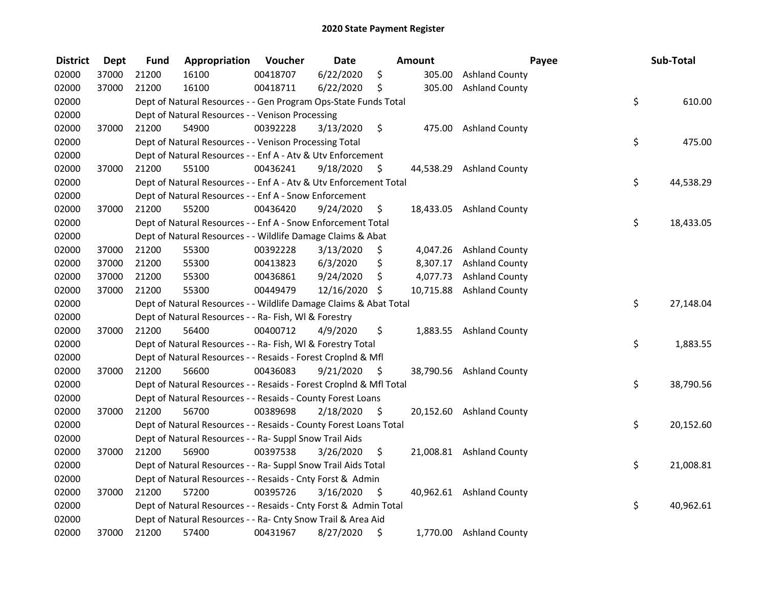| <b>District</b> | <b>Dept</b> | <b>Fund</b> | Appropriation                                                      | Voucher  | <b>Date</b>   |      | Amount    |                          | Payee | Sub-Total |
|-----------------|-------------|-------------|--------------------------------------------------------------------|----------|---------------|------|-----------|--------------------------|-------|-----------|
| 02000           | 37000       | 21200       | 16100                                                              | 00418707 | 6/22/2020     | \$   | 305.00    | <b>Ashland County</b>    |       |           |
| 02000           | 37000       | 21200       | 16100                                                              | 00418711 | 6/22/2020     | \$   | 305.00    | <b>Ashland County</b>    |       |           |
| 02000           |             |             | Dept of Natural Resources - - Gen Program Ops-State Funds Total    |          |               |      |           |                          | \$    | 610.00    |
| 02000           |             |             | Dept of Natural Resources - - Venison Processing                   |          |               |      |           |                          |       |           |
| 02000           | 37000       | 21200       | 54900                                                              | 00392228 | 3/13/2020     | \$   | 475.00    | <b>Ashland County</b>    |       |           |
| 02000           |             |             | Dept of Natural Resources - - Venison Processing Total             |          |               |      |           |                          | \$    | 475.00    |
| 02000           |             |             | Dept of Natural Resources - - Enf A - Atv & Utv Enforcement        |          |               |      |           |                          |       |           |
| 02000           | 37000       | 21200       | 55100                                                              | 00436241 | 9/18/2020     | -\$  |           | 44,538.29 Ashland County |       |           |
| 02000           |             |             | Dept of Natural Resources - - Enf A - Atv & Utv Enforcement Total  |          |               |      |           |                          | \$    | 44,538.29 |
| 02000           |             |             | Dept of Natural Resources - - Enf A - Snow Enforcement             |          |               |      |           |                          |       |           |
| 02000           | 37000       | 21200       | 55200                                                              | 00436420 | 9/24/2020     | \$   |           | 18,433.05 Ashland County |       |           |
| 02000           |             |             | Dept of Natural Resources - - Enf A - Snow Enforcement Total       |          |               |      |           |                          | \$    | 18,433.05 |
| 02000           |             |             | Dept of Natural Resources - - Wildlife Damage Claims & Abat        |          |               |      |           |                          |       |           |
| 02000           | 37000       | 21200       | 55300                                                              | 00392228 | 3/13/2020     | \$.  | 4,047.26  | <b>Ashland County</b>    |       |           |
| 02000           | 37000       | 21200       | 55300                                                              | 00413823 | 6/3/2020      | \$   | 8,307.17  | <b>Ashland County</b>    |       |           |
| 02000           | 37000       | 21200       | 55300                                                              | 00436861 | 9/24/2020     | \$   | 4,077.73  | <b>Ashland County</b>    |       |           |
| 02000           | 37000       | 21200       | 55300                                                              | 00449479 | 12/16/2020 \$ |      | 10,715.88 | <b>Ashland County</b>    |       |           |
| 02000           |             |             | Dept of Natural Resources - - Wildlife Damage Claims & Abat Total  |          |               |      |           |                          | \$    | 27,148.04 |
| 02000           |             |             | Dept of Natural Resources - - Ra- Fish, WI & Forestry              |          |               |      |           |                          |       |           |
| 02000           | 37000       | 21200       | 56400                                                              | 00400712 | 4/9/2020      | \$   |           | 1,883.55 Ashland County  |       |           |
| 02000           |             |             | Dept of Natural Resources - - Ra- Fish, WI & Forestry Total        |          |               |      |           |                          | \$    | 1,883.55  |
| 02000           |             |             | Dept of Natural Resources - - Resaids - Forest Croplnd & Mfl       |          |               |      |           |                          |       |           |
| 02000           | 37000       | 21200       | 56600                                                              | 00436083 | 9/21/2020     | S    |           | 38,790.56 Ashland County |       |           |
| 02000           |             |             | Dept of Natural Resources - - Resaids - Forest CropInd & Mfl Total |          |               |      |           |                          | \$    | 38,790.56 |
| 02000           |             |             | Dept of Natural Resources - - Resaids - County Forest Loans        |          |               |      |           |                          |       |           |
| 02000           | 37000       | 21200       | 56700                                                              | 00389698 | 2/18/2020     | - \$ |           | 20,152.60 Ashland County |       |           |
| 02000           |             |             | Dept of Natural Resources - - Resaids - County Forest Loans Total  |          |               |      |           |                          | \$    | 20,152.60 |
| 02000           |             |             | Dept of Natural Resources - - Ra- Suppl Snow Trail Aids            |          |               |      |           |                          |       |           |
| 02000           | 37000       | 21200       | 56900                                                              | 00397538 | 3/26/2020     | \$   |           | 21,008.81 Ashland County |       |           |
| 02000           |             |             | Dept of Natural Resources - - Ra- Suppl Snow Trail Aids Total      |          |               |      |           |                          | \$    | 21,008.81 |
| 02000           |             |             | Dept of Natural Resources - - Resaids - Cnty Forst & Admin         |          |               |      |           |                          |       |           |
| 02000           | 37000       | 21200       | 57200                                                              | 00395726 | 3/16/2020     | - \$ |           | 40,962.61 Ashland County |       |           |
| 02000           |             |             | Dept of Natural Resources - - Resaids - Cnty Forst & Admin Total   |          |               |      |           |                          | \$    | 40,962.61 |
| 02000           |             |             | Dept of Natural Resources - - Ra- Cnty Snow Trail & Area Aid       |          |               |      |           |                          |       |           |
| 02000           | 37000       | 21200       | 57400                                                              | 00431967 | 8/27/2020     | \$   |           | 1,770.00 Ashland County  |       |           |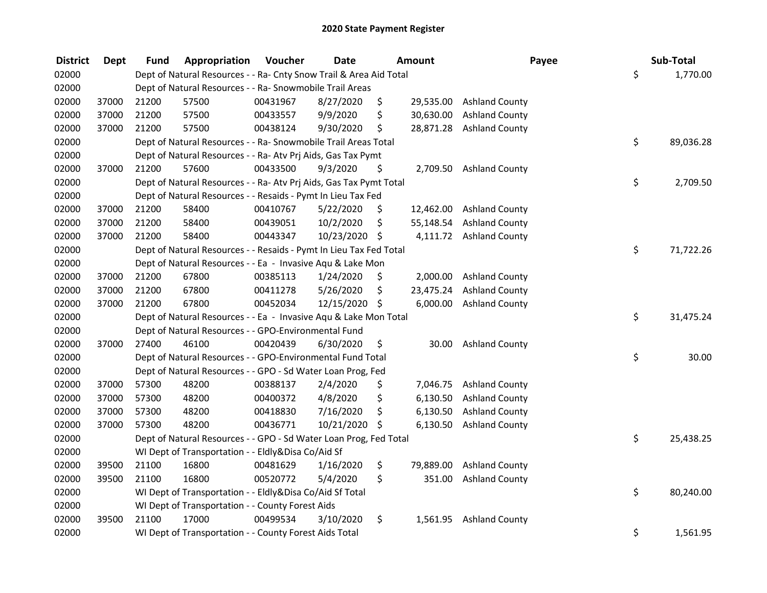| <b>District</b> | Dept  | Fund  | Appropriation                                                      | Voucher  | <b>Date</b>   |     | Amount    | Payee                    | Sub-Total       |
|-----------------|-------|-------|--------------------------------------------------------------------|----------|---------------|-----|-----------|--------------------------|-----------------|
| 02000           |       |       | Dept of Natural Resources - - Ra- Cnty Snow Trail & Area Aid Total |          |               |     |           |                          | \$<br>1,770.00  |
| 02000           |       |       | Dept of Natural Resources - - Ra- Snowmobile Trail Areas           |          |               |     |           |                          |                 |
| 02000           | 37000 | 21200 | 57500                                                              | 00431967 | 8/27/2020     | \$  | 29,535.00 | <b>Ashland County</b>    |                 |
| 02000           | 37000 | 21200 | 57500                                                              | 00433557 | 9/9/2020      | \$  | 30,630.00 | <b>Ashland County</b>    |                 |
| 02000           | 37000 | 21200 | 57500                                                              | 00438124 | 9/30/2020     | \$  |           | 28,871.28 Ashland County |                 |
| 02000           |       |       | Dept of Natural Resources - - Ra- Snowmobile Trail Areas Total     |          |               |     |           |                          | \$<br>89,036.28 |
| 02000           |       |       | Dept of Natural Resources - - Ra- Atv Prj Aids, Gas Tax Pymt       |          |               |     |           |                          |                 |
| 02000           | 37000 | 21200 | 57600                                                              | 00433500 | 9/3/2020      | \$  |           | 2,709.50 Ashland County  |                 |
| 02000           |       |       | Dept of Natural Resources - - Ra- Atv Prj Aids, Gas Tax Pymt Total |          |               |     |           |                          | \$<br>2,709.50  |
| 02000           |       |       | Dept of Natural Resources - - Resaids - Pymt In Lieu Tax Fed       |          |               |     |           |                          |                 |
| 02000           | 37000 | 21200 | 58400                                                              | 00410767 | 5/22/2020     | \$  | 12,462.00 | <b>Ashland County</b>    |                 |
| 02000           | 37000 | 21200 | 58400                                                              | 00439051 | 10/2/2020     | \$  | 55,148.54 | <b>Ashland County</b>    |                 |
| 02000           | 37000 | 21200 | 58400                                                              | 00443347 | 10/23/2020    | \$  |           | 4,111.72 Ashland County  |                 |
| 02000           |       |       | Dept of Natural Resources - - Resaids - Pymt In Lieu Tax Fed Total |          |               |     |           |                          | \$<br>71,722.26 |
| 02000           |       |       | Dept of Natural Resources - - Ea - Invasive Aqu & Lake Mon         |          |               |     |           |                          |                 |
| 02000           | 37000 | 21200 | 67800                                                              | 00385113 | 1/24/2020     | \$. | 2,000.00  | <b>Ashland County</b>    |                 |
| 02000           | 37000 | 21200 | 67800                                                              | 00411278 | 5/26/2020     | \$  | 23,475.24 | <b>Ashland County</b>    |                 |
| 02000           | 37000 | 21200 | 67800                                                              | 00452034 | 12/15/2020 \$ |     | 6,000.00  | <b>Ashland County</b>    |                 |
| 02000           |       |       | Dept of Natural Resources - - Ea - Invasive Aqu & Lake Mon Total   |          |               |     |           |                          | \$<br>31,475.24 |
| 02000           |       |       | Dept of Natural Resources - - GPO-Environmental Fund               |          |               |     |           |                          |                 |
| 02000           | 37000 | 27400 | 46100                                                              | 00420439 | 6/30/2020     | \$  | 30.00     | <b>Ashland County</b>    |                 |
| 02000           |       |       | Dept of Natural Resources - - GPO-Environmental Fund Total         |          |               |     |           |                          | \$<br>30.00     |
| 02000           |       |       | Dept of Natural Resources - - GPO - Sd Water Loan Prog, Fed        |          |               |     |           |                          |                 |
| 02000           | 37000 | 57300 | 48200                                                              | 00388137 | 2/4/2020      | \$  | 7,046.75  | <b>Ashland County</b>    |                 |
| 02000           | 37000 | 57300 | 48200                                                              | 00400372 | 4/8/2020      | \$  | 6,130.50  | <b>Ashland County</b>    |                 |
| 02000           | 37000 | 57300 | 48200                                                              | 00418830 | 7/16/2020     | \$  | 6,130.50  | <b>Ashland County</b>    |                 |
| 02000           | 37000 | 57300 | 48200                                                              | 00436771 | 10/21/2020    | \$  | 6,130.50  | <b>Ashland County</b>    |                 |
| 02000           |       |       | Dept of Natural Resources - - GPO - Sd Water Loan Prog, Fed Total  |          |               |     |           |                          | \$<br>25,438.25 |
| 02000           |       |       | WI Dept of Transportation - - Eldly&Disa Co/Aid Sf                 |          |               |     |           |                          |                 |
| 02000           | 39500 | 21100 | 16800                                                              | 00481629 | 1/16/2020     | \$  | 79,889.00 | <b>Ashland County</b>    |                 |
| 02000           | 39500 | 21100 | 16800                                                              | 00520772 | 5/4/2020      | \$  | 351.00    | <b>Ashland County</b>    |                 |
| 02000           |       |       | WI Dept of Transportation - - Eldly&Disa Co/Aid Sf Total           |          |               |     |           |                          | \$<br>80,240.00 |
| 02000           |       |       | WI Dept of Transportation - - County Forest Aids                   |          |               |     |           |                          |                 |
| 02000           | 39500 | 21100 | 17000                                                              | 00499534 | 3/10/2020     | \$  | 1,561.95  | <b>Ashland County</b>    |                 |
| 02000           |       |       | WI Dept of Transportation - - County Forest Aids Total             |          |               |     |           |                          | \$<br>1,561.95  |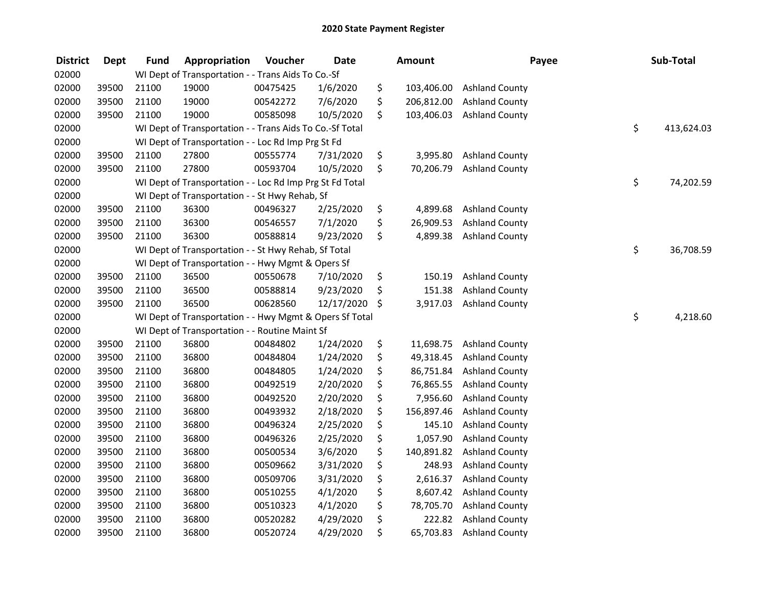| <b>District</b> | <b>Dept</b> | <b>Fund</b> | Appropriation                                            | Voucher  | <b>Date</b> | <b>Amount</b>    | Payee                 | Sub-Total        |
|-----------------|-------------|-------------|----------------------------------------------------------|----------|-------------|------------------|-----------------------|------------------|
| 02000           |             |             | WI Dept of Transportation - - Trans Aids To Co.-Sf       |          |             |                  |                       |                  |
| 02000           | 39500       | 21100       | 19000                                                    | 00475425 | 1/6/2020    | \$<br>103,406.00 | <b>Ashland County</b> |                  |
| 02000           | 39500       | 21100       | 19000                                                    | 00542272 | 7/6/2020    | \$<br>206,812.00 | <b>Ashland County</b> |                  |
| 02000           | 39500       | 21100       | 19000                                                    | 00585098 | 10/5/2020   | \$<br>103,406.03 | <b>Ashland County</b> |                  |
| 02000           |             |             | WI Dept of Transportation - - Trans Aids To Co.-Sf Total |          |             |                  |                       | \$<br>413,624.03 |
| 02000           |             |             | WI Dept of Transportation - - Loc Rd Imp Prg St Fd       |          |             |                  |                       |                  |
| 02000           | 39500       | 21100       | 27800                                                    | 00555774 | 7/31/2020   | \$<br>3,995.80   | <b>Ashland County</b> |                  |
| 02000           | 39500       | 21100       | 27800                                                    | 00593704 | 10/5/2020   | \$<br>70,206.79  | <b>Ashland County</b> |                  |
| 02000           |             |             | WI Dept of Transportation - - Loc Rd Imp Prg St Fd Total |          |             |                  |                       | \$<br>74,202.59  |
| 02000           |             |             | WI Dept of Transportation - - St Hwy Rehab, Sf           |          |             |                  |                       |                  |
| 02000           | 39500       | 21100       | 36300                                                    | 00496327 | 2/25/2020   | \$<br>4,899.68   | <b>Ashland County</b> |                  |
| 02000           | 39500       | 21100       | 36300                                                    | 00546557 | 7/1/2020    | \$<br>26,909.53  | <b>Ashland County</b> |                  |
| 02000           | 39500       | 21100       | 36300                                                    | 00588814 | 9/23/2020   | \$<br>4,899.38   | <b>Ashland County</b> |                  |
| 02000           |             |             | WI Dept of Transportation - - St Hwy Rehab, Sf Total     |          |             |                  |                       | \$<br>36,708.59  |
| 02000           |             |             | WI Dept of Transportation - - Hwy Mgmt & Opers Sf        |          |             |                  |                       |                  |
| 02000           | 39500       | 21100       | 36500                                                    | 00550678 | 7/10/2020   | \$<br>150.19     | <b>Ashland County</b> |                  |
| 02000           | 39500       | 21100       | 36500                                                    | 00588814 | 9/23/2020   | \$<br>151.38     | <b>Ashland County</b> |                  |
| 02000           | 39500       | 21100       | 36500                                                    | 00628560 | 12/17/2020  | \$<br>3,917.03   | <b>Ashland County</b> |                  |
| 02000           |             |             | WI Dept of Transportation - - Hwy Mgmt & Opers Sf Total  |          |             |                  |                       | \$<br>4,218.60   |
| 02000           |             |             | WI Dept of Transportation - - Routine Maint Sf           |          |             |                  |                       |                  |
| 02000           | 39500       | 21100       | 36800                                                    | 00484802 | 1/24/2020   | \$<br>11,698.75  | <b>Ashland County</b> |                  |
| 02000           | 39500       | 21100       | 36800                                                    | 00484804 | 1/24/2020   | \$<br>49,318.45  | <b>Ashland County</b> |                  |
| 02000           | 39500       | 21100       | 36800                                                    | 00484805 | 1/24/2020   | \$<br>86,751.84  | <b>Ashland County</b> |                  |
| 02000           | 39500       | 21100       | 36800                                                    | 00492519 | 2/20/2020   | \$<br>76,865.55  | <b>Ashland County</b> |                  |
| 02000           | 39500       | 21100       | 36800                                                    | 00492520 | 2/20/2020   | \$<br>7,956.60   | <b>Ashland County</b> |                  |
| 02000           | 39500       | 21100       | 36800                                                    | 00493932 | 2/18/2020   | \$<br>156,897.46 | <b>Ashland County</b> |                  |
| 02000           | 39500       | 21100       | 36800                                                    | 00496324 | 2/25/2020   | \$<br>145.10     | <b>Ashland County</b> |                  |
| 02000           | 39500       | 21100       | 36800                                                    | 00496326 | 2/25/2020   | \$<br>1,057.90   | <b>Ashland County</b> |                  |
| 02000           | 39500       | 21100       | 36800                                                    | 00500534 | 3/6/2020    | \$<br>140,891.82 | <b>Ashland County</b> |                  |
| 02000           | 39500       | 21100       | 36800                                                    | 00509662 | 3/31/2020   | \$<br>248.93     | <b>Ashland County</b> |                  |
| 02000           | 39500       | 21100       | 36800                                                    | 00509706 | 3/31/2020   | \$<br>2,616.37   | <b>Ashland County</b> |                  |
| 02000           | 39500       | 21100       | 36800                                                    | 00510255 | 4/1/2020    | \$<br>8,607.42   | <b>Ashland County</b> |                  |
| 02000           | 39500       | 21100       | 36800                                                    | 00510323 | 4/1/2020    | \$<br>78,705.70  | <b>Ashland County</b> |                  |
| 02000           | 39500       | 21100       | 36800                                                    | 00520282 | 4/29/2020   | \$<br>222.82     | <b>Ashland County</b> |                  |
| 02000           | 39500       | 21100       | 36800                                                    | 00520724 | 4/29/2020   | \$<br>65,703.83  | <b>Ashland County</b> |                  |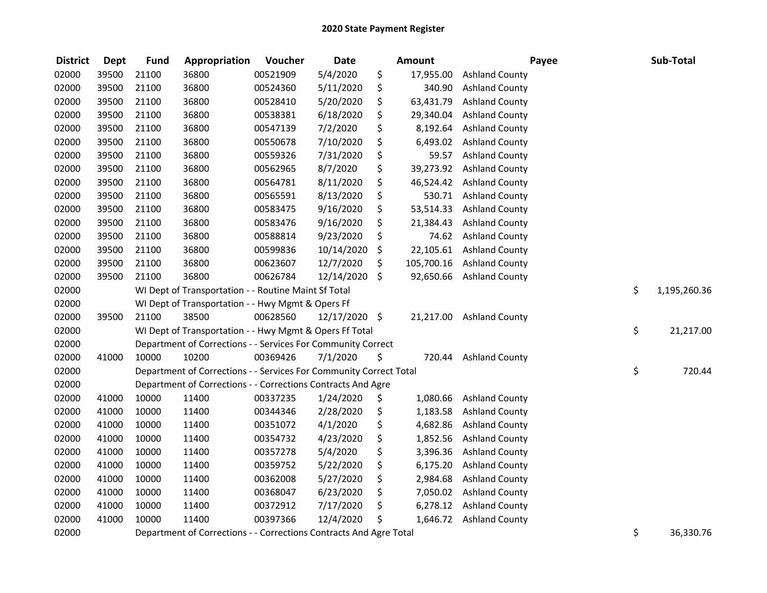| <b>District</b> | <b>Dept</b> | <b>Fund</b> | Appropriation                                                      | Voucher  | <b>Date</b>   | <b>Amount</b>    | Payee                 | Sub-Total          |
|-----------------|-------------|-------------|--------------------------------------------------------------------|----------|---------------|------------------|-----------------------|--------------------|
| 02000           | 39500       | 21100       | 36800                                                              | 00521909 | 5/4/2020      | \$<br>17,955.00  | <b>Ashland County</b> |                    |
| 02000           | 39500       | 21100       | 36800                                                              | 00524360 | 5/11/2020     | \$<br>340.90     | <b>Ashland County</b> |                    |
| 02000           | 39500       | 21100       | 36800                                                              | 00528410 | 5/20/2020     | \$<br>63,431.79  | <b>Ashland County</b> |                    |
| 02000           | 39500       | 21100       | 36800                                                              | 00538381 | 6/18/2020     | \$<br>29,340.04  | <b>Ashland County</b> |                    |
| 02000           | 39500       | 21100       | 36800                                                              | 00547139 | 7/2/2020      | \$<br>8,192.64   | <b>Ashland County</b> |                    |
| 02000           | 39500       | 21100       | 36800                                                              | 00550678 | 7/10/2020     | \$<br>6,493.02   | <b>Ashland County</b> |                    |
| 02000           | 39500       | 21100       | 36800                                                              | 00559326 | 7/31/2020     | \$<br>59.57      | <b>Ashland County</b> |                    |
| 02000           | 39500       | 21100       | 36800                                                              | 00562965 | 8/7/2020      | \$<br>39,273.92  | <b>Ashland County</b> |                    |
| 02000           | 39500       | 21100       | 36800                                                              | 00564781 | 8/11/2020     | \$<br>46,524.42  | <b>Ashland County</b> |                    |
| 02000           | 39500       | 21100       | 36800                                                              | 00565591 | 8/13/2020     | \$<br>530.71     | <b>Ashland County</b> |                    |
| 02000           | 39500       | 21100       | 36800                                                              | 00583475 | 9/16/2020     | \$<br>53,514.33  | <b>Ashland County</b> |                    |
| 02000           | 39500       | 21100       | 36800                                                              | 00583476 | 9/16/2020     | \$<br>21,384.43  | <b>Ashland County</b> |                    |
| 02000           | 39500       | 21100       | 36800                                                              | 00588814 | 9/23/2020     | \$<br>74.62      | <b>Ashland County</b> |                    |
| 02000           | 39500       | 21100       | 36800                                                              | 00599836 | 10/14/2020    | \$<br>22,105.61  | <b>Ashland County</b> |                    |
| 02000           | 39500       | 21100       | 36800                                                              | 00623607 | 12/7/2020     | \$<br>105,700.16 | <b>Ashland County</b> |                    |
| 02000           | 39500       | 21100       | 36800                                                              | 00626784 | 12/14/2020    | \$<br>92,650.66  | <b>Ashland County</b> |                    |
| 02000           |             |             | WI Dept of Transportation - - Routine Maint Sf Total               |          |               |                  |                       | \$<br>1,195,260.36 |
| 02000           |             |             | WI Dept of Transportation - - Hwy Mgmt & Opers Ff                  |          |               |                  |                       |                    |
| 02000           | 39500       | 21100       | 38500                                                              | 00628560 | 12/17/2020 \$ | 21,217.00        | <b>Ashland County</b> |                    |
| 02000           |             |             | WI Dept of Transportation - - Hwy Mgmt & Opers Ff Total            |          |               |                  |                       | \$<br>21,217.00    |
| 02000           |             |             | Department of Corrections - - Services For Community Correct       |          |               |                  |                       |                    |
| 02000           | 41000       | 10000       | 10200                                                              | 00369426 | 7/1/2020      | \$<br>720.44     | <b>Ashland County</b> |                    |
| 02000           |             |             | Department of Corrections - - Services For Community Correct Total |          |               |                  |                       | \$<br>720.44       |
| 02000           |             |             | Department of Corrections - - Corrections Contracts And Agre       |          |               |                  |                       |                    |
| 02000           | 41000       | 10000       | 11400                                                              | 00337235 | 1/24/2020     | \$<br>1,080.66   | <b>Ashland County</b> |                    |
| 02000           | 41000       | 10000       | 11400                                                              | 00344346 | 2/28/2020     | \$<br>1,183.58   | <b>Ashland County</b> |                    |
| 02000           | 41000       | 10000       | 11400                                                              | 00351072 | 4/1/2020      | \$<br>4,682.86   | <b>Ashland County</b> |                    |
| 02000           | 41000       | 10000       | 11400                                                              | 00354732 | 4/23/2020     | \$<br>1,852.56   | <b>Ashland County</b> |                    |
| 02000           | 41000       | 10000       | 11400                                                              | 00357278 | 5/4/2020      | \$<br>3,396.36   | <b>Ashland County</b> |                    |
| 02000           | 41000       | 10000       | 11400                                                              | 00359752 | 5/22/2020     | \$<br>6,175.20   | <b>Ashland County</b> |                    |
| 02000           | 41000       | 10000       | 11400                                                              | 00362008 | 5/27/2020     | \$<br>2,984.68   | <b>Ashland County</b> |                    |
| 02000           | 41000       | 10000       | 11400                                                              | 00368047 | 6/23/2020     | \$<br>7,050.02   | <b>Ashland County</b> |                    |
| 02000           | 41000       | 10000       | 11400                                                              | 00372912 | 7/17/2020     | \$<br>6,278.12   | <b>Ashland County</b> |                    |
| 02000           | 41000       | 10000       | 11400                                                              | 00397366 | 12/4/2020     | \$<br>1,646.72   | <b>Ashland County</b> |                    |
| 02000           |             |             | Department of Corrections - - Corrections Contracts And Agre Total |          |               |                  |                       | \$<br>36,330.76    |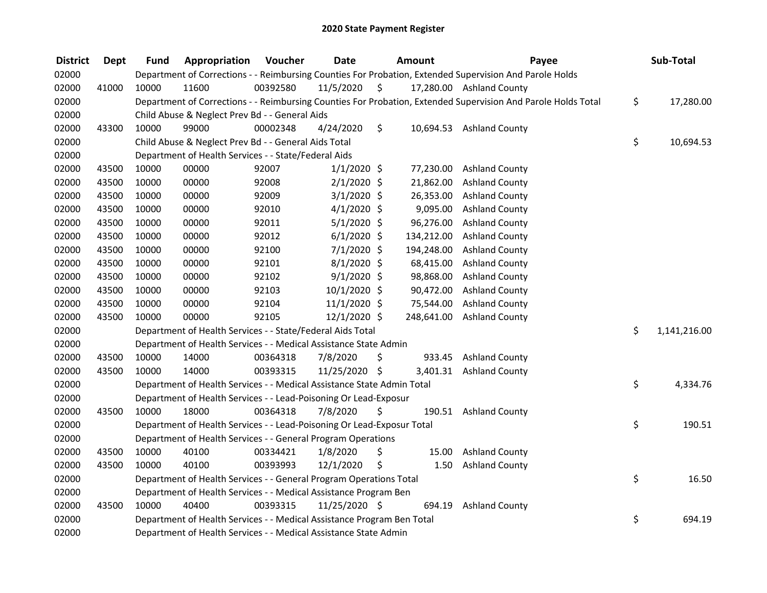| <b>District</b> | <b>Dept</b> | <b>Fund</b> | Appropriation                                                          | Voucher  | <b>Date</b>    |    | Amount     | Payee                                                                                                         | Sub-Total          |
|-----------------|-------------|-------------|------------------------------------------------------------------------|----------|----------------|----|------------|---------------------------------------------------------------------------------------------------------------|--------------------|
| 02000           |             |             |                                                                        |          |                |    |            | Department of Corrections - - Reimbursing Counties For Probation, Extended Supervision And Parole Holds       |                    |
| 02000           | 41000       | 10000       | 11600                                                                  | 00392580 | 11/5/2020      | \$ |            | 17,280.00 Ashland County                                                                                      |                    |
| 02000           |             |             |                                                                        |          |                |    |            | Department of Corrections - - Reimbursing Counties For Probation, Extended Supervision And Parole Holds Total | \$<br>17,280.00    |
| 02000           |             |             | Child Abuse & Neglect Prev Bd - - General Aids                         |          |                |    |            |                                                                                                               |                    |
| 02000           | 43300       | 10000       | 99000                                                                  | 00002348 | 4/24/2020      | \$ |            | 10,694.53 Ashland County                                                                                      |                    |
| 02000           |             |             | Child Abuse & Neglect Prev Bd - - General Aids Total                   |          |                |    |            |                                                                                                               | \$<br>10,694.53    |
| 02000           |             |             | Department of Health Services - - State/Federal Aids                   |          |                |    |            |                                                                                                               |                    |
| 02000           | 43500       | 10000       | 00000                                                                  | 92007    | $1/1/2020$ \$  |    | 77,230.00  | <b>Ashland County</b>                                                                                         |                    |
| 02000           | 43500       | 10000       | 00000                                                                  | 92008    | $2/1/2020$ \$  |    | 21,862.00  | <b>Ashland County</b>                                                                                         |                    |
| 02000           | 43500       | 10000       | 00000                                                                  | 92009    | $3/1/2020$ \$  |    | 26,353.00  | <b>Ashland County</b>                                                                                         |                    |
| 02000           | 43500       | 10000       | 00000                                                                  | 92010    | $4/1/2020$ \$  |    | 9,095.00   | <b>Ashland County</b>                                                                                         |                    |
| 02000           | 43500       | 10000       | 00000                                                                  | 92011    | $5/1/2020$ \$  |    | 96,276.00  | <b>Ashland County</b>                                                                                         |                    |
| 02000           | 43500       | 10000       | 00000                                                                  | 92012    | $6/1/2020$ \$  |    | 134,212.00 | <b>Ashland County</b>                                                                                         |                    |
| 02000           | 43500       | 10000       | 00000                                                                  | 92100    | $7/1/2020$ \$  |    | 194,248.00 | <b>Ashland County</b>                                                                                         |                    |
| 02000           | 43500       | 10000       | 00000                                                                  | 92101    | 8/1/2020 \$    |    | 68,415.00  | <b>Ashland County</b>                                                                                         |                    |
| 02000           | 43500       | 10000       | 00000                                                                  | 92102    | $9/1/2020$ \$  |    | 98,868.00  | <b>Ashland County</b>                                                                                         |                    |
| 02000           | 43500       | 10000       | 00000                                                                  | 92103    | $10/1/2020$ \$ |    | 90,472.00  | <b>Ashland County</b>                                                                                         |                    |
| 02000           | 43500       | 10000       | 00000                                                                  | 92104    | $11/1/2020$ \$ |    | 75,544.00  | <b>Ashland County</b>                                                                                         |                    |
| 02000           | 43500       | 10000       | 00000                                                                  | 92105    | 12/1/2020 \$   |    | 248,641.00 | <b>Ashland County</b>                                                                                         |                    |
| 02000           |             |             | Department of Health Services - - State/Federal Aids Total             |          |                |    |            |                                                                                                               | \$<br>1,141,216.00 |
| 02000           |             |             | Department of Health Services - - Medical Assistance State Admin       |          |                |    |            |                                                                                                               |                    |
| 02000           | 43500       | 10000       | 14000                                                                  | 00364318 | 7/8/2020       | \$ | 933.45     | <b>Ashland County</b>                                                                                         |                    |
| 02000           | 43500       | 10000       | 14000                                                                  | 00393315 | 11/25/2020 \$  |    | 3,401.31   | <b>Ashland County</b>                                                                                         |                    |
| 02000           |             |             | Department of Health Services - - Medical Assistance State Admin Total |          |                |    |            |                                                                                                               | \$<br>4,334.76     |
| 02000           |             |             | Department of Health Services - - Lead-Poisoning Or Lead-Exposur       |          |                |    |            |                                                                                                               |                    |
| 02000           | 43500       | 10000       | 18000                                                                  | 00364318 | 7/8/2020       | Ś. | 190.51     | <b>Ashland County</b>                                                                                         |                    |
| 02000           |             |             | Department of Health Services - - Lead-Poisoning Or Lead-Exposur Total |          |                |    |            |                                                                                                               | \$<br>190.51       |
| 02000           |             |             | Department of Health Services - - General Program Operations           |          |                |    |            |                                                                                                               |                    |
| 02000           | 43500       | 10000       | 40100                                                                  | 00334421 | 1/8/2020       | \$ | 15.00      | <b>Ashland County</b>                                                                                         |                    |
| 02000           | 43500       | 10000       | 40100                                                                  | 00393993 | 12/1/2020      | \$ | 1.50       | <b>Ashland County</b>                                                                                         |                    |
| 02000           |             |             | Department of Health Services - - General Program Operations Total     |          |                |    |            |                                                                                                               | \$<br>16.50        |
| 02000           |             |             | Department of Health Services - - Medical Assistance Program Ben       |          |                |    |            |                                                                                                               |                    |
| 02000           | 43500       | 10000       | 40400                                                                  | 00393315 | 11/25/2020 \$  |    | 694.19     | <b>Ashland County</b>                                                                                         |                    |
| 02000           |             |             | Department of Health Services - - Medical Assistance Program Ben Total |          |                |    |            |                                                                                                               | \$<br>694.19       |
| 02000           |             |             | Department of Health Services - - Medical Assistance State Admin       |          |                |    |            |                                                                                                               |                    |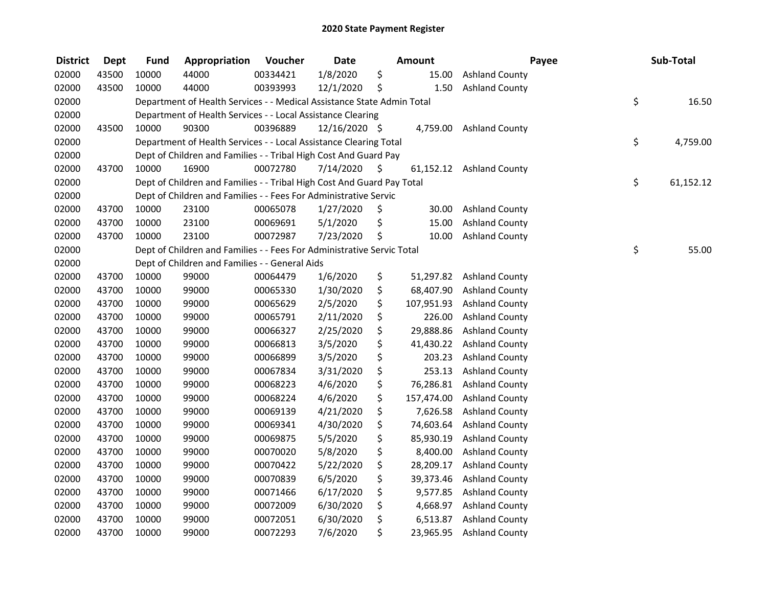| <b>District</b> | <b>Dept</b> | <b>Fund</b> | Appropriation                                                          | Voucher  | <b>Date</b>   |      | Amount     | Payee                    | Sub-Total       |
|-----------------|-------------|-------------|------------------------------------------------------------------------|----------|---------------|------|------------|--------------------------|-----------------|
| 02000           | 43500       | 10000       | 44000                                                                  | 00334421 | 1/8/2020      | \$   | 15.00      | <b>Ashland County</b>    |                 |
| 02000           | 43500       | 10000       | 44000                                                                  | 00393993 | 12/1/2020     | \$   | 1.50       | <b>Ashland County</b>    |                 |
| 02000           |             |             | Department of Health Services - - Medical Assistance State Admin Total |          |               |      |            |                          | \$<br>16.50     |
| 02000           |             |             | Department of Health Services - - Local Assistance Clearing            |          |               |      |            |                          |                 |
| 02000           | 43500       | 10000       | 90300                                                                  | 00396889 | 12/16/2020 \$ |      | 4,759.00   | <b>Ashland County</b>    |                 |
| 02000           |             |             | Department of Health Services - - Local Assistance Clearing Total      |          |               |      |            |                          | \$<br>4,759.00  |
| 02000           |             |             | Dept of Children and Families - - Tribal High Cost And Guard Pay       |          |               |      |            |                          |                 |
| 02000           | 43700       | 10000       | 16900                                                                  | 00072780 | 7/14/2020     | - \$ |            | 61,152.12 Ashland County |                 |
| 02000           |             |             | Dept of Children and Families - - Tribal High Cost And Guard Pay Total |          |               |      |            |                          | \$<br>61,152.12 |
| 02000           |             |             | Dept of Children and Families - - Fees For Administrative Servic       |          |               |      |            |                          |                 |
| 02000           | 43700       | 10000       | 23100                                                                  | 00065078 | 1/27/2020     | \$   | 30.00      | <b>Ashland County</b>    |                 |
| 02000           | 43700       | 10000       | 23100                                                                  | 00069691 | 5/1/2020      | \$   | 15.00      | <b>Ashland County</b>    |                 |
| 02000           | 43700       | 10000       | 23100                                                                  | 00072987 | 7/23/2020     | \$   | 10.00      | <b>Ashland County</b>    |                 |
| 02000           |             |             | Dept of Children and Families - - Fees For Administrative Servic Total |          |               |      |            |                          | \$<br>55.00     |
| 02000           |             |             | Dept of Children and Families - - General Aids                         |          |               |      |            |                          |                 |
| 02000           | 43700       | 10000       | 99000                                                                  | 00064479 | 1/6/2020      | \$   | 51,297.82  | <b>Ashland County</b>    |                 |
| 02000           | 43700       | 10000       | 99000                                                                  | 00065330 | 1/30/2020     | \$   | 68,407.90  | <b>Ashland County</b>    |                 |
| 02000           | 43700       | 10000       | 99000                                                                  | 00065629 | 2/5/2020      | \$   | 107,951.93 | <b>Ashland County</b>    |                 |
| 02000           | 43700       | 10000       | 99000                                                                  | 00065791 | 2/11/2020     | \$   | 226.00     | <b>Ashland County</b>    |                 |
| 02000           | 43700       | 10000       | 99000                                                                  | 00066327 | 2/25/2020     | \$   | 29,888.86  | <b>Ashland County</b>    |                 |
| 02000           | 43700       | 10000       | 99000                                                                  | 00066813 | 3/5/2020      | \$   | 41,430.22  | <b>Ashland County</b>    |                 |
| 02000           | 43700       | 10000       | 99000                                                                  | 00066899 | 3/5/2020      | \$   | 203.23     | <b>Ashland County</b>    |                 |
| 02000           | 43700       | 10000       | 99000                                                                  | 00067834 | 3/31/2020     | \$   | 253.13     | <b>Ashland County</b>    |                 |
| 02000           | 43700       | 10000       | 99000                                                                  | 00068223 | 4/6/2020      | \$   | 76,286.81  | <b>Ashland County</b>    |                 |
| 02000           | 43700       | 10000       | 99000                                                                  | 00068224 | 4/6/2020      | \$   | 157,474.00 | <b>Ashland County</b>    |                 |
| 02000           | 43700       | 10000       | 99000                                                                  | 00069139 | 4/21/2020     | \$   | 7,626.58   | <b>Ashland County</b>    |                 |
| 02000           | 43700       | 10000       | 99000                                                                  | 00069341 | 4/30/2020     | \$   | 74,603.64  | <b>Ashland County</b>    |                 |
| 02000           | 43700       | 10000       | 99000                                                                  | 00069875 | 5/5/2020      | \$   | 85,930.19  | <b>Ashland County</b>    |                 |
| 02000           | 43700       | 10000       | 99000                                                                  | 00070020 | 5/8/2020      | \$   | 8,400.00   | <b>Ashland County</b>    |                 |
| 02000           | 43700       | 10000       | 99000                                                                  | 00070422 | 5/22/2020     | \$   | 28,209.17  | <b>Ashland County</b>    |                 |
| 02000           | 43700       | 10000       | 99000                                                                  | 00070839 | 6/5/2020      | \$   | 39,373.46  | <b>Ashland County</b>    |                 |
| 02000           | 43700       | 10000       | 99000                                                                  | 00071466 | 6/17/2020     | \$   | 9,577.85   | <b>Ashland County</b>    |                 |
| 02000           | 43700       | 10000       | 99000                                                                  | 00072009 | 6/30/2020     | \$   | 4,668.97   | <b>Ashland County</b>    |                 |
| 02000           | 43700       | 10000       | 99000                                                                  | 00072051 | 6/30/2020     | \$   | 6,513.87   | <b>Ashland County</b>    |                 |
| 02000           | 43700       | 10000       | 99000                                                                  | 00072293 | 7/6/2020      | \$   | 23,965.95  | <b>Ashland County</b>    |                 |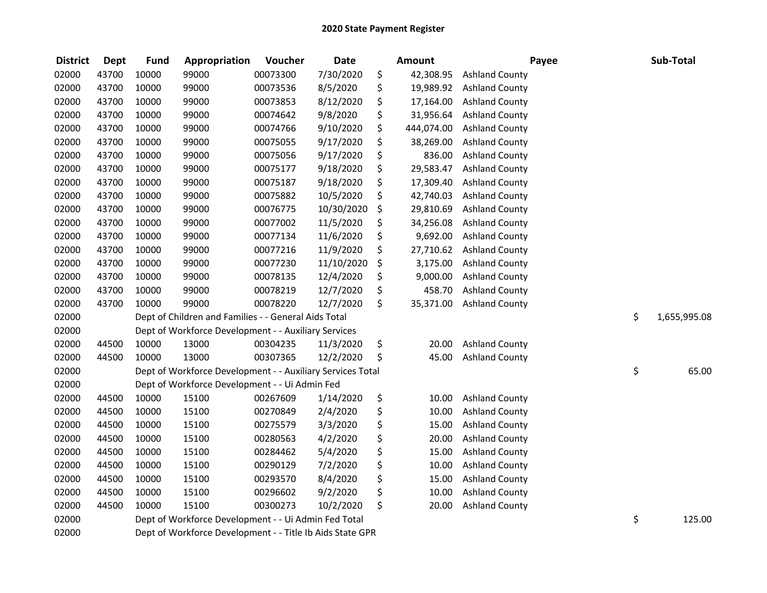| <b>District</b> | <b>Dept</b> | <b>Fund</b> | Appropriation                                              | Voucher  | <b>Date</b> | <b>Amount</b>    | Payee                 | Sub-Total          |
|-----------------|-------------|-------------|------------------------------------------------------------|----------|-------------|------------------|-----------------------|--------------------|
| 02000           | 43700       | 10000       | 99000                                                      | 00073300 | 7/30/2020   | \$<br>42,308.95  | <b>Ashland County</b> |                    |
| 02000           | 43700       | 10000       | 99000                                                      | 00073536 | 8/5/2020    | \$<br>19,989.92  | <b>Ashland County</b> |                    |
| 02000           | 43700       | 10000       | 99000                                                      | 00073853 | 8/12/2020   | \$<br>17,164.00  | <b>Ashland County</b> |                    |
| 02000           | 43700       | 10000       | 99000                                                      | 00074642 | 9/8/2020    | \$<br>31,956.64  | <b>Ashland County</b> |                    |
| 02000           | 43700       | 10000       | 99000                                                      | 00074766 | 9/10/2020   | \$<br>444,074.00 | <b>Ashland County</b> |                    |
| 02000           | 43700       | 10000       | 99000                                                      | 00075055 | 9/17/2020   | \$<br>38,269.00  | <b>Ashland County</b> |                    |
| 02000           | 43700       | 10000       | 99000                                                      | 00075056 | 9/17/2020   | \$<br>836.00     | <b>Ashland County</b> |                    |
| 02000           | 43700       | 10000       | 99000                                                      | 00075177 | 9/18/2020   | \$<br>29,583.47  | <b>Ashland County</b> |                    |
| 02000           | 43700       | 10000       | 99000                                                      | 00075187 | 9/18/2020   | \$<br>17,309.40  | <b>Ashland County</b> |                    |
| 02000           | 43700       | 10000       | 99000                                                      | 00075882 | 10/5/2020   | \$<br>42,740.03  | <b>Ashland County</b> |                    |
| 02000           | 43700       | 10000       | 99000                                                      | 00076775 | 10/30/2020  | \$<br>29,810.69  | <b>Ashland County</b> |                    |
| 02000           | 43700       | 10000       | 99000                                                      | 00077002 | 11/5/2020   | \$<br>34,256.08  | <b>Ashland County</b> |                    |
| 02000           | 43700       | 10000       | 99000                                                      | 00077134 | 11/6/2020   | \$<br>9,692.00   | <b>Ashland County</b> |                    |
| 02000           | 43700       | 10000       | 99000                                                      | 00077216 | 11/9/2020   | \$<br>27,710.62  | <b>Ashland County</b> |                    |
| 02000           | 43700       | 10000       | 99000                                                      | 00077230 | 11/10/2020  | \$<br>3,175.00   | <b>Ashland County</b> |                    |
| 02000           | 43700       | 10000       | 99000                                                      | 00078135 | 12/4/2020   | \$<br>9,000.00   | <b>Ashland County</b> |                    |
| 02000           | 43700       | 10000       | 99000                                                      | 00078219 | 12/7/2020   | \$<br>458.70     | <b>Ashland County</b> |                    |
| 02000           | 43700       | 10000       | 99000                                                      | 00078220 | 12/7/2020   | \$<br>35,371.00  | <b>Ashland County</b> |                    |
| 02000           |             |             | Dept of Children and Families - - General Aids Total       |          |             |                  |                       | \$<br>1,655,995.08 |
| 02000           |             |             | Dept of Workforce Development - - Auxiliary Services       |          |             |                  |                       |                    |
| 02000           | 44500       | 10000       | 13000                                                      | 00304235 | 11/3/2020   | \$<br>20.00      | <b>Ashland County</b> |                    |
| 02000           | 44500       | 10000       | 13000                                                      | 00307365 | 12/2/2020   | \$<br>45.00      | <b>Ashland County</b> |                    |
| 02000           |             |             | Dept of Workforce Development - - Auxiliary Services Total |          |             |                  |                       | \$<br>65.00        |
| 02000           |             |             | Dept of Workforce Development - - Ui Admin Fed             |          |             |                  |                       |                    |
| 02000           | 44500       | 10000       | 15100                                                      | 00267609 | 1/14/2020   | \$<br>10.00      | <b>Ashland County</b> |                    |
| 02000           | 44500       | 10000       | 15100                                                      | 00270849 | 2/4/2020    | \$<br>10.00      | <b>Ashland County</b> |                    |
| 02000           | 44500       | 10000       | 15100                                                      | 00275579 | 3/3/2020    | \$<br>15.00      | <b>Ashland County</b> |                    |
| 02000           | 44500       | 10000       | 15100                                                      | 00280563 | 4/2/2020    | \$<br>20.00      | <b>Ashland County</b> |                    |
| 02000           | 44500       | 10000       | 15100                                                      | 00284462 | 5/4/2020    | \$<br>15.00      | <b>Ashland County</b> |                    |
| 02000           | 44500       | 10000       | 15100                                                      | 00290129 | 7/2/2020    | \$<br>10.00      | <b>Ashland County</b> |                    |
| 02000           | 44500       | 10000       | 15100                                                      | 00293570 | 8/4/2020    | \$<br>15.00      | <b>Ashland County</b> |                    |
| 02000           | 44500       | 10000       | 15100                                                      | 00296602 | 9/2/2020    | \$<br>10.00      | <b>Ashland County</b> |                    |
| 02000           | 44500       | 10000       | 15100                                                      | 00300273 | 10/2/2020   | \$<br>20.00      | <b>Ashland County</b> |                    |
| 02000           |             |             | Dept of Workforce Development - - Ui Admin Fed Total       |          |             |                  |                       | \$<br>125.00       |
| 02000           |             |             | Dept of Workforce Development - - Title Ib Aids State GPR  |          |             |                  |                       |                    |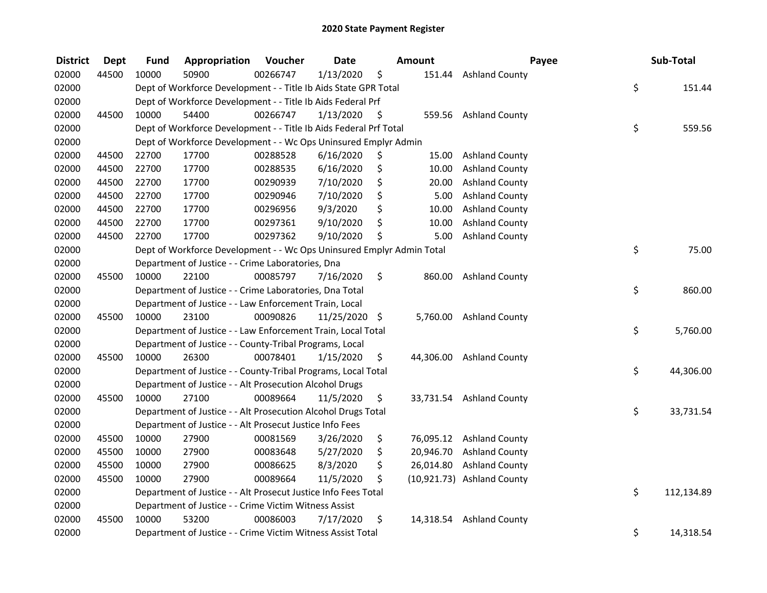| <b>District</b> | <b>Dept</b> | <b>Fund</b> | Appropriation                                                         | Voucher  | <b>Date</b>   |     | Amount    | Payee                      | Sub-Total        |
|-----------------|-------------|-------------|-----------------------------------------------------------------------|----------|---------------|-----|-----------|----------------------------|------------------|
| 02000           | 44500       | 10000       | 50900                                                                 | 00266747 | 1/13/2020     | \$  | 151.44    | <b>Ashland County</b>      |                  |
| 02000           |             |             | Dept of Workforce Development - - Title Ib Aids State GPR Total       |          |               |     |           |                            | \$<br>151.44     |
| 02000           |             |             | Dept of Workforce Development - - Title Ib Aids Federal Prf           |          |               |     |           |                            |                  |
| 02000           | 44500       | 10000       | 54400                                                                 | 00266747 | 1/13/2020     | \$  | 559.56    | <b>Ashland County</b>      |                  |
| 02000           |             |             | Dept of Workforce Development - - Title Ib Aids Federal Prf Total     |          |               |     |           |                            | \$<br>559.56     |
| 02000           |             |             | Dept of Workforce Development - - Wc Ops Uninsured Emplyr Admin       |          |               |     |           |                            |                  |
| 02000           | 44500       | 22700       | 17700                                                                 | 00288528 | 6/16/2020     | \$, | 15.00     | <b>Ashland County</b>      |                  |
| 02000           | 44500       | 22700       | 17700                                                                 | 00288535 | 6/16/2020     | \$  | 10.00     | <b>Ashland County</b>      |                  |
| 02000           | 44500       | 22700       | 17700                                                                 | 00290939 | 7/10/2020     | \$  | 20.00     | <b>Ashland County</b>      |                  |
| 02000           | 44500       | 22700       | 17700                                                                 | 00290946 | 7/10/2020     | \$  | 5.00      | <b>Ashland County</b>      |                  |
| 02000           | 44500       | 22700       | 17700                                                                 | 00296956 | 9/3/2020      | \$  | 10.00     | <b>Ashland County</b>      |                  |
| 02000           | 44500       | 22700       | 17700                                                                 | 00297361 | 9/10/2020     | \$  | 10.00     | <b>Ashland County</b>      |                  |
| 02000           | 44500       | 22700       | 17700                                                                 | 00297362 | 9/10/2020     | \$  | 5.00      | <b>Ashland County</b>      |                  |
| 02000           |             |             | Dept of Workforce Development - - Wc Ops Uninsured Emplyr Admin Total |          |               |     |           |                            | \$<br>75.00      |
| 02000           |             |             | Department of Justice - - Crime Laboratories, Dna                     |          |               |     |           |                            |                  |
| 02000           | 45500       | 10000       | 22100                                                                 | 00085797 | 7/16/2020     | \$  | 860.00    | <b>Ashland County</b>      |                  |
| 02000           |             |             | Department of Justice - - Crime Laboratories, Dna Total               |          |               |     |           |                            | \$<br>860.00     |
| 02000           |             |             | Department of Justice - - Law Enforcement Train, Local                |          |               |     |           |                            |                  |
| 02000           | 45500       | 10000       | 23100                                                                 | 00090826 | 11/25/2020 \$ |     | 5,760.00  | <b>Ashland County</b>      |                  |
| 02000           |             |             | Department of Justice - - Law Enforcement Train, Local Total          |          |               |     |           |                            | \$<br>5,760.00   |
| 02000           |             |             | Department of Justice - - County-Tribal Programs, Local               |          |               |     |           |                            |                  |
| 02000           | 45500       | 10000       | 26300                                                                 | 00078401 | 1/15/2020     | \$  | 44,306.00 | <b>Ashland County</b>      |                  |
| 02000           |             |             | Department of Justice - - County-Tribal Programs, Local Total         |          |               |     |           |                            | \$<br>44,306.00  |
| 02000           |             |             | Department of Justice - - Alt Prosecution Alcohol Drugs               |          |               |     |           |                            |                  |
| 02000           | 45500       | 10000       | 27100                                                                 | 00089664 | 11/5/2020     | \$  |           | 33,731.54 Ashland County   |                  |
| 02000           |             |             | Department of Justice - - Alt Prosecution Alcohol Drugs Total         |          |               |     |           |                            | \$<br>33,731.54  |
| 02000           |             |             | Department of Justice - - Alt Prosecut Justice Info Fees              |          |               |     |           |                            |                  |
| 02000           | 45500       | 10000       | 27900                                                                 | 00081569 | 3/26/2020     | \$  |           | 76,095.12 Ashland County   |                  |
| 02000           | 45500       | 10000       | 27900                                                                 | 00083648 | 5/27/2020     | \$  | 20,946.70 | <b>Ashland County</b>      |                  |
| 02000           | 45500       | 10000       | 27900                                                                 | 00086625 | 8/3/2020      | \$  | 26,014.80 | <b>Ashland County</b>      |                  |
| 02000           | 45500       | 10000       | 27900                                                                 | 00089664 | 11/5/2020     | \$  |           | (10,921.73) Ashland County |                  |
| 02000           |             |             | Department of Justice - - Alt Prosecut Justice Info Fees Total        |          |               |     |           |                            | \$<br>112,134.89 |
| 02000           |             |             | Department of Justice - - Crime Victim Witness Assist                 |          |               |     |           |                            |                  |
| 02000           | 45500       | 10000       | 53200                                                                 | 00086003 | 7/17/2020     | \$  | 14,318.54 | <b>Ashland County</b>      |                  |
| 02000           |             |             | Department of Justice - - Crime Victim Witness Assist Total           |          |               |     |           |                            | \$<br>14,318.54  |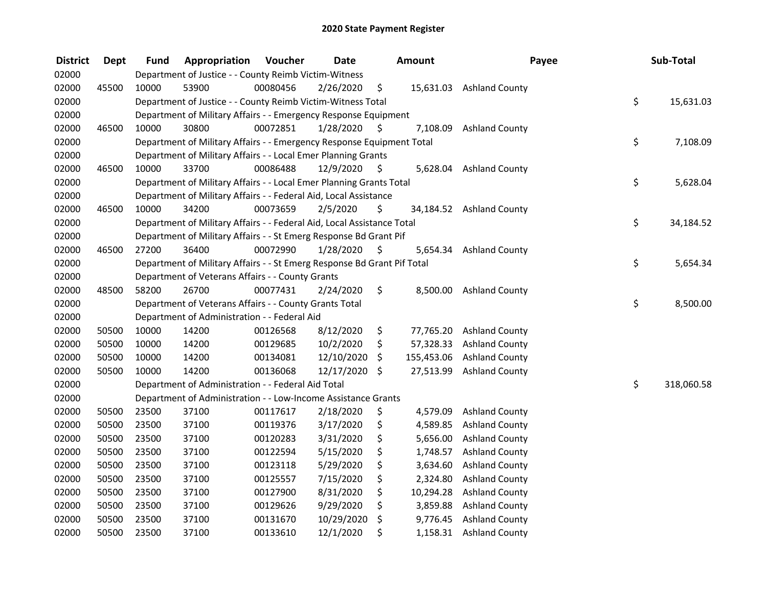| <b>District</b> | <b>Dept</b> | Fund  | Appropriation                                                           | Voucher  | <b>Date</b> |     | Amount     | Payee                    | Sub-Total        |
|-----------------|-------------|-------|-------------------------------------------------------------------------|----------|-------------|-----|------------|--------------------------|------------------|
| 02000           |             |       | Department of Justice - - County Reimb Victim-Witness                   |          |             |     |            |                          |                  |
| 02000           | 45500       | 10000 | 53900                                                                   | 00080456 | 2/26/2020   | \$  |            | 15,631.03 Ashland County |                  |
| 02000           |             |       | Department of Justice - - County Reimb Victim-Witness Total             |          |             |     |            |                          | \$<br>15,631.03  |
| 02000           |             |       | Department of Military Affairs - - Emergency Response Equipment         |          |             |     |            |                          |                  |
| 02000           | 46500       | 10000 | 30800                                                                   | 00072851 | 1/28/2020   | S   | 7,108.09   | <b>Ashland County</b>    |                  |
| 02000           |             |       | Department of Military Affairs - - Emergency Response Equipment Total   |          |             |     |            |                          | \$<br>7,108.09   |
| 02000           |             |       | Department of Military Affairs - - Local Emer Planning Grants           |          |             |     |            |                          |                  |
| 02000           | 46500       | 10000 | 33700                                                                   | 00086488 | 12/9/2020   | -\$ |            | 5,628.04 Ashland County  |                  |
| 02000           |             |       | Department of Military Affairs - - Local Emer Planning Grants Total     |          |             |     |            |                          | \$<br>5,628.04   |
| 02000           |             |       | Department of Military Affairs - - Federal Aid, Local Assistance        |          |             |     |            |                          |                  |
| 02000           | 46500       | 10000 | 34200                                                                   | 00073659 | 2/5/2020    | \$  |            | 34,184.52 Ashland County |                  |
| 02000           |             |       | Department of Military Affairs - - Federal Aid, Local Assistance Total  |          |             |     |            |                          | \$<br>34,184.52  |
| 02000           |             |       | Department of Military Affairs - - St Emerg Response Bd Grant Pif       |          |             |     |            |                          |                  |
| 02000           | 46500       | 27200 | 36400                                                                   | 00072990 | 1/28/2020   | \$  | 5,654.34   | <b>Ashland County</b>    |                  |
| 02000           |             |       | Department of Military Affairs - - St Emerg Response Bd Grant Pif Total |          |             |     |            |                          | \$<br>5,654.34   |
| 02000           |             |       | Department of Veterans Affairs - - County Grants                        |          |             |     |            |                          |                  |
| 02000           | 48500       | 58200 | 26700                                                                   | 00077431 | 2/24/2020   | \$  | 8,500.00   | <b>Ashland County</b>    |                  |
| 02000           |             |       | Department of Veterans Affairs - - County Grants Total                  |          |             |     |            |                          | \$<br>8,500.00   |
| 02000           |             |       | Department of Administration - - Federal Aid                            |          |             |     |            |                          |                  |
| 02000           | 50500       | 10000 | 14200                                                                   | 00126568 | 8/12/2020   | \$  | 77,765.20  | <b>Ashland County</b>    |                  |
| 02000           | 50500       | 10000 | 14200                                                                   | 00129685 | 10/2/2020   | \$  | 57,328.33  | <b>Ashland County</b>    |                  |
| 02000           | 50500       | 10000 | 14200                                                                   | 00134081 | 12/10/2020  | \$  | 155,453.06 | <b>Ashland County</b>    |                  |
| 02000           | 50500       | 10000 | 14200                                                                   | 00136068 | 12/17/2020  | \$  | 27,513.99  | <b>Ashland County</b>    |                  |
| 02000           |             |       | Department of Administration - - Federal Aid Total                      |          |             |     |            |                          | \$<br>318,060.58 |
| 02000           |             |       | Department of Administration - - Low-Income Assistance Grants           |          |             |     |            |                          |                  |
| 02000           | 50500       | 23500 | 37100                                                                   | 00117617 | 2/18/2020   | \$  | 4,579.09   | <b>Ashland County</b>    |                  |
| 02000           | 50500       | 23500 | 37100                                                                   | 00119376 | 3/17/2020   | \$  | 4,589.85   | <b>Ashland County</b>    |                  |
| 02000           | 50500       | 23500 | 37100                                                                   | 00120283 | 3/31/2020   | \$  | 5,656.00   | <b>Ashland County</b>    |                  |
| 02000           | 50500       | 23500 | 37100                                                                   | 00122594 | 5/15/2020   | \$  | 1,748.57   | <b>Ashland County</b>    |                  |
| 02000           | 50500       | 23500 | 37100                                                                   | 00123118 | 5/29/2020   | \$  | 3,634.60   | <b>Ashland County</b>    |                  |
| 02000           | 50500       | 23500 | 37100                                                                   | 00125557 | 7/15/2020   | \$  | 2,324.80   | <b>Ashland County</b>    |                  |
| 02000           | 50500       | 23500 | 37100                                                                   | 00127900 | 8/31/2020   | \$  | 10,294.28  | <b>Ashland County</b>    |                  |
| 02000           | 50500       | 23500 | 37100                                                                   | 00129626 | 9/29/2020   | \$  | 3,859.88   | <b>Ashland County</b>    |                  |
| 02000           | 50500       | 23500 | 37100                                                                   | 00131670 | 10/29/2020  | \$  | 9,776.45   | <b>Ashland County</b>    |                  |
| 02000           | 50500       | 23500 | 37100                                                                   | 00133610 | 12/1/2020   | \$  | 1,158.31   | <b>Ashland County</b>    |                  |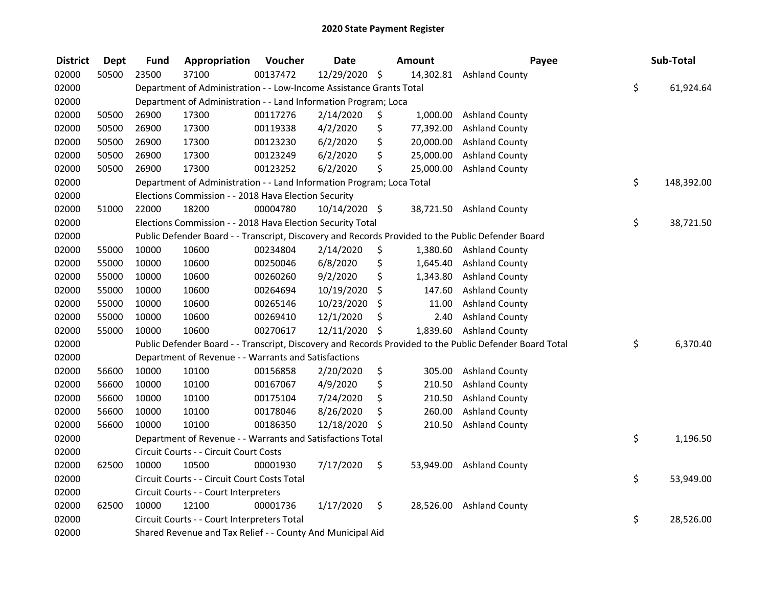| <b>District</b> | <b>Dept</b> | <b>Fund</b> | Appropriation                                                         | Voucher  | <b>Date</b>   | Amount          | Payee                                                                                                   | Sub-Total        |
|-----------------|-------------|-------------|-----------------------------------------------------------------------|----------|---------------|-----------------|---------------------------------------------------------------------------------------------------------|------------------|
| 02000           | 50500       | 23500       | 37100                                                                 | 00137472 | 12/29/2020 \$ |                 | 14,302.81 Ashland County                                                                                |                  |
| 02000           |             |             | Department of Administration - - Low-Income Assistance Grants Total   |          |               |                 |                                                                                                         | \$<br>61,924.64  |
| 02000           |             |             | Department of Administration - - Land Information Program; Loca       |          |               |                 |                                                                                                         |                  |
| 02000           | 50500       | 26900       | 17300                                                                 | 00117276 | 2/14/2020     | \$<br>1,000.00  | <b>Ashland County</b>                                                                                   |                  |
| 02000           | 50500       | 26900       | 17300                                                                 | 00119338 | 4/2/2020      | \$<br>77,392.00 | <b>Ashland County</b>                                                                                   |                  |
| 02000           | 50500       | 26900       | 17300                                                                 | 00123230 | 6/2/2020      | \$<br>20,000.00 | <b>Ashland County</b>                                                                                   |                  |
| 02000           | 50500       | 26900       | 17300                                                                 | 00123249 | 6/2/2020      | \$<br>25,000.00 | <b>Ashland County</b>                                                                                   |                  |
| 02000           | 50500       | 26900       | 17300                                                                 | 00123252 | 6/2/2020      | \$<br>25,000.00 | <b>Ashland County</b>                                                                                   |                  |
| 02000           |             |             | Department of Administration - - Land Information Program; Loca Total |          |               |                 |                                                                                                         | \$<br>148,392.00 |
| 02000           |             |             | Elections Commission - - 2018 Hava Election Security                  |          |               |                 |                                                                                                         |                  |
| 02000           | 51000       | 22000       | 18200                                                                 | 00004780 | 10/14/2020 \$ |                 | 38,721.50 Ashland County                                                                                |                  |
| 02000           |             |             | Elections Commission - - 2018 Hava Election Security Total            |          |               |                 |                                                                                                         | \$<br>38,721.50  |
| 02000           |             |             |                                                                       |          |               |                 | Public Defender Board - - Transcript, Discovery and Records Provided to the Public Defender Board       |                  |
| 02000           | 55000       | 10000       | 10600                                                                 | 00234804 | 2/14/2020     | \$<br>1,380.60  | <b>Ashland County</b>                                                                                   |                  |
| 02000           | 55000       | 10000       | 10600                                                                 | 00250046 | 6/8/2020      | \$<br>1,645.40  | <b>Ashland County</b>                                                                                   |                  |
| 02000           | 55000       | 10000       | 10600                                                                 | 00260260 | 9/2/2020      | \$<br>1,343.80  | <b>Ashland County</b>                                                                                   |                  |
| 02000           | 55000       | 10000       | 10600                                                                 | 00264694 | 10/19/2020    | \$<br>147.60    | <b>Ashland County</b>                                                                                   |                  |
| 02000           | 55000       | 10000       | 10600                                                                 | 00265146 | 10/23/2020    | \$<br>11.00     | <b>Ashland County</b>                                                                                   |                  |
| 02000           | 55000       | 10000       | 10600                                                                 | 00269410 | 12/1/2020     | \$<br>2.40      | <b>Ashland County</b>                                                                                   |                  |
| 02000           | 55000       | 10000       | 10600                                                                 | 00270617 | 12/11/2020    | \$<br>1,839.60  | <b>Ashland County</b>                                                                                   |                  |
| 02000           |             |             |                                                                       |          |               |                 | Public Defender Board - - Transcript, Discovery and Records Provided to the Public Defender Board Total | \$<br>6,370.40   |
| 02000           |             |             | Department of Revenue - - Warrants and Satisfactions                  |          |               |                 |                                                                                                         |                  |
| 02000           | 56600       | 10000       | 10100                                                                 | 00156858 | 2/20/2020     | \$<br>305.00    | <b>Ashland County</b>                                                                                   |                  |
| 02000           | 56600       | 10000       | 10100                                                                 | 00167067 | 4/9/2020      | \$<br>210.50    | <b>Ashland County</b>                                                                                   |                  |
| 02000           | 56600       | 10000       | 10100                                                                 | 00175104 | 7/24/2020     | \$<br>210.50    | <b>Ashland County</b>                                                                                   |                  |
| 02000           | 56600       | 10000       | 10100                                                                 | 00178046 | 8/26/2020     | \$<br>260.00    | <b>Ashland County</b>                                                                                   |                  |
| 02000           | 56600       | 10000       | 10100                                                                 | 00186350 | 12/18/2020    | \$<br>210.50    | <b>Ashland County</b>                                                                                   |                  |
| 02000           |             |             | Department of Revenue - - Warrants and Satisfactions Total            |          |               |                 |                                                                                                         | \$<br>1,196.50   |
| 02000           |             |             | Circuit Courts - - Circuit Court Costs                                |          |               |                 |                                                                                                         |                  |
| 02000           | 62500       | 10000       | 10500                                                                 | 00001930 | 7/17/2020     | \$<br>53,949.00 | <b>Ashland County</b>                                                                                   |                  |
| 02000           |             |             | Circuit Courts - - Circuit Court Costs Total                          |          |               |                 |                                                                                                         | \$<br>53,949.00  |
| 02000           |             |             | Circuit Courts - - Court Interpreters                                 |          |               |                 |                                                                                                         |                  |
| 02000           | 62500       | 10000       | 12100                                                                 | 00001736 | 1/17/2020     | \$<br>28,526.00 | <b>Ashland County</b>                                                                                   |                  |
| 02000           |             |             | Circuit Courts - - Court Interpreters Total                           |          |               |                 |                                                                                                         | \$<br>28,526.00  |
| 02000           |             |             | Shared Revenue and Tax Relief - - County And Municipal Aid            |          |               |                 |                                                                                                         |                  |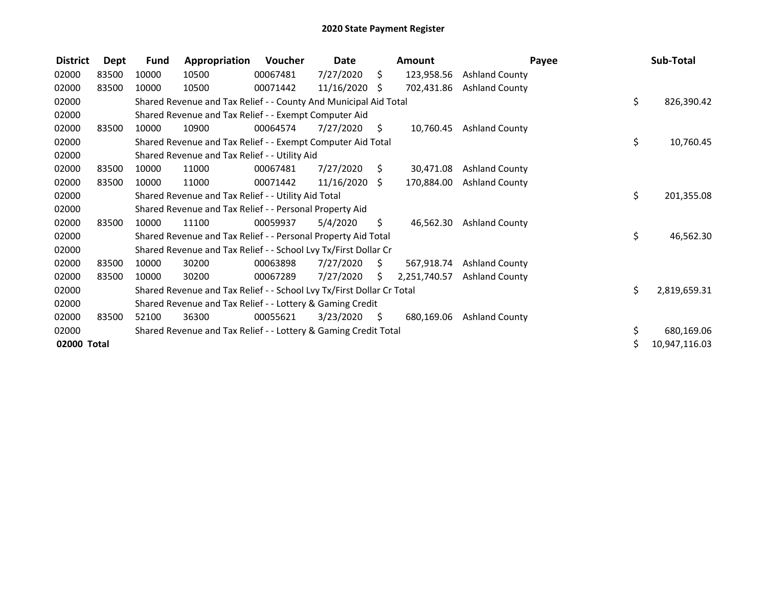| <b>District</b> | <b>Dept</b> | <b>Fund</b> | Appropriation                                                         | Voucher  | Date            |    | <b>Amount</b> |                       | Payee | Sub-Total     |
|-----------------|-------------|-------------|-----------------------------------------------------------------------|----------|-----------------|----|---------------|-----------------------|-------|---------------|
| 02000           | 83500       | 10000       | 10500                                                                 | 00067481 | 7/27/2020       | \$ | 123,958.56    | <b>Ashland County</b> |       |               |
| 02000           | 83500       | 10000       | 10500                                                                 | 00071442 | $11/16/2020$ \$ |    | 702,431.86    | <b>Ashland County</b> |       |               |
| 02000           |             |             | Shared Revenue and Tax Relief - - County And Municipal Aid Total      |          |                 |    |               |                       | \$    | 826,390.42    |
| 02000           |             |             | Shared Revenue and Tax Relief - - Exempt Computer Aid                 |          |                 |    |               |                       |       |               |
| 02000           | 83500       | 10000       | 10900                                                                 | 00064574 | 7/27/2020       | S. | 10,760.45     | <b>Ashland County</b> |       |               |
| 02000           |             |             | Shared Revenue and Tax Relief - - Exempt Computer Aid Total           |          |                 |    |               |                       | \$    | 10,760.45     |
| 02000           |             |             | Shared Revenue and Tax Relief - - Utility Aid                         |          |                 |    |               |                       |       |               |
| 02000           | 83500       | 10000       | 11000                                                                 | 00067481 | 7/27/2020       | S  | 30,471.08     | <b>Ashland County</b> |       |               |
| 02000           | 83500       | 10000       | 11000                                                                 | 00071442 | 11/16/2020      | S. | 170,884.00    | <b>Ashland County</b> |       |               |
| 02000           |             |             | Shared Revenue and Tax Relief - - Utility Aid Total                   |          |                 |    |               |                       | \$    | 201,355.08    |
| 02000           |             |             | Shared Revenue and Tax Relief - - Personal Property Aid               |          |                 |    |               |                       |       |               |
| 02000           | 83500       | 10000       | 11100                                                                 | 00059937 | 5/4/2020        | \$ | 46,562.30     | <b>Ashland County</b> |       |               |
| 02000           |             |             | Shared Revenue and Tax Relief - - Personal Property Aid Total         |          |                 |    |               |                       | \$    | 46,562.30     |
| 02000           |             |             | Shared Revenue and Tax Relief - - School Lvy Tx/First Dollar Cr       |          |                 |    |               |                       |       |               |
| 02000           | 83500       | 10000       | 30200                                                                 | 00063898 | 7/27/2020       | Ŝ. | 567,918.74    | <b>Ashland County</b> |       |               |
| 02000           | 83500       | 10000       | 30200                                                                 | 00067289 | 7/27/2020       | S. | 2,251,740.57  | <b>Ashland County</b> |       |               |
| 02000           |             |             | Shared Revenue and Tax Relief - - School Lvy Tx/First Dollar Cr Total |          |                 |    |               |                       | \$    | 2,819,659.31  |
| 02000           |             |             | Shared Revenue and Tax Relief - - Lottery & Gaming Credit             |          |                 |    |               |                       |       |               |
| 02000           | 83500       | 52100       | 36300                                                                 | 00055621 | 3/23/2020       | Ŝ. | 680,169.06    | <b>Ashland County</b> |       |               |
| 02000           |             |             | Shared Revenue and Tax Relief - - Lottery & Gaming Credit Total       |          |                 |    |               |                       | \$    | 680,169.06    |
| 02000 Total     |             |             |                                                                       |          |                 |    |               |                       |       | 10,947,116.03 |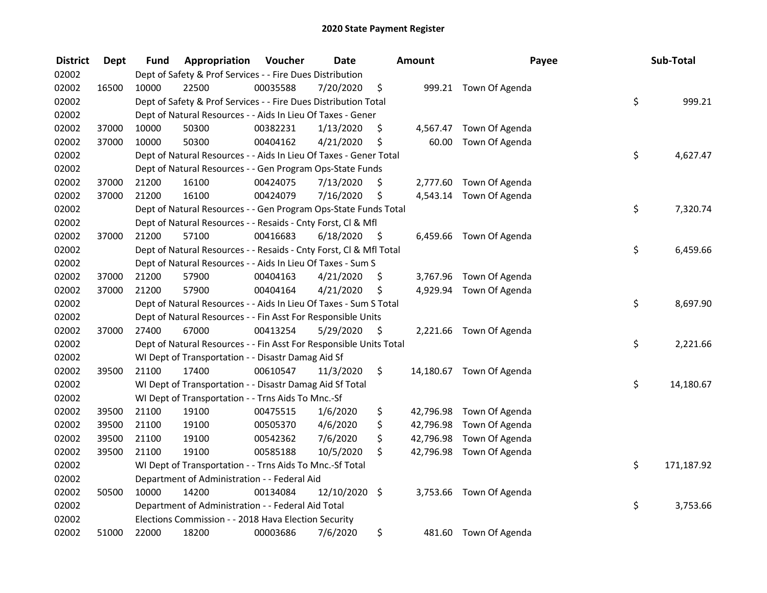| <b>District</b> | <b>Dept</b> | Fund  | Appropriation                                                      | Voucher  | <b>Date</b>   |      | Amount    | Payee                    | Sub-Total        |
|-----------------|-------------|-------|--------------------------------------------------------------------|----------|---------------|------|-----------|--------------------------|------------------|
| 02002           |             |       | Dept of Safety & Prof Services - - Fire Dues Distribution          |          |               |      |           |                          |                  |
| 02002           | 16500       | 10000 | 22500                                                              | 00035588 | 7/20/2020     | \$   |           | 999.21 Town Of Agenda    |                  |
| 02002           |             |       | Dept of Safety & Prof Services - - Fire Dues Distribution Total    |          |               |      |           |                          | \$<br>999.21     |
| 02002           |             |       | Dept of Natural Resources - - Aids In Lieu Of Taxes - Gener        |          |               |      |           |                          |                  |
| 02002           | 37000       | 10000 | 50300                                                              | 00382231 | 1/13/2020     | \$   |           | 4,567.47 Town Of Agenda  |                  |
| 02002           | 37000       | 10000 | 50300                                                              | 00404162 | 4/21/2020     | \$   | 60.00     | Town Of Agenda           |                  |
| 02002           |             |       | Dept of Natural Resources - - Aids In Lieu Of Taxes - Gener Total  |          |               |      |           |                          | \$<br>4,627.47   |
| 02002           |             |       | Dept of Natural Resources - - Gen Program Ops-State Funds          |          |               |      |           |                          |                  |
| 02002           | 37000       | 21200 | 16100                                                              | 00424075 | 7/13/2020     | \$   |           | 2,777.60 Town Of Agenda  |                  |
| 02002           | 37000       | 21200 | 16100                                                              | 00424079 | 7/16/2020     | \$   |           | 4,543.14 Town Of Agenda  |                  |
| 02002           |             |       | Dept of Natural Resources - - Gen Program Ops-State Funds Total    |          |               |      |           |                          | \$<br>7,320.74   |
| 02002           |             |       | Dept of Natural Resources - - Resaids - Cnty Forst, Cl & Mfl       |          |               |      |           |                          |                  |
| 02002           | 37000       | 21200 | 57100                                                              | 00416683 | 6/18/2020     | - \$ |           | 6,459.66 Town Of Agenda  |                  |
| 02002           |             |       | Dept of Natural Resources - - Resaids - Cnty Forst, Cl & Mfl Total |          |               |      |           |                          | \$<br>6,459.66   |
| 02002           |             |       | Dept of Natural Resources - - Aids In Lieu Of Taxes - Sum S        |          |               |      |           |                          |                  |
| 02002           | 37000       | 21200 | 57900                                                              | 00404163 | 4/21/2020     | \$   |           | 3,767.96 Town Of Agenda  |                  |
| 02002           | 37000       | 21200 | 57900                                                              | 00404164 | 4/21/2020     | \$   |           | 4,929.94 Town Of Agenda  |                  |
| 02002           |             |       | Dept of Natural Resources - - Aids In Lieu Of Taxes - Sum S Total  |          |               |      |           |                          | \$<br>8,697.90   |
| 02002           |             |       | Dept of Natural Resources - - Fin Asst For Responsible Units       |          |               |      |           |                          |                  |
| 02002           | 37000       | 27400 | 67000                                                              | 00413254 | 5/29/2020     | - \$ |           | 2,221.66 Town Of Agenda  |                  |
| 02002           |             |       | Dept of Natural Resources - - Fin Asst For Responsible Units Total |          |               |      |           |                          | \$<br>2,221.66   |
| 02002           |             |       | WI Dept of Transportation - - Disastr Damag Aid Sf                 |          |               |      |           |                          |                  |
| 02002           | 39500       | 21100 | 17400                                                              | 00610547 | 11/3/2020     | \$.  |           | 14,180.67 Town Of Agenda |                  |
| 02002           |             |       | WI Dept of Transportation - - Disastr Damag Aid Sf Total           |          |               |      |           |                          | \$<br>14,180.67  |
| 02002           |             |       | WI Dept of Transportation - - Trns Aids To Mnc.-Sf                 |          |               |      |           |                          |                  |
| 02002           | 39500       | 21100 | 19100                                                              | 00475515 | 1/6/2020      | \$   | 42,796.98 | Town Of Agenda           |                  |
| 02002           | 39500       | 21100 | 19100                                                              | 00505370 | 4/6/2020      | \$   | 42,796.98 | Town Of Agenda           |                  |
| 02002           | 39500       | 21100 | 19100                                                              | 00542362 | 7/6/2020      | \$   | 42,796.98 | Town Of Agenda           |                  |
| 02002           | 39500       | 21100 | 19100                                                              | 00585188 | 10/5/2020     | \$   |           | 42,796.98 Town Of Agenda |                  |
| 02002           |             |       | WI Dept of Transportation - - Trns Aids To Mnc.-Sf Total           |          |               |      |           |                          | \$<br>171,187.92 |
| 02002           |             |       | Department of Administration - - Federal Aid                       |          |               |      |           |                          |                  |
| 02002           | 50500       | 10000 | 14200                                                              | 00134084 | 12/10/2020 \$ |      |           | 3,753.66 Town Of Agenda  |                  |
| 02002           |             |       | Department of Administration - - Federal Aid Total                 |          |               |      |           |                          | \$<br>3,753.66   |
| 02002           |             |       | Elections Commission - - 2018 Hava Election Security               |          |               |      |           |                          |                  |
| 02002           | 51000       | 22000 | 18200                                                              | 00003686 | 7/6/2020      | \$   |           | 481.60 Town Of Agenda    |                  |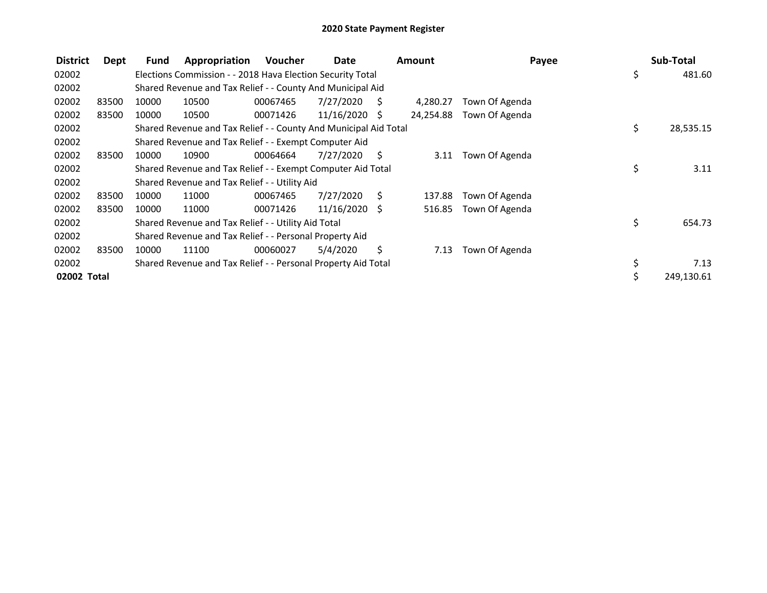| <b>District</b> | Dept  | Fund  | Appropriation                                                    | <b>Voucher</b> | Date            |     | <b>Amount</b> | Payee          | Sub-Total       |
|-----------------|-------|-------|------------------------------------------------------------------|----------------|-----------------|-----|---------------|----------------|-----------------|
| 02002           |       |       | Elections Commission - - 2018 Hava Election Security Total       |                |                 |     |               |                | \$<br>481.60    |
| 02002           |       |       | Shared Revenue and Tax Relief - - County And Municipal Aid       |                |                 |     |               |                |                 |
| 02002           | 83500 | 10000 | 10500                                                            | 00067465       | 7/27/2020       | - S | 4,280.27      | Town Of Agenda |                 |
| 02002           | 83500 | 10000 | 10500                                                            | 00071426       | $11/16/2020$ \$ |     | 24,254.88     | Town Of Agenda |                 |
| 02002           |       |       | Shared Revenue and Tax Relief - - County And Municipal Aid Total |                |                 |     |               |                | \$<br>28,535.15 |
| 02002           |       |       | Shared Revenue and Tax Relief - - Exempt Computer Aid            |                |                 |     |               |                |                 |
| 02002           | 83500 | 10000 | 10900                                                            | 00064664       | 7/27/2020       | - S | 3.11          | Town Of Agenda |                 |
| 02002           |       |       | Shared Revenue and Tax Relief - - Exempt Computer Aid Total      |                |                 |     |               |                | \$<br>3.11      |
| 02002           |       |       | Shared Revenue and Tax Relief - - Utility Aid                    |                |                 |     |               |                |                 |
| 02002           | 83500 | 10000 | 11000                                                            | 00067465       | 7/27/2020       | S   | 137.88        | Town Of Agenda |                 |
| 02002           | 83500 | 10000 | 11000                                                            | 00071426       | 11/16/2020 \$   |     | 516.85        | Town Of Agenda |                 |
| 02002           |       |       | Shared Revenue and Tax Relief - - Utility Aid Total              |                |                 |     |               |                | \$<br>654.73    |
| 02002           |       |       | Shared Revenue and Tax Relief - - Personal Property Aid          |                |                 |     |               |                |                 |
| 02002           | 83500 | 10000 | 11100                                                            | 00060027       | 5/4/2020        | \$  | 7.13          | Town Of Agenda |                 |
| 02002           |       |       | Shared Revenue and Tax Relief - - Personal Property Aid Total    |                |                 |     |               |                | \$<br>7.13      |
| 02002 Total     |       |       |                                                                  |                |                 |     |               |                | 249,130.61      |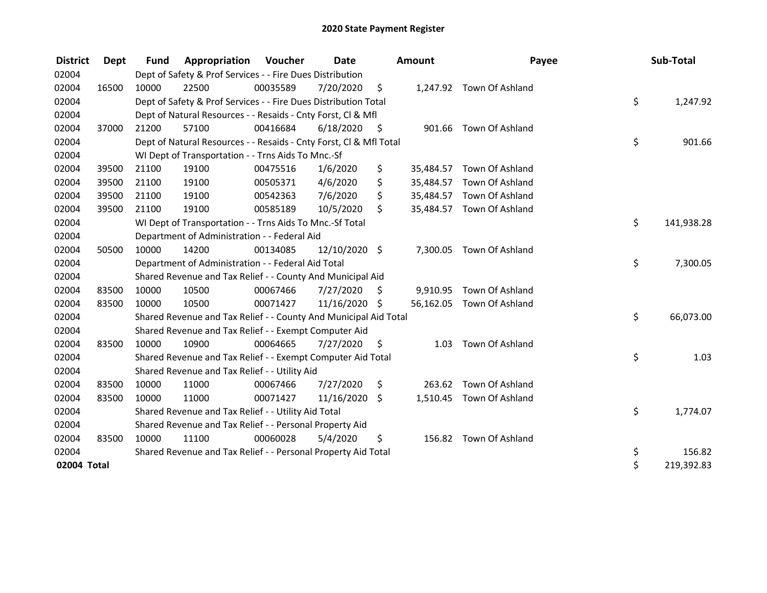| <b>District</b> | <b>Dept</b> | <b>Fund</b> | Appropriation                                                      | Voucher  | Date          |      | Amount   | Payee                     | Sub-Total        |
|-----------------|-------------|-------------|--------------------------------------------------------------------|----------|---------------|------|----------|---------------------------|------------------|
| 02004           |             |             | Dept of Safety & Prof Services - - Fire Dues Distribution          |          |               |      |          |                           |                  |
| 02004           | 16500       | 10000       | 22500                                                              | 00035589 | 7/20/2020     | \$   |          | 1,247.92 Town Of Ashland  |                  |
| 02004           |             |             | Dept of Safety & Prof Services - - Fire Dues Distribution Total    |          |               |      |          |                           | \$<br>1,247.92   |
| 02004           |             |             | Dept of Natural Resources - - Resaids - Cnty Forst, CI & Mfl       |          |               |      |          |                           |                  |
| 02004           | 37000       | 21200       | 57100                                                              | 00416684 | 6/18/2020     | - \$ |          | 901.66 Town Of Ashland    |                  |
| 02004           |             |             | Dept of Natural Resources - - Resaids - Cnty Forst, Cl & Mfl Total |          |               |      |          |                           | \$<br>901.66     |
| 02004           |             |             | WI Dept of Transportation - - Trns Aids To Mnc.-Sf                 |          |               |      |          |                           |                  |
| 02004           | 39500       | 21100       | 19100                                                              | 00475516 | 1/6/2020      | \$   |          | 35,484.57 Town Of Ashland |                  |
| 02004           | 39500       | 21100       | 19100                                                              | 00505371 | 4/6/2020      | \$   |          | 35,484.57 Town Of Ashland |                  |
| 02004           | 39500       | 21100       | 19100                                                              | 00542363 | 7/6/2020      | \$   |          | 35,484.57 Town Of Ashland |                  |
| 02004           | 39500       | 21100       | 19100                                                              | 00585189 | 10/5/2020     | Ś.   |          | 35,484.57 Town Of Ashland |                  |
| 02004           |             |             | WI Dept of Transportation - - Trns Aids To Mnc.-Sf Total           |          |               |      |          |                           | \$<br>141,938.28 |
| 02004           |             |             | Department of Administration - - Federal Aid                       |          |               |      |          |                           |                  |
| 02004           | 50500       | 10000       | 14200                                                              | 00134085 | 12/10/2020 \$ |      |          | 7,300.05 Town Of Ashland  |                  |
| 02004           |             |             | Department of Administration - - Federal Aid Total                 |          |               |      |          |                           | \$<br>7,300.05   |
| 02004           |             |             | Shared Revenue and Tax Relief - - County And Municipal Aid         |          |               |      |          |                           |                  |
| 02004           | 83500       | 10000       | 10500                                                              | 00067466 | 7/27/2020     | \$   | 9,910.95 | Town Of Ashland           |                  |
| 02004           | 83500       | 10000       | 10500                                                              | 00071427 | 11/16/2020 \$ |      |          | 56,162.05 Town Of Ashland |                  |
| 02004           |             |             | Shared Revenue and Tax Relief - - County And Municipal Aid Total   |          |               |      |          |                           | \$<br>66,073.00  |
| 02004           |             |             | Shared Revenue and Tax Relief - - Exempt Computer Aid              |          |               |      |          |                           |                  |
| 02004           | 83500       | 10000       | 10900                                                              | 00064665 | 7/27/2020     | \$.  | 1.03     | Town Of Ashland           |                  |
| 02004           |             |             | Shared Revenue and Tax Relief - - Exempt Computer Aid Total        |          |               |      |          |                           | \$<br>1.03       |
| 02004           |             |             | Shared Revenue and Tax Relief - - Utility Aid                      |          |               |      |          |                           |                  |
| 02004           | 83500       | 10000       | 11000                                                              | 00067466 | 7/27/2020     | \$   |          | 263.62 Town Of Ashland    |                  |
| 02004           | 83500       | 10000       | 11000                                                              | 00071427 | 11/16/2020    | \$   |          | 1,510.45 Town Of Ashland  |                  |
| 02004           |             |             | Shared Revenue and Tax Relief - - Utility Aid Total                |          |               |      |          |                           | \$<br>1,774.07   |
| 02004           |             |             | Shared Revenue and Tax Relief - - Personal Property Aid            |          |               |      |          |                           |                  |
| 02004           | 83500       | 10000       | 11100                                                              | 00060028 | 5/4/2020      | \$   |          | 156.82 Town Of Ashland    |                  |
| 02004           |             |             | Shared Revenue and Tax Relief - - Personal Property Aid Total      |          |               |      |          |                           | \$<br>156.82     |
| 02004 Total     |             |             |                                                                    |          |               |      |          |                           | \$<br>219,392.83 |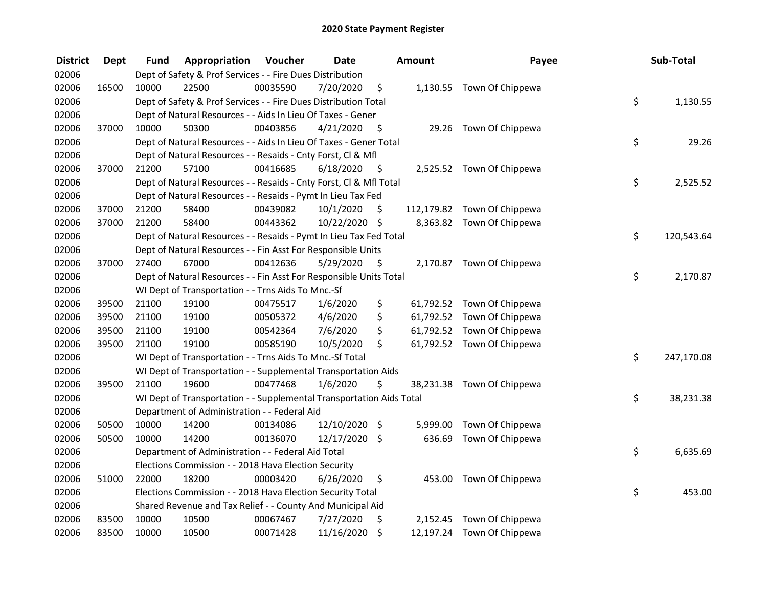| <b>District</b> | <b>Dept</b> | Fund  | Appropriation                                                        | Voucher  | <b>Date</b>   |      | Amount   | Payee                       | Sub-Total        |
|-----------------|-------------|-------|----------------------------------------------------------------------|----------|---------------|------|----------|-----------------------------|------------------|
| 02006           |             |       | Dept of Safety & Prof Services - - Fire Dues Distribution            |          |               |      |          |                             |                  |
| 02006           | 16500       | 10000 | 22500                                                                | 00035590 | 7/20/2020     | \$   |          | 1,130.55 Town Of Chippewa   |                  |
| 02006           |             |       | Dept of Safety & Prof Services - - Fire Dues Distribution Total      |          |               |      |          |                             | \$<br>1,130.55   |
| 02006           |             |       | Dept of Natural Resources - - Aids In Lieu Of Taxes - Gener          |          |               |      |          |                             |                  |
| 02006           | 37000       | 10000 | 50300                                                                | 00403856 | 4/21/2020     | - \$ |          | 29.26 Town Of Chippewa      |                  |
| 02006           |             |       | Dept of Natural Resources - - Aids In Lieu Of Taxes - Gener Total    |          |               |      |          |                             | \$<br>29.26      |
| 02006           |             |       | Dept of Natural Resources - - Resaids - Cnty Forst, Cl & Mfl         |          |               |      |          |                             |                  |
| 02006           | 37000       | 21200 | 57100                                                                | 00416685 | 6/18/2020     | - \$ |          | 2,525.52 Town Of Chippewa   |                  |
| 02006           |             |       | Dept of Natural Resources - - Resaids - Cnty Forst, CI & Mfl Total   |          |               |      |          |                             | \$<br>2,525.52   |
| 02006           |             |       | Dept of Natural Resources - - Resaids - Pymt In Lieu Tax Fed         |          |               |      |          |                             |                  |
| 02006           | 37000       | 21200 | 58400                                                                | 00439082 | 10/1/2020     | \$.  |          | 112,179.82 Town Of Chippewa |                  |
| 02006           | 37000       | 21200 | 58400                                                                | 00443362 | 10/22/2020 \$ |      |          | 8,363.82 Town Of Chippewa   |                  |
| 02006           |             |       | Dept of Natural Resources - - Resaids - Pymt In Lieu Tax Fed Total   |          |               |      |          |                             | \$<br>120,543.64 |
| 02006           |             |       | Dept of Natural Resources - - Fin Asst For Responsible Units         |          |               |      |          |                             |                  |
| 02006           | 37000       | 27400 | 67000                                                                | 00412636 | 5/29/2020     | \$   |          | 2,170.87 Town Of Chippewa   |                  |
| 02006           |             |       | Dept of Natural Resources - - Fin Asst For Responsible Units Total   |          |               |      |          |                             | \$<br>2,170.87   |
| 02006           |             |       | WI Dept of Transportation - - Trns Aids To Mnc.-Sf                   |          |               |      |          |                             |                  |
| 02006           | 39500       | 21100 | 19100                                                                | 00475517 | 1/6/2020      | \$   |          | 61,792.52 Town Of Chippewa  |                  |
| 02006           | 39500       | 21100 | 19100                                                                | 00505372 | 4/6/2020      | \$   |          | 61,792.52 Town Of Chippewa  |                  |
| 02006           | 39500       | 21100 | 19100                                                                | 00542364 | 7/6/2020      | \$   |          | 61,792.52 Town Of Chippewa  |                  |
| 02006           | 39500       | 21100 | 19100                                                                | 00585190 | 10/5/2020     | \$   |          | 61,792.52 Town Of Chippewa  |                  |
| 02006           |             |       | WI Dept of Transportation - - Trns Aids To Mnc.-Sf Total             |          |               |      |          |                             | \$<br>247,170.08 |
| 02006           |             |       | WI Dept of Transportation - - Supplemental Transportation Aids       |          |               |      |          |                             |                  |
| 02006           | 39500       | 21100 | 19600                                                                | 00477468 | 1/6/2020      | \$   |          | 38,231.38 Town Of Chippewa  |                  |
| 02006           |             |       | WI Dept of Transportation - - Supplemental Transportation Aids Total |          |               |      |          |                             | \$<br>38,231.38  |
| 02006           |             |       | Department of Administration - - Federal Aid                         |          |               |      |          |                             |                  |
| 02006           | 50500       | 10000 | 14200                                                                | 00134086 | 12/10/2020 \$ |      | 5,999.00 | Town Of Chippewa            |                  |
| 02006           | 50500       | 10000 | 14200                                                                | 00136070 | 12/17/2020 \$ |      | 636.69   | Town Of Chippewa            |                  |
| 02006           |             |       | Department of Administration - - Federal Aid Total                   |          |               |      |          |                             | \$<br>6,635.69   |
| 02006           |             |       | Elections Commission - - 2018 Hava Election Security                 |          |               |      |          |                             |                  |
| 02006           | 51000       | 22000 | 18200                                                                | 00003420 | 6/26/2020     | \$   | 453.00   | Town Of Chippewa            |                  |
| 02006           |             |       | Elections Commission - - 2018 Hava Election Security Total           |          |               |      |          |                             | \$<br>453.00     |
| 02006           |             |       | Shared Revenue and Tax Relief - - County And Municipal Aid           |          |               |      |          |                             |                  |
| 02006           | 83500       | 10000 | 10500                                                                | 00067467 | 7/27/2020     | \$   | 2,152.45 | Town Of Chippewa            |                  |
| 02006           | 83500       | 10000 | 10500                                                                | 00071428 | 11/16/2020    | \$   |          | 12,197.24 Town Of Chippewa  |                  |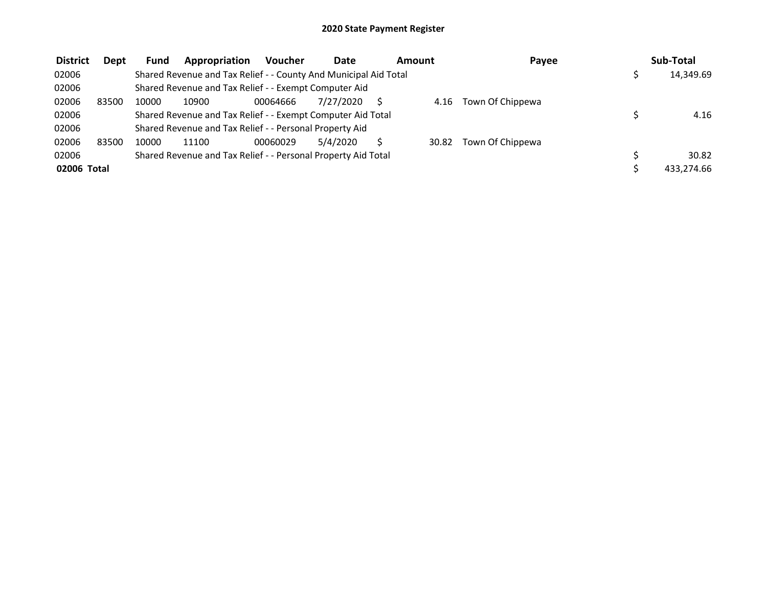| <b>District</b> | Dept  | <b>Fund</b> | Appropriation                                                    | <b>Voucher</b> | <b>Date</b> | Amount |       | Payee            | Sub-Total  |
|-----------------|-------|-------------|------------------------------------------------------------------|----------------|-------------|--------|-------|------------------|------------|
| 02006           |       |             | Shared Revenue and Tax Relief - - County And Municipal Aid Total |                |             |        |       |                  | 14,349.69  |
| 02006           |       |             | Shared Revenue and Tax Relief - - Exempt Computer Aid            |                |             |        |       |                  |            |
| 02006           | 83500 | 10000       | 10900                                                            | 00064666       | 7/27/2020   |        | 4.16  | Town Of Chippewa |            |
| 02006           |       |             | Shared Revenue and Tax Relief - - Exempt Computer Aid Total      |                |             |        |       |                  | 4.16       |
| 02006           |       |             | Shared Revenue and Tax Relief - - Personal Property Aid          |                |             |        |       |                  |            |
| 02006           | 83500 | 10000       | 11100                                                            | 00060029       | 5/4/2020    |        | 30.82 | Town Of Chippewa |            |
| 02006           |       |             | Shared Revenue and Tax Relief - - Personal Property Aid Total    |                |             |        |       |                  | 30.82      |
| 02006 Total     |       |             |                                                                  |                |             |        |       |                  | 433.274.66 |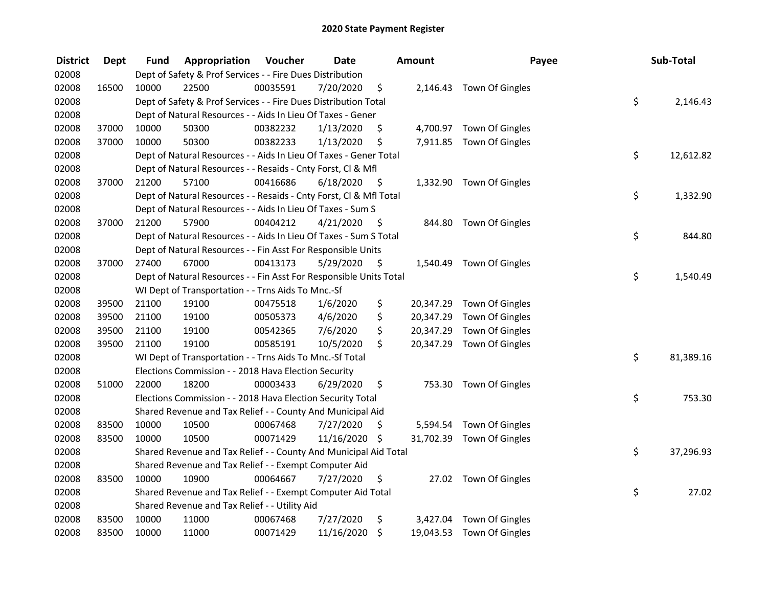| <b>District</b> | <b>Dept</b> | Fund  | Appropriation                                                      | Voucher  | <b>Date</b>   |      | <b>Amount</b> | Payee                     | Sub-Total       |
|-----------------|-------------|-------|--------------------------------------------------------------------|----------|---------------|------|---------------|---------------------------|-----------------|
| 02008           |             |       | Dept of Safety & Prof Services - - Fire Dues Distribution          |          |               |      |               |                           |                 |
| 02008           | 16500       | 10000 | 22500                                                              | 00035591 | 7/20/2020     | \$   |               | 2,146.43 Town Of Gingles  |                 |
| 02008           |             |       | Dept of Safety & Prof Services - - Fire Dues Distribution Total    |          |               |      |               |                           | \$<br>2,146.43  |
| 02008           |             |       | Dept of Natural Resources - - Aids In Lieu Of Taxes - Gener        |          |               |      |               |                           |                 |
| 02008           | 37000       | 10000 | 50300                                                              | 00382232 | 1/13/2020     | \$   |               | 4,700.97 Town Of Gingles  |                 |
| 02008           | 37000       | 10000 | 50300                                                              | 00382233 | 1/13/2020     | \$   |               | 7,911.85 Town Of Gingles  |                 |
| 02008           |             |       | Dept of Natural Resources - - Aids In Lieu Of Taxes - Gener Total  |          |               |      |               |                           | \$<br>12,612.82 |
| 02008           |             |       | Dept of Natural Resources - - Resaids - Cnty Forst, Cl & Mfl       |          |               |      |               |                           |                 |
| 02008           | 37000       | 21200 | 57100                                                              | 00416686 | 6/18/2020     | - \$ |               | 1,332.90 Town Of Gingles  |                 |
| 02008           |             |       | Dept of Natural Resources - - Resaids - Cnty Forst, Cl & Mfl Total |          |               |      |               |                           | \$<br>1,332.90  |
| 02008           |             |       | Dept of Natural Resources - - Aids In Lieu Of Taxes - Sum S        |          |               |      |               |                           |                 |
| 02008           | 37000       | 21200 | 57900                                                              | 00404212 | 4/21/2020     | -\$  | 844.80        | Town Of Gingles           |                 |
| 02008           |             |       | Dept of Natural Resources - - Aids In Lieu Of Taxes - Sum S Total  |          |               |      |               |                           | \$<br>844.80    |
| 02008           |             |       | Dept of Natural Resources - - Fin Asst For Responsible Units       |          |               |      |               |                           |                 |
| 02008           | 37000       | 27400 | 67000                                                              | 00413173 | 5/29/2020     | \$   | 1,540.49      | Town Of Gingles           |                 |
| 02008           |             |       | Dept of Natural Resources - - Fin Asst For Responsible Units Total |          |               |      |               |                           | \$<br>1,540.49  |
| 02008           |             |       | WI Dept of Transportation - - Trns Aids To Mnc.-Sf                 |          |               |      |               |                           |                 |
| 02008           | 39500       | 21100 | 19100                                                              | 00475518 | 1/6/2020      | \$   | 20,347.29     | Town Of Gingles           |                 |
| 02008           | 39500       | 21100 | 19100                                                              | 00505373 | 4/6/2020      | \$   | 20,347.29     | Town Of Gingles           |                 |
| 02008           | 39500       | 21100 | 19100                                                              | 00542365 | 7/6/2020      | \$   | 20,347.29     | Town Of Gingles           |                 |
| 02008           | 39500       | 21100 | 19100                                                              | 00585191 | 10/5/2020     | \$   | 20,347.29     | Town Of Gingles           |                 |
| 02008           |             |       | WI Dept of Transportation - - Trns Aids To Mnc.-Sf Total           |          |               |      |               |                           | \$<br>81,389.16 |
| 02008           |             |       | Elections Commission - - 2018 Hava Election Security               |          |               |      |               |                           |                 |
| 02008           | 51000       | 22000 | 18200                                                              | 00003433 | 6/29/2020     | \$   |               | 753.30 Town Of Gingles    |                 |
| 02008           |             |       | Elections Commission - - 2018 Hava Election Security Total         |          |               |      |               |                           | \$<br>753.30    |
| 02008           |             |       | Shared Revenue and Tax Relief - - County And Municipal Aid         |          |               |      |               |                           |                 |
| 02008           | 83500       | 10000 | 10500                                                              | 00067468 | 7/27/2020     | \$   | 5,594.54      | Town Of Gingles           |                 |
| 02008           | 83500       | 10000 | 10500                                                              | 00071429 | 11/16/2020 \$ |      |               | 31,702.39 Town Of Gingles |                 |
| 02008           |             |       | Shared Revenue and Tax Relief - - County And Municipal Aid Total   |          |               |      |               |                           | \$<br>37,296.93 |
| 02008           |             |       | Shared Revenue and Tax Relief - - Exempt Computer Aid              |          |               |      |               |                           |                 |
| 02008           | 83500       | 10000 | 10900                                                              | 00064667 | 7/27/2020     | \$   |               | 27.02 Town Of Gingles     |                 |
| 02008           |             |       | Shared Revenue and Tax Relief - - Exempt Computer Aid Total        |          |               |      |               |                           | \$<br>27.02     |
| 02008           |             |       | Shared Revenue and Tax Relief - - Utility Aid                      |          |               |      |               |                           |                 |
| 02008           | 83500       | 10000 | 11000                                                              | 00067468 | 7/27/2020     | \$   | 3,427.04      | Town Of Gingles           |                 |
| 02008           | 83500       | 10000 | 11000                                                              | 00071429 | 11/16/2020    | \$   |               | 19,043.53 Town Of Gingles |                 |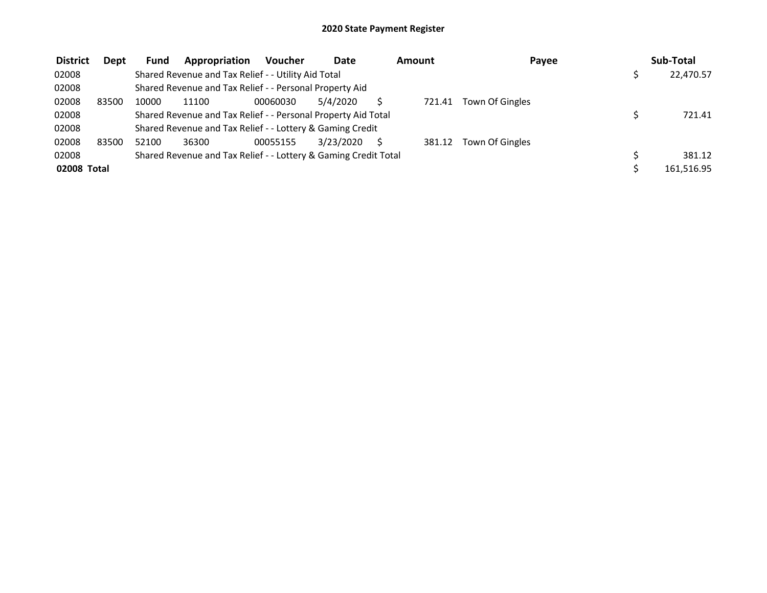| <b>District</b> | Dept  | <b>Fund</b> | Appropriation                                                   | <b>Voucher</b> | <b>Date</b> | Amount | Payee           | Sub-Total  |
|-----------------|-------|-------------|-----------------------------------------------------------------|----------------|-------------|--------|-----------------|------------|
| 02008           |       |             | Shared Revenue and Tax Relief - - Utility Aid Total             |                |             |        |                 | 22,470.57  |
| 02008           |       |             | Shared Revenue and Tax Relief - - Personal Property Aid         |                |             |        |                 |            |
| 02008           | 83500 | 10000       | 11100                                                           | 00060030       | 5/4/2020    | 721.41 | Town Of Gingles |            |
| 02008           |       |             | Shared Revenue and Tax Relief - - Personal Property Aid Total   |                |             |        |                 | 721.41     |
| 02008           |       |             | Shared Revenue and Tax Relief - - Lottery & Gaming Credit       |                |             |        |                 |            |
| 02008           | 83500 | 52100       | 36300                                                           | 00055155       | 3/23/2020   | 381.12 | Town Of Gingles |            |
| 02008           |       |             | Shared Revenue and Tax Relief - - Lottery & Gaming Credit Total |                |             |        |                 | 381.12     |
| 02008 Total     |       |             |                                                                 |                |             |        |                 | 161.516.95 |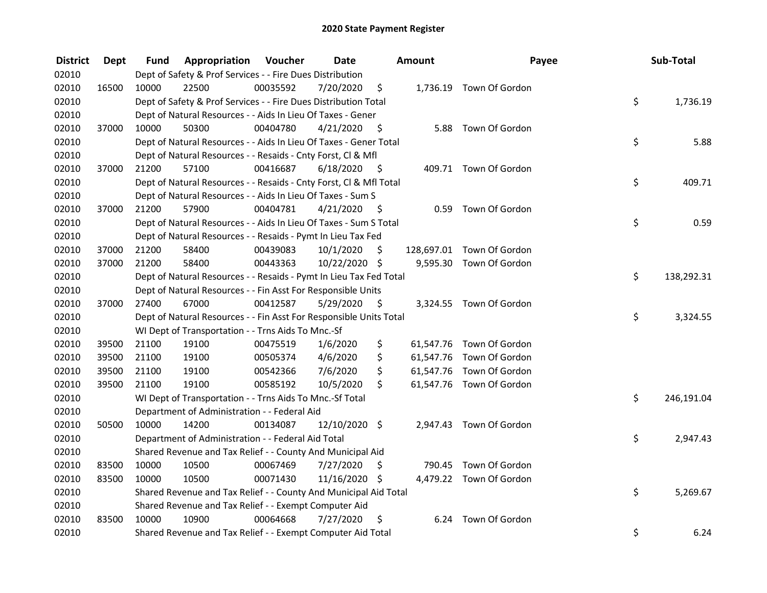| <b>District</b> | <b>Dept</b> | Fund  | Appropriation                                                      | Voucher  | <b>Date</b>   |      | Amount | Payee                     | Sub-Total        |
|-----------------|-------------|-------|--------------------------------------------------------------------|----------|---------------|------|--------|---------------------------|------------------|
| 02010           |             |       | Dept of Safety & Prof Services - - Fire Dues Distribution          |          |               |      |        |                           |                  |
| 02010           | 16500       | 10000 | 22500                                                              | 00035592 | 7/20/2020     | \$   |        | 1,736.19 Town Of Gordon   |                  |
| 02010           |             |       | Dept of Safety & Prof Services - - Fire Dues Distribution Total    |          |               |      |        |                           | \$<br>1,736.19   |
| 02010           |             |       | Dept of Natural Resources - - Aids In Lieu Of Taxes - Gener        |          |               |      |        |                           |                  |
| 02010           | 37000       | 10000 | 50300                                                              | 00404780 | 4/21/2020     | - \$ |        | 5.88 Town Of Gordon       |                  |
| 02010           |             |       | Dept of Natural Resources - - Aids In Lieu Of Taxes - Gener Total  |          |               |      |        |                           | \$<br>5.88       |
| 02010           |             |       | Dept of Natural Resources - - Resaids - Cnty Forst, Cl & Mfl       |          |               |      |        |                           |                  |
| 02010           | 37000       | 21200 | 57100                                                              | 00416687 | 6/18/2020     | - \$ |        | 409.71 Town Of Gordon     |                  |
| 02010           |             |       | Dept of Natural Resources - - Resaids - Cnty Forst, Cl & Mfl Total |          |               |      |        |                           | \$<br>409.71     |
| 02010           |             |       | Dept of Natural Resources - - Aids In Lieu Of Taxes - Sum S        |          |               |      |        |                           |                  |
| 02010           | 37000       | 21200 | 57900                                                              | 00404781 | 4/21/2020     | - S  | 0.59   | Town Of Gordon            |                  |
| 02010           |             |       | Dept of Natural Resources - - Aids In Lieu Of Taxes - Sum S Total  |          |               |      |        |                           | \$<br>0.59       |
| 02010           |             |       | Dept of Natural Resources - - Resaids - Pymt In Lieu Tax Fed       |          |               |      |        |                           |                  |
| 02010           | 37000       | 21200 | 58400                                                              | 00439083 | 10/1/2020     | \$   |        | 128,697.01 Town Of Gordon |                  |
| 02010           | 37000       | 21200 | 58400                                                              | 00443363 | 10/22/2020 \$ |      |        | 9,595.30 Town Of Gordon   |                  |
| 02010           |             |       | Dept of Natural Resources - - Resaids - Pymt In Lieu Tax Fed Total |          |               |      |        |                           | \$<br>138,292.31 |
| 02010           |             |       | Dept of Natural Resources - - Fin Asst For Responsible Units       |          |               |      |        |                           |                  |
| 02010           | 37000       | 27400 | 67000                                                              | 00412587 | 5/29/2020     | \$   |        | 3,324.55 Town Of Gordon   |                  |
| 02010           |             |       | Dept of Natural Resources - - Fin Asst For Responsible Units Total |          |               |      |        |                           | \$<br>3,324.55   |
| 02010           |             |       | WI Dept of Transportation - - Trns Aids To Mnc.-Sf                 |          |               |      |        |                           |                  |
| 02010           | 39500       | 21100 | 19100                                                              | 00475519 | 1/6/2020      | \$   |        | 61,547.76 Town Of Gordon  |                  |
| 02010           | 39500       | 21100 | 19100                                                              | 00505374 | 4/6/2020      | \$   |        | 61,547.76 Town Of Gordon  |                  |
| 02010           | 39500       | 21100 | 19100                                                              | 00542366 | 7/6/2020      | \$   |        | 61,547.76 Town Of Gordon  |                  |
| 02010           | 39500       | 21100 | 19100                                                              | 00585192 | 10/5/2020     | \$   |        | 61,547.76 Town Of Gordon  |                  |
| 02010           |             |       | WI Dept of Transportation - - Trns Aids To Mnc.-Sf Total           |          |               |      |        |                           | \$<br>246,191.04 |
| 02010           |             |       | Department of Administration - - Federal Aid                       |          |               |      |        |                           |                  |
| 02010           | 50500       | 10000 | 14200                                                              | 00134087 | 12/10/2020 \$ |      |        | 2,947.43 Town Of Gordon   |                  |
| 02010           |             |       | Department of Administration - - Federal Aid Total                 |          |               |      |        |                           | \$<br>2,947.43   |
| 02010           |             |       | Shared Revenue and Tax Relief - - County And Municipal Aid         |          |               |      |        |                           |                  |
| 02010           | 83500       | 10000 | 10500                                                              | 00067469 | 7/27/2020     | -\$  |        | 790.45 Town Of Gordon     |                  |
| 02010           | 83500       | 10000 | 10500                                                              | 00071430 | 11/16/2020 \$ |      |        | 4,479.22 Town Of Gordon   |                  |
| 02010           |             |       | Shared Revenue and Tax Relief - - County And Municipal Aid Total   |          |               |      |        |                           | \$<br>5,269.67   |
| 02010           |             |       | Shared Revenue and Tax Relief - - Exempt Computer Aid              |          |               |      |        |                           |                  |
| 02010           | 83500       | 10000 | 10900                                                              | 00064668 | 7/27/2020     | -\$  | 6.24   | Town Of Gordon            |                  |
| 02010           |             |       | Shared Revenue and Tax Relief - - Exempt Computer Aid Total        |          |               |      |        |                           | \$<br>6.24       |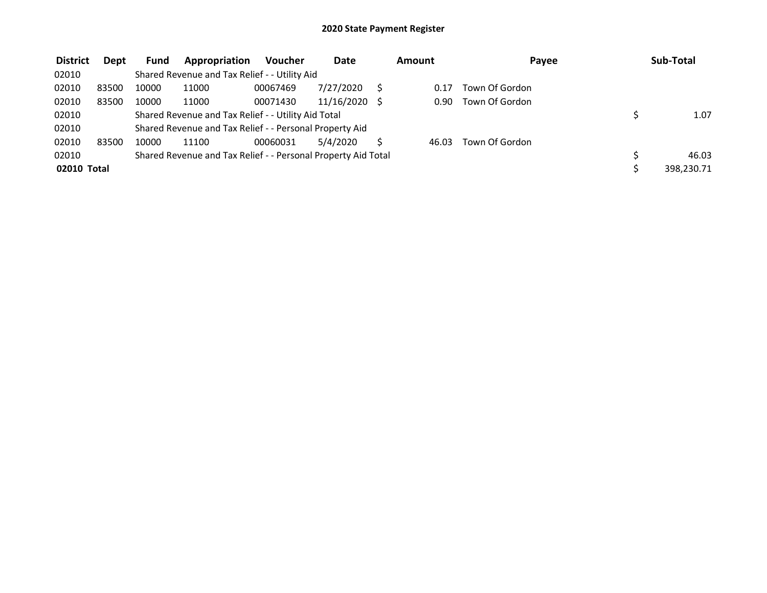| <b>District</b> | <b>Dept</b> | <b>Fund</b> | Appropriation                                                 | <b>Voucher</b> | <b>Date</b> | Amount | Payee          | Sub-Total  |
|-----------------|-------------|-------------|---------------------------------------------------------------|----------------|-------------|--------|----------------|------------|
| 02010           |             |             | Shared Revenue and Tax Relief - - Utility Aid                 |                |             |        |                |            |
| 02010           | 83500       | 10000       | 11000                                                         | 00067469       | 7/27/2020   | 0.17   | Town Of Gordon |            |
| 02010           | 83500       | 10000       | 11000                                                         | 00071430       | 11/16/2020  | 0.90   | Town Of Gordon |            |
| 02010           |             |             | Shared Revenue and Tax Relief - - Utility Aid Total           |                |             |        |                | 1.07       |
| 02010           |             |             | Shared Revenue and Tax Relief - - Personal Property Aid       |                |             |        |                |            |
| 02010           | 83500       | 10000       | 11100                                                         | 00060031       | 5/4/2020    | 46.03  | Town Of Gordon |            |
| 02010           |             |             | Shared Revenue and Tax Relief - - Personal Property Aid Total |                |             |        |                | 46.03      |
| 02010 Total     |             |             |                                                               |                |             |        |                | 398.230.71 |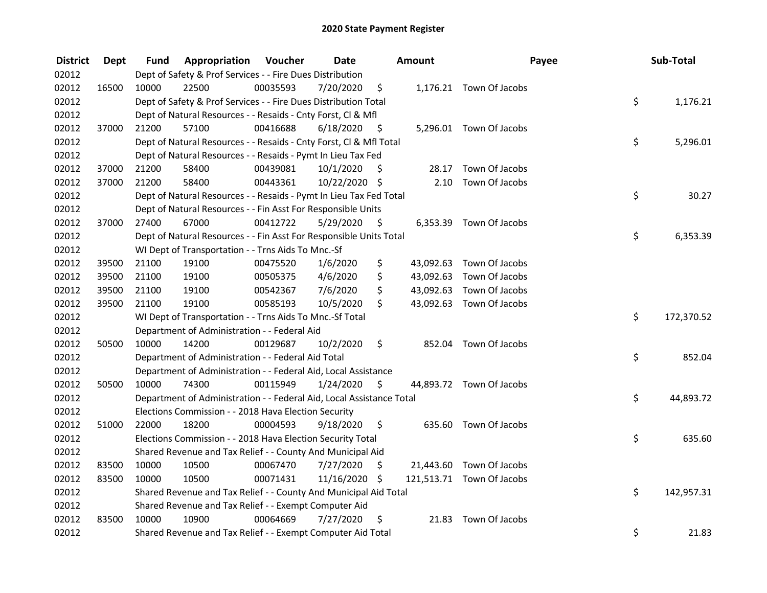| <b>District</b> | <b>Dept</b> | Fund  | Appropriation                                                        | Voucher  | <b>Date</b>   |                     | <b>Amount</b> | Payee                     | Sub-Total        |
|-----------------|-------------|-------|----------------------------------------------------------------------|----------|---------------|---------------------|---------------|---------------------------|------------------|
| 02012           |             |       | Dept of Safety & Prof Services - - Fire Dues Distribution            |          |               |                     |               |                           |                  |
| 02012           | 16500       | 10000 | 22500                                                                | 00035593 | 7/20/2020     | \$                  |               | 1,176.21 Town Of Jacobs   |                  |
| 02012           |             |       | Dept of Safety & Prof Services - - Fire Dues Distribution Total      |          |               |                     |               |                           | \$<br>1,176.21   |
| 02012           |             |       | Dept of Natural Resources - - Resaids - Cnty Forst, Cl & Mfl         |          |               |                     |               |                           |                  |
| 02012           | 37000       | 21200 | 57100                                                                | 00416688 | 6/18/2020     | - \$                |               | 5,296.01 Town Of Jacobs   |                  |
| 02012           |             |       | Dept of Natural Resources - - Resaids - Cnty Forst, Cl & Mfl Total   |          |               |                     |               |                           | \$<br>5,296.01   |
| 02012           |             |       | Dept of Natural Resources - - Resaids - Pymt In Lieu Tax Fed         |          |               |                     |               |                           |                  |
| 02012           | 37000       | 21200 | 58400                                                                | 00439081 | 10/1/2020     | \$                  |               | 28.17 Town Of Jacobs      |                  |
| 02012           | 37000       | 21200 | 58400                                                                | 00443361 | 10/22/2020 \$ |                     | 2.10          | Town Of Jacobs            |                  |
| 02012           |             |       | Dept of Natural Resources - - Resaids - Pymt In Lieu Tax Fed Total   |          |               |                     |               |                           | \$<br>30.27      |
| 02012           |             |       | Dept of Natural Resources - - Fin Asst For Responsible Units         |          |               |                     |               |                           |                  |
| 02012           | 37000       | 27400 | 67000                                                                | 00412722 | 5/29/2020     | -\$                 |               | 6,353.39 Town Of Jacobs   |                  |
| 02012           |             |       | Dept of Natural Resources - - Fin Asst For Responsible Units Total   |          |               |                     |               |                           | \$<br>6,353.39   |
| 02012           |             |       | WI Dept of Transportation - - Trns Aids To Mnc.-Sf                   |          |               |                     |               |                           |                  |
| 02012           | 39500       | 21100 | 19100                                                                | 00475520 | 1/6/2020      | \$                  | 43,092.63     | Town Of Jacobs            |                  |
| 02012           | 39500       | 21100 | 19100                                                                | 00505375 | 4/6/2020      | \$                  | 43,092.63     | Town Of Jacobs            |                  |
| 02012           | 39500       | 21100 | 19100                                                                | 00542367 | 7/6/2020      | \$                  | 43,092.63     | Town Of Jacobs            |                  |
| 02012           | 39500       | 21100 | 19100                                                                | 00585193 | 10/5/2020     | \$                  |               | 43,092.63 Town Of Jacobs  |                  |
| 02012           |             |       | WI Dept of Transportation - - Trns Aids To Mnc.-Sf Total             |          |               |                     |               |                           | \$<br>172,370.52 |
| 02012           |             |       | Department of Administration - - Federal Aid                         |          |               |                     |               |                           |                  |
| 02012           | 50500       | 10000 | 14200                                                                | 00129687 | 10/2/2020     | \$                  |               | 852.04 Town Of Jacobs     |                  |
| 02012           |             |       | Department of Administration - - Federal Aid Total                   |          |               |                     |               |                           | \$<br>852.04     |
| 02012           |             |       | Department of Administration - - Federal Aid, Local Assistance       |          |               |                     |               |                           |                  |
| 02012           | 50500       | 10000 | 74300                                                                | 00115949 | 1/24/2020     | $\ddot{\mathsf{s}}$ |               | 44,893.72 Town Of Jacobs  |                  |
| 02012           |             |       | Department of Administration - - Federal Aid, Local Assistance Total |          |               |                     |               |                           | \$<br>44,893.72  |
| 02012           |             |       | Elections Commission - - 2018 Hava Election Security                 |          |               |                     |               |                           |                  |
| 02012           | 51000       | 22000 | 18200                                                                | 00004593 | 9/18/2020     | \$                  |               | 635.60 Town Of Jacobs     |                  |
| 02012           |             |       | Elections Commission - - 2018 Hava Election Security Total           |          |               |                     |               |                           | \$<br>635.60     |
| 02012           |             |       | Shared Revenue and Tax Relief - - County And Municipal Aid           |          |               |                     |               |                           |                  |
| 02012           | 83500       | 10000 | 10500                                                                | 00067470 | 7/27/2020     | \$.                 |               | 21,443.60 Town Of Jacobs  |                  |
| 02012           | 83500       | 10000 | 10500                                                                | 00071431 | 11/16/2020 \$ |                     |               | 121,513.71 Town Of Jacobs |                  |
| 02012           |             |       | Shared Revenue and Tax Relief - - County And Municipal Aid Total     |          |               |                     |               |                           | \$<br>142,957.31 |
| 02012           |             |       | Shared Revenue and Tax Relief - - Exempt Computer Aid                |          |               |                     |               |                           |                  |
| 02012           | 83500       | 10000 | 10900                                                                | 00064669 | 7/27/2020     | -\$                 | 21.83         | Town Of Jacobs            |                  |
| 02012           |             |       | Shared Revenue and Tax Relief - - Exempt Computer Aid Total          |          |               |                     |               |                           | \$<br>21.83      |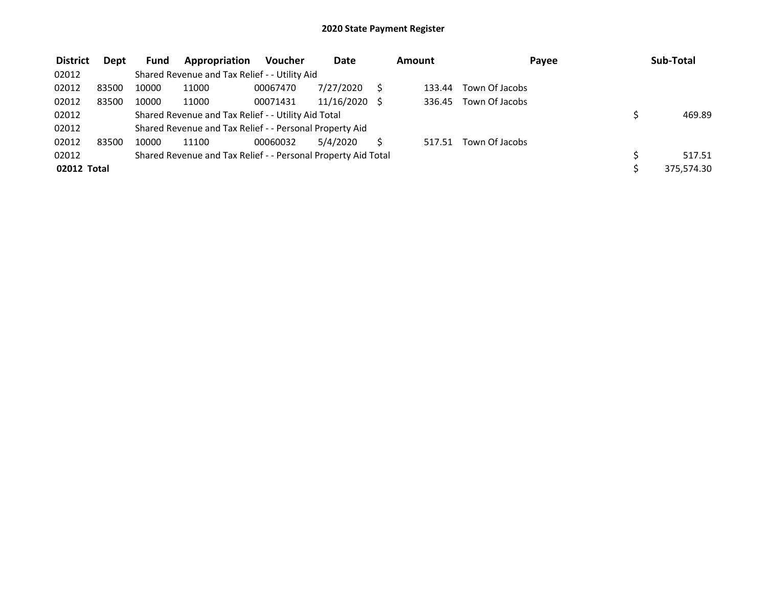| <b>District</b> | Dept  | Fund  | Appropriation                                                 | <b>Voucher</b> | <b>Date</b> | Amount | Payee          | Sub-Total  |
|-----------------|-------|-------|---------------------------------------------------------------|----------------|-------------|--------|----------------|------------|
| 02012           |       |       | Shared Revenue and Tax Relief - - Utility Aid                 |                |             |        |                |            |
| 02012           | 83500 | 10000 | 11000                                                         | 00067470       | 7/27/2020   | 133.44 | Town Of Jacobs |            |
| 02012           | 83500 | 10000 | 11000                                                         | 00071431       | 11/16/2020  | 336.45 | Town Of Jacobs |            |
| 02012           |       |       | Shared Revenue and Tax Relief - - Utility Aid Total           |                |             |        |                | 469.89     |
| 02012           |       |       | Shared Revenue and Tax Relief - - Personal Property Aid       |                |             |        |                |            |
| 02012           | 83500 | 10000 | 11100                                                         | 00060032       | 5/4/2020    | 517.51 | Town Of Jacobs |            |
| 02012           |       |       | Shared Revenue and Tax Relief - - Personal Property Aid Total |                |             |        |                | 517.51     |
| 02012 Total     |       |       |                                                               |                |             |        |                | 375,574.30 |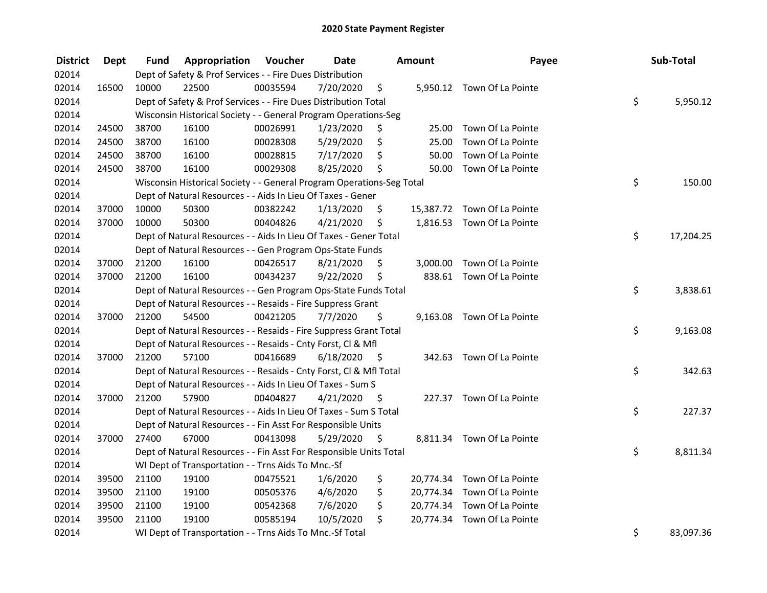| <b>District</b> | Dept  | Fund  | Appropriation                                                         | Voucher  | <b>Date</b> |      | Amount | Payee                       | Sub-Total       |
|-----------------|-------|-------|-----------------------------------------------------------------------|----------|-------------|------|--------|-----------------------------|-----------------|
| 02014           |       |       | Dept of Safety & Prof Services - - Fire Dues Distribution             |          |             |      |        |                             |                 |
| 02014           | 16500 | 10000 | 22500                                                                 | 00035594 | 7/20/2020   | \$   |        | 5,950.12 Town Of La Pointe  |                 |
| 02014           |       |       | Dept of Safety & Prof Services - - Fire Dues Distribution Total       |          |             |      |        |                             | \$<br>5,950.12  |
| 02014           |       |       | Wisconsin Historical Society - - General Program Operations-Seg       |          |             |      |        |                             |                 |
| 02014           | 24500 | 38700 | 16100                                                                 | 00026991 | 1/23/2020   | \$   | 25.00  | Town Of La Pointe           |                 |
| 02014           | 24500 | 38700 | 16100                                                                 | 00028308 | 5/29/2020   | \$   | 25.00  | Town Of La Pointe           |                 |
| 02014           | 24500 | 38700 | 16100                                                                 | 00028815 | 7/17/2020   | \$   | 50.00  | Town Of La Pointe           |                 |
| 02014           | 24500 | 38700 | 16100                                                                 | 00029308 | 8/25/2020   | \$   |        | 50.00 Town Of La Pointe     |                 |
| 02014           |       |       | Wisconsin Historical Society - - General Program Operations-Seg Total |          |             |      |        |                             | \$<br>150.00    |
| 02014           |       |       | Dept of Natural Resources - - Aids In Lieu Of Taxes - Gener           |          |             |      |        |                             |                 |
| 02014           | 37000 | 10000 | 50300                                                                 | 00382242 | 1/13/2020   | \$   |        | 15,387.72 Town Of La Pointe |                 |
| 02014           | 37000 | 10000 | 50300                                                                 | 00404826 | 4/21/2020   | \$   |        | 1,816.53 Town Of La Pointe  |                 |
| 02014           |       |       | Dept of Natural Resources - - Aids In Lieu Of Taxes - Gener Total     |          |             |      |        |                             | \$<br>17,204.25 |
| 02014           |       |       | Dept of Natural Resources - - Gen Program Ops-State Funds             |          |             |      |        |                             |                 |
| 02014           | 37000 | 21200 | 16100                                                                 | 00426517 | 8/21/2020   | \$   |        | 3,000.00 Town Of La Pointe  |                 |
| 02014           | 37000 | 21200 | 16100                                                                 | 00434237 | 9/22/2020   | \$   |        | 838.61 Town Of La Pointe    |                 |
| 02014           |       |       | Dept of Natural Resources - - Gen Program Ops-State Funds Total       |          |             |      |        |                             | \$<br>3,838.61  |
| 02014           |       |       | Dept of Natural Resources - - Resaids - Fire Suppress Grant           |          |             |      |        |                             |                 |
| 02014           | 37000 | 21200 | 54500                                                                 | 00421205 | 7/7/2020    | \$   |        | 9,163.08 Town Of La Pointe  |                 |
| 02014           |       |       | Dept of Natural Resources - - Resaids - Fire Suppress Grant Total     |          |             |      |        |                             | \$<br>9,163.08  |
| 02014           |       |       | Dept of Natural Resources - - Resaids - Cnty Forst, Cl & Mfl          |          |             |      |        |                             |                 |
| 02014           | 37000 | 21200 | 57100                                                                 | 00416689 | 6/18/2020   | - \$ |        | 342.63 Town Of La Pointe    |                 |
| 02014           |       |       | Dept of Natural Resources - - Resaids - Cnty Forst, Cl & Mfl Total    |          |             |      |        |                             | \$<br>342.63    |
| 02014           |       |       | Dept of Natural Resources - - Aids In Lieu Of Taxes - Sum S           |          |             |      |        |                             |                 |
| 02014           | 37000 | 21200 | 57900                                                                 | 00404827 | 4/21/2020   | - \$ |        | 227.37 Town Of La Pointe    |                 |
| 02014           |       |       | Dept of Natural Resources - - Aids In Lieu Of Taxes - Sum S Total     |          |             |      |        |                             | \$<br>227.37    |
| 02014           |       |       | Dept of Natural Resources - - Fin Asst For Responsible Units          |          |             |      |        |                             |                 |
| 02014           | 37000 | 27400 | 67000                                                                 | 00413098 | 5/29/2020   | \$   |        | 8,811.34 Town Of La Pointe  |                 |
| 02014           |       |       | Dept of Natural Resources - - Fin Asst For Responsible Units Total    |          |             |      |        |                             | \$<br>8,811.34  |
| 02014           |       |       | WI Dept of Transportation - - Trns Aids To Mnc.-Sf                    |          |             |      |        |                             |                 |
| 02014           | 39500 | 21100 | 19100                                                                 | 00475521 | 1/6/2020    | \$   |        | 20,774.34 Town Of La Pointe |                 |
| 02014           | 39500 | 21100 | 19100                                                                 | 00505376 | 4/6/2020    | \$   |        | 20,774.34 Town Of La Pointe |                 |
| 02014           | 39500 | 21100 | 19100                                                                 | 00542368 | 7/6/2020    | \$   |        | 20,774.34 Town Of La Pointe |                 |
| 02014           | 39500 | 21100 | 19100                                                                 | 00585194 | 10/5/2020   | \$.  |        | 20,774.34 Town Of La Pointe |                 |
| 02014           |       |       | WI Dept of Transportation - - Trns Aids To Mnc.-Sf Total              |          |             |      |        |                             | \$<br>83,097.36 |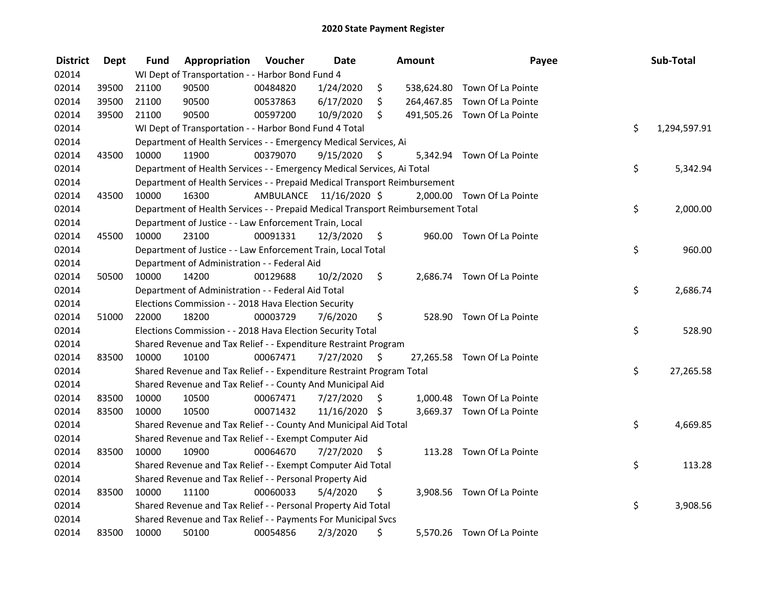| <b>District</b> | <b>Dept</b> | <b>Fund</b> | Appropriation                                                                   | Voucher  | <b>Date</b>             |      | Amount | Payee                        | Sub-Total          |
|-----------------|-------------|-------------|---------------------------------------------------------------------------------|----------|-------------------------|------|--------|------------------------------|--------------------|
| 02014           |             |             | WI Dept of Transportation - - Harbor Bond Fund 4                                |          |                         |      |        |                              |                    |
| 02014           | 39500       | 21100       | 90500                                                                           | 00484820 | 1/24/2020               | \$   |        | 538,624.80 Town Of La Pointe |                    |
| 02014           | 39500       | 21100       | 90500                                                                           | 00537863 | 6/17/2020               | \$   |        | 264,467.85 Town Of La Pointe |                    |
| 02014           | 39500       | 21100       | 90500                                                                           | 00597200 | 10/9/2020               | \$   |        | 491,505.26 Town Of La Pointe |                    |
| 02014           |             |             | WI Dept of Transportation - - Harbor Bond Fund 4 Total                          |          |                         |      |        |                              | \$<br>1,294,597.91 |
| 02014           |             |             | Department of Health Services - - Emergency Medical Services, Ai                |          |                         |      |        |                              |                    |
| 02014           | 43500       | 10000       | 11900                                                                           | 00379070 | 9/15/2020               | -S   |        | 5,342.94 Town Of La Pointe   |                    |
| 02014           |             |             | Department of Health Services - - Emergency Medical Services, Ai Total          |          |                         |      |        |                              | \$<br>5,342.94     |
| 02014           |             |             | Department of Health Services - - Prepaid Medical Transport Reimbursement       |          |                         |      |        |                              |                    |
| 02014           | 43500       | 10000       | 16300                                                                           |          | AMBULANCE 11/16/2020 \$ |      |        | 2,000.00 Town Of La Pointe   |                    |
| 02014           |             |             | Department of Health Services - - Prepaid Medical Transport Reimbursement Total |          |                         |      |        |                              | \$<br>2,000.00     |
| 02014           |             |             | Department of Justice - - Law Enforcement Train, Local                          |          |                         |      |        |                              |                    |
| 02014           | 45500       | 10000       | 23100                                                                           | 00091331 | 12/3/2020               | \$   |        | 960.00 Town Of La Pointe     |                    |
| 02014           |             |             | Department of Justice - - Law Enforcement Train, Local Total                    |          |                         |      |        |                              | \$<br>960.00       |
| 02014           |             |             | Department of Administration - - Federal Aid                                    |          |                         |      |        |                              |                    |
| 02014           | 50500       | 10000       | 14200                                                                           | 00129688 | 10/2/2020               | \$   |        | 2,686.74 Town Of La Pointe   |                    |
| 02014           |             |             | Department of Administration - - Federal Aid Total                              |          |                         |      |        |                              | \$<br>2,686.74     |
| 02014           |             |             | Elections Commission - - 2018 Hava Election Security                            |          |                         |      |        |                              |                    |
| 02014           | 51000       | 22000       | 18200                                                                           | 00003729 | 7/6/2020                | \$   |        | 528.90 Town Of La Pointe     |                    |
| 02014           |             |             | Elections Commission - - 2018 Hava Election Security Total                      |          |                         |      |        |                              | \$<br>528.90       |
| 02014           |             |             | Shared Revenue and Tax Relief - - Expenditure Restraint Program                 |          |                         |      |        |                              |                    |
| 02014           | 83500       | 10000       | 10100                                                                           | 00067471 | 7/27/2020               | - \$ |        | 27,265.58 Town Of La Pointe  |                    |
| 02014           |             |             | Shared Revenue and Tax Relief - - Expenditure Restraint Program Total           |          |                         |      |        |                              | \$<br>27,265.58    |
| 02014           |             |             | Shared Revenue and Tax Relief - - County And Municipal Aid                      |          |                         |      |        |                              |                    |
| 02014           | 83500       | 10000       | 10500                                                                           | 00067471 | 7/27/2020               | S.   |        | 1,000.48 Town Of La Pointe   |                    |
| 02014           | 83500       | 10000       | 10500                                                                           | 00071432 | 11/16/2020 \$           |      |        | 3,669.37 Town Of La Pointe   |                    |
| 02014           |             |             | Shared Revenue and Tax Relief - - County And Municipal Aid Total                |          |                         |      |        |                              | \$<br>4,669.85     |
| 02014           |             |             | Shared Revenue and Tax Relief - - Exempt Computer Aid                           |          |                         |      |        |                              |                    |
| 02014           | 83500       | 10000       | 10900                                                                           | 00064670 | 7/27/2020               | \$   |        | 113.28 Town Of La Pointe     |                    |
| 02014           |             |             | Shared Revenue and Tax Relief - - Exempt Computer Aid Total                     |          |                         |      |        |                              | \$<br>113.28       |
| 02014           |             |             | Shared Revenue and Tax Relief - - Personal Property Aid                         |          |                         |      |        |                              |                    |
| 02014           | 83500       | 10000       | 11100                                                                           | 00060033 | 5/4/2020                | \$   |        | 3,908.56 Town Of La Pointe   |                    |
| 02014           |             |             | Shared Revenue and Tax Relief - - Personal Property Aid Total                   |          |                         |      |        |                              | \$<br>3,908.56     |
| 02014           |             |             | Shared Revenue and Tax Relief - - Payments For Municipal Svcs                   |          |                         |      |        |                              |                    |
| 02014           | 83500       | 10000       | 50100                                                                           | 00054856 | 2/3/2020                | \$   |        | 5,570.26 Town Of La Pointe   |                    |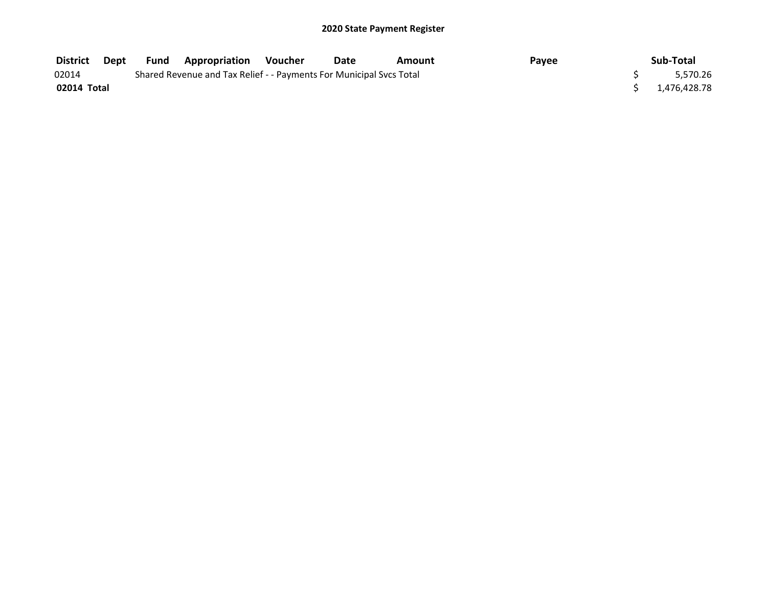| District    | Dept |                                                                     | <b>Fund Appropriation</b> | Voucher  | Date | Amount | Payee | Sub-Total      |
|-------------|------|---------------------------------------------------------------------|---------------------------|----------|------|--------|-------|----------------|
| 02014       |      | Shared Revenue and Tax Relief - - Payments For Municipal Svcs Total |                           | 5.570.26 |      |        |       |                |
| 02014 Total |      |                                                                     |                           |          |      |        |       | \$1.476.428.78 |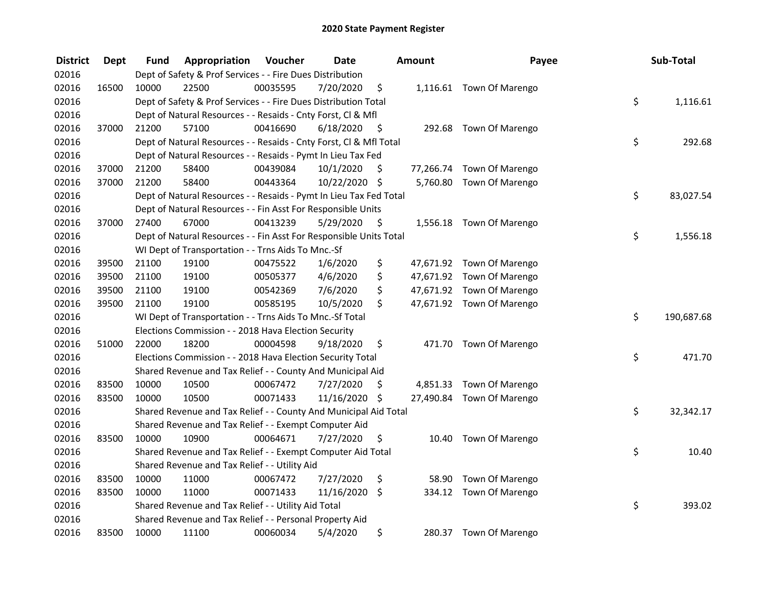| <b>District</b> | <b>Dept</b> | Fund  | Appropriation                                                      | Voucher  | <b>Date</b>   |      | <b>Amount</b> | Payee                     | Sub-Total        |
|-----------------|-------------|-------|--------------------------------------------------------------------|----------|---------------|------|---------------|---------------------------|------------------|
| 02016           |             |       | Dept of Safety & Prof Services - - Fire Dues Distribution          |          |               |      |               |                           |                  |
| 02016           | 16500       | 10000 | 22500                                                              | 00035595 | 7/20/2020     | \$   |               | 1,116.61 Town Of Marengo  |                  |
| 02016           |             |       | Dept of Safety & Prof Services - - Fire Dues Distribution Total    |          |               |      |               |                           | \$<br>1,116.61   |
| 02016           |             |       | Dept of Natural Resources - - Resaids - Cnty Forst, Cl & Mfl       |          |               |      |               |                           |                  |
| 02016           | 37000       | 21200 | 57100                                                              | 00416690 | 6/18/2020     | - \$ | 292.68        | Town Of Marengo           |                  |
| 02016           |             |       | Dept of Natural Resources - - Resaids - Cnty Forst, Cl & Mfl Total |          |               |      |               |                           | \$<br>292.68     |
| 02016           |             |       | Dept of Natural Resources - - Resaids - Pymt In Lieu Tax Fed       |          |               |      |               |                           |                  |
| 02016           | 37000       | 21200 | 58400                                                              | 00439084 | 10/1/2020     | \$   |               | 77,266.74 Town Of Marengo |                  |
| 02016           | 37000       | 21200 | 58400                                                              | 00443364 | 10/22/2020 \$ |      |               | 5,760.80 Town Of Marengo  |                  |
| 02016           |             |       | Dept of Natural Resources - - Resaids - Pymt In Lieu Tax Fed Total |          |               |      |               |                           | \$<br>83,027.54  |
| 02016           |             |       | Dept of Natural Resources - - Fin Asst For Responsible Units       |          |               |      |               |                           |                  |
| 02016           | 37000       | 27400 | 67000                                                              | 00413239 | 5/29/2020     | -\$  | 1,556.18      | Town Of Marengo           |                  |
| 02016           |             |       | Dept of Natural Resources - - Fin Asst For Responsible Units Total |          |               |      |               |                           | \$<br>1,556.18   |
| 02016           |             |       | WI Dept of Transportation - - Trns Aids To Mnc.-Sf                 |          |               |      |               |                           |                  |
| 02016           | 39500       | 21100 | 19100                                                              | 00475522 | 1/6/2020      | \$   |               | 47,671.92 Town Of Marengo |                  |
| 02016           | 39500       | 21100 | 19100                                                              | 00505377 | 4/6/2020      | \$   |               | 47,671.92 Town Of Marengo |                  |
| 02016           | 39500       | 21100 | 19100                                                              | 00542369 | 7/6/2020      | \$   |               | 47,671.92 Town Of Marengo |                  |
| 02016           | 39500       | 21100 | 19100                                                              | 00585195 | 10/5/2020     | \$   |               | 47,671.92 Town Of Marengo |                  |
| 02016           |             |       | WI Dept of Transportation - - Trns Aids To Mnc.-Sf Total           |          |               |      |               |                           | \$<br>190,687.68 |
| 02016           |             |       | Elections Commission - - 2018 Hava Election Security               |          |               |      |               |                           |                  |
| 02016           | 51000       | 22000 | 18200                                                              | 00004598 | 9/18/2020     | \$   |               | 471.70 Town Of Marengo    |                  |
| 02016           |             |       | Elections Commission - - 2018 Hava Election Security Total         |          |               |      |               |                           | \$<br>471.70     |
| 02016           |             |       | Shared Revenue and Tax Relief - - County And Municipal Aid         |          |               |      |               |                           |                  |
| 02016           | 83500       | 10000 | 10500                                                              | 00067472 | 7/27/2020     | S    | 4,851.33      | Town Of Marengo           |                  |
| 02016           | 83500       | 10000 | 10500                                                              | 00071433 | 11/16/2020    | -\$  | 27,490.84     | Town Of Marengo           |                  |
| 02016           |             |       | Shared Revenue and Tax Relief - - County And Municipal Aid Total   |          |               |      |               |                           | \$<br>32,342.17  |
| 02016           |             |       | Shared Revenue and Tax Relief - - Exempt Computer Aid              |          |               |      |               |                           |                  |
| 02016           | 83500       | 10000 | 10900                                                              | 00064671 | 7/27/2020     | \$   | 10.40         | Town Of Marengo           |                  |
| 02016           |             |       | Shared Revenue and Tax Relief - - Exempt Computer Aid Total        |          |               |      |               |                           | \$<br>10.40      |
| 02016           |             |       | Shared Revenue and Tax Relief - - Utility Aid                      |          |               |      |               |                           |                  |
| 02016           | 83500       | 10000 | 11000                                                              | 00067472 | 7/27/2020     | \$   | 58.90         | Town Of Marengo           |                  |
| 02016           | 83500       | 10000 | 11000                                                              | 00071433 | 11/16/2020    | \$   | 334.12        | Town Of Marengo           |                  |
| 02016           |             |       | Shared Revenue and Tax Relief - - Utility Aid Total                |          |               |      |               |                           | \$<br>393.02     |
| 02016           |             |       | Shared Revenue and Tax Relief - - Personal Property Aid            |          |               |      |               |                           |                  |
| 02016           | 83500       | 10000 | 11100                                                              | 00060034 | 5/4/2020      | \$   | 280.37        | Town Of Marengo           |                  |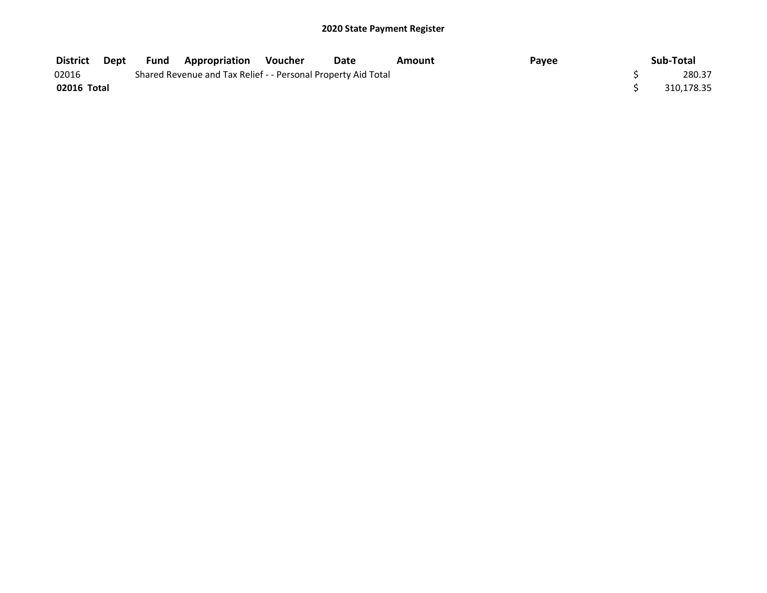| <b>District</b> | Dept | Fund | <b>Appropriation Voucher</b>                                  | Date | Amount | Payee | Sub-Total  |
|-----------------|------|------|---------------------------------------------------------------|------|--------|-------|------------|
| 02016           |      |      | Shared Revenue and Tax Relief - - Personal Property Aid Total |      |        |       | 280.37     |
| 02016 Total     |      |      |                                                               |      |        |       | 310.178.35 |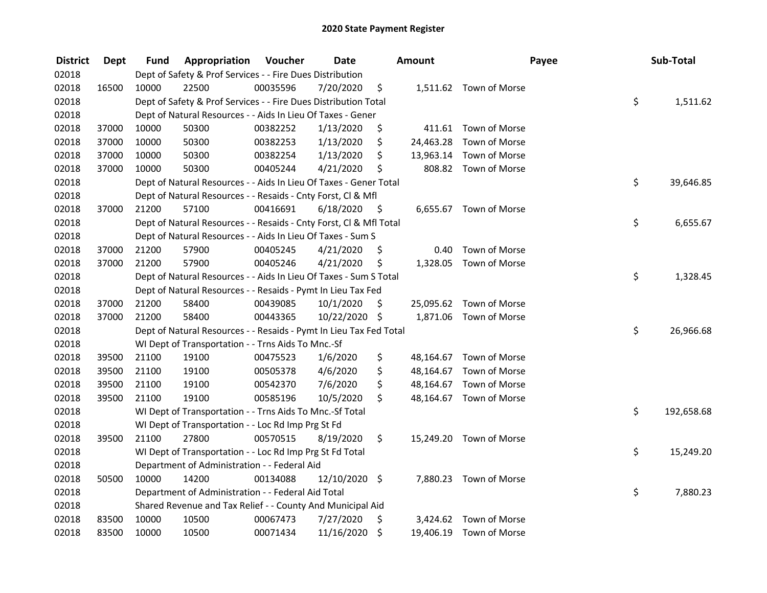| <b>District</b> | <b>Dept</b> | Fund  | Appropriation                                                      | Voucher  | <b>Date</b>   |         | <b>Amount</b> |                         | Payee | Sub-Total  |
|-----------------|-------------|-------|--------------------------------------------------------------------|----------|---------------|---------|---------------|-------------------------|-------|------------|
| 02018           |             |       | Dept of Safety & Prof Services - - Fire Dues Distribution          |          |               |         |               |                         |       |            |
| 02018           | 16500       | 10000 | 22500                                                              | 00035596 | 7/20/2020     | \$      |               | 1,511.62 Town of Morse  |       |            |
| 02018           |             |       | Dept of Safety & Prof Services - - Fire Dues Distribution Total    |          |               |         |               |                         | \$    | 1,511.62   |
| 02018           |             |       | Dept of Natural Resources - - Aids In Lieu Of Taxes - Gener        |          |               |         |               |                         |       |            |
| 02018           | 37000       | 10000 | 50300                                                              | 00382252 | 1/13/2020     | \$      |               | 411.61 Town of Morse    |       |            |
| 02018           | 37000       | 10000 | 50300                                                              | 00382253 | 1/13/2020     | \$      | 24,463.28     | Town of Morse           |       |            |
| 02018           | 37000       | 10000 | 50300                                                              | 00382254 | 1/13/2020     | \$      | 13,963.14     | Town of Morse           |       |            |
| 02018           | 37000       | 10000 | 50300                                                              | 00405244 | 4/21/2020     | \$      |               | 808.82 Town of Morse    |       |            |
| 02018           |             |       | Dept of Natural Resources - - Aids In Lieu Of Taxes - Gener Total  |          |               |         |               |                         | \$    | 39,646.85  |
| 02018           |             |       | Dept of Natural Resources - - Resaids - Cnty Forst, Cl & Mfl       |          |               |         |               |                         |       |            |
| 02018           | 37000       | 21200 | 57100                                                              | 00416691 | 6/18/2020     | - \$    |               | 6,655.67 Town of Morse  |       |            |
| 02018           |             |       | Dept of Natural Resources - - Resaids - Cnty Forst, CI & Mfl Total |          |               |         |               |                         | \$    | 6,655.67   |
| 02018           |             |       | Dept of Natural Resources - - Aids In Lieu Of Taxes - Sum S        |          |               |         |               |                         |       |            |
| 02018           | 37000       | 21200 | 57900                                                              | 00405245 | 4/21/2020     | \$.     | 0.40          | Town of Morse           |       |            |
| 02018           | 37000       | 21200 | 57900                                                              | 00405246 | 4/21/2020     | \$      | 1,328.05      | Town of Morse           |       |            |
| 02018           |             |       | Dept of Natural Resources - - Aids In Lieu Of Taxes - Sum S Total  |          |               |         |               |                         | \$    | 1,328.45   |
| 02018           |             |       | Dept of Natural Resources - - Resaids - Pymt In Lieu Tax Fed       |          |               |         |               |                         |       |            |
| 02018           | 37000       | 21200 | 58400                                                              | 00439085 | 10/1/2020     | \$      | 25,095.62     | Town of Morse           |       |            |
| 02018           | 37000       | 21200 | 58400                                                              | 00443365 | 10/22/2020 \$ |         |               | 1,871.06 Town of Morse  |       |            |
| 02018           |             |       | Dept of Natural Resources - - Resaids - Pymt In Lieu Tax Fed Total |          |               |         |               |                         | \$    | 26,966.68  |
| 02018           |             |       | WI Dept of Transportation - - Trns Aids To Mnc.-Sf                 |          |               |         |               |                         |       |            |
| 02018           | 39500       | 21100 | 19100                                                              | 00475523 | 1/6/2020      | \$      |               | 48,164.67 Town of Morse |       |            |
| 02018           | 39500       | 21100 | 19100                                                              | 00505378 | 4/6/2020      | \$      |               | 48,164.67 Town of Morse |       |            |
| 02018           | 39500       | 21100 | 19100                                                              | 00542370 | 7/6/2020      | \$      | 48,164.67     | Town of Morse           |       |            |
| 02018           | 39500       | 21100 | 19100                                                              | 00585196 | 10/5/2020     | \$      |               | 48,164.67 Town of Morse |       |            |
| 02018           |             |       | WI Dept of Transportation - - Trns Aids To Mnc.-Sf Total           |          |               |         |               |                         | \$    | 192,658.68 |
| 02018           |             |       | WI Dept of Transportation - - Loc Rd Imp Prg St Fd                 |          |               |         |               |                         |       |            |
| 02018           | 39500       | 21100 | 27800                                                              | 00570515 | 8/19/2020     | \$      |               | 15,249.20 Town of Morse |       |            |
| 02018           |             |       | WI Dept of Transportation - - Loc Rd Imp Prg St Fd Total           |          |               |         |               |                         | \$    | 15,249.20  |
| 02018           |             |       | Department of Administration - - Federal Aid                       |          |               |         |               |                         |       |            |
| 02018           | 50500       | 10000 | 14200                                                              | 00134088 | 12/10/2020 \$ |         |               | 7,880.23 Town of Morse  |       |            |
| 02018           |             |       | Department of Administration - - Federal Aid Total                 |          |               |         |               |                         | \$    | 7,880.23   |
| 02018           |             |       | Shared Revenue and Tax Relief - - County And Municipal Aid         |          |               |         |               |                         |       |            |
| 02018           | 83500       | 10000 | 10500                                                              | 00067473 | 7/27/2020     | \$      |               | 3,424.62 Town of Morse  |       |            |
| 02018           | 83500       | 10000 | 10500                                                              | 00071434 | 11/16/2020    | $\zeta$ |               | 19,406.19 Town of Morse |       |            |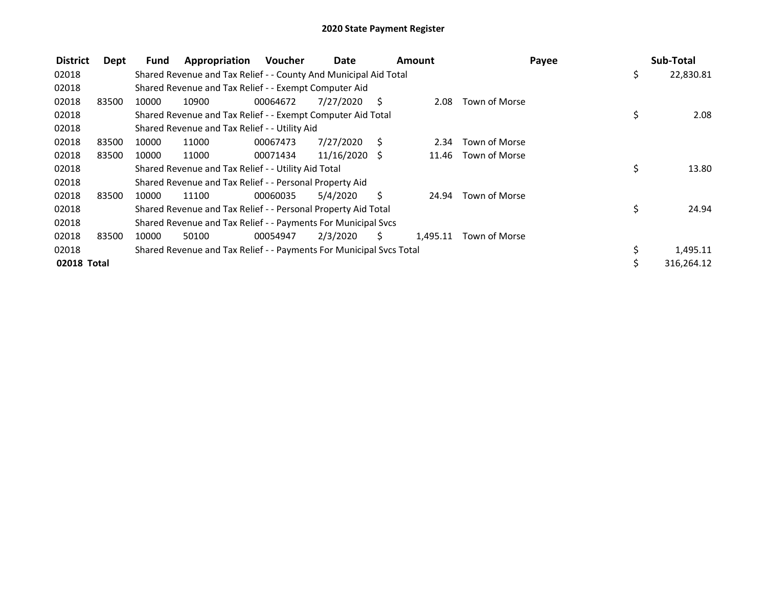| <b>District</b> | <b>Dept</b> | Fund  | Appropriation                                                       | <b>Voucher</b> | Date          |     | Amount   |               | Payee | Sub-Total        |
|-----------------|-------------|-------|---------------------------------------------------------------------|----------------|---------------|-----|----------|---------------|-------|------------------|
| 02018           |             |       | Shared Revenue and Tax Relief - - County And Municipal Aid Total    |                |               |     |          |               |       | \$<br>22,830.81  |
| 02018           |             |       | Shared Revenue and Tax Relief - - Exempt Computer Aid               |                |               |     |          |               |       |                  |
| 02018           | 83500       | 10000 | 10900                                                               | 00064672       | 7/27/2020     | -S  | 2.08     | Town of Morse |       |                  |
| 02018           |             |       | Shared Revenue and Tax Relief - - Exempt Computer Aid Total         |                |               |     |          |               |       | \$<br>2.08       |
| 02018           |             |       | Shared Revenue and Tax Relief - - Utility Aid                       |                |               |     |          |               |       |                  |
| 02018           | 83500       | 10000 | 11000                                                               | 00067473       | 7/27/2020     | - S | 2.34     | Town of Morse |       |                  |
| 02018           | 83500       | 10000 | 11000                                                               | 00071434       | 11/16/2020 \$ |     | 11.46    | Town of Morse |       |                  |
| 02018           |             |       | Shared Revenue and Tax Relief - - Utility Aid Total                 |                |               |     |          |               |       | \$<br>13.80      |
| 02018           |             |       | Shared Revenue and Tax Relief - - Personal Property Aid             |                |               |     |          |               |       |                  |
| 02018           | 83500       | 10000 | 11100                                                               | 00060035       | 5/4/2020      | Ś.  | 24.94    | Town of Morse |       |                  |
| 02018           |             |       | Shared Revenue and Tax Relief - - Personal Property Aid Total       |                |               |     |          |               |       | \$<br>24.94      |
| 02018           |             |       | Shared Revenue and Tax Relief - - Payments For Municipal Svcs       |                |               |     |          |               |       |                  |
| 02018           | 83500       | 10000 | 50100                                                               | 00054947       | 2/3/2020      | S.  | 1,495.11 | Town of Morse |       |                  |
| 02018           |             |       | Shared Revenue and Tax Relief - - Payments For Municipal Svcs Total |                |               |     |          |               |       | \$<br>1,495.11   |
| 02018 Total     |             |       |                                                                     |                |               |     |          |               |       | \$<br>316.264.12 |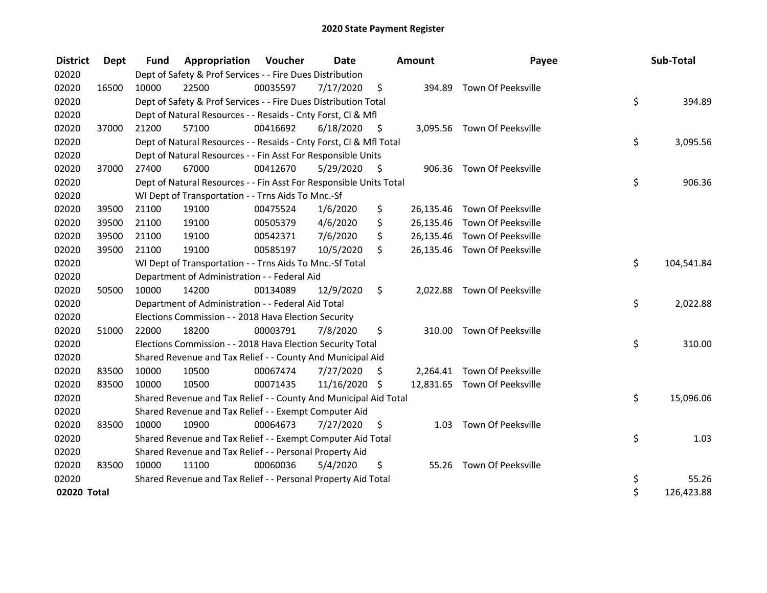| <b>District</b> | Dept  | <b>Fund</b> | <b>Appropriation Voucher</b>                                       |          | Date          |      | <b>Amount</b> | Payee                        |     | Sub-Total  |
|-----------------|-------|-------------|--------------------------------------------------------------------|----------|---------------|------|---------------|------------------------------|-----|------------|
| 02020           |       |             | Dept of Safety & Prof Services - - Fire Dues Distribution          |          |               |      |               |                              |     |            |
| 02020           | 16500 | 10000       | 22500                                                              | 00035597 | 7/17/2020     | - \$ |               | 394.89 Town Of Peeksville    |     |            |
| 02020           |       |             | Dept of Safety & Prof Services - - Fire Dues Distribution Total    |          |               |      |               |                              | \$  | 394.89     |
| 02020           |       |             | Dept of Natural Resources - - Resaids - Cnty Forst, CI & Mfl       |          |               |      |               |                              |     |            |
| 02020           | 37000 | 21200       | 57100                                                              | 00416692 | 6/18/2020     | - \$ |               | 3,095.56 Town Of Peeksville  |     |            |
| 02020           |       |             | Dept of Natural Resources - - Resaids - Cnty Forst, CI & Mfl Total |          |               |      |               |                              | \$  | 3,095.56   |
| 02020           |       |             | Dept of Natural Resources - - Fin Asst For Responsible Units       |          |               |      |               |                              |     |            |
| 02020           | 37000 | 27400       | 67000                                                              | 00412670 | 5/29/2020     | - \$ |               | 906.36 Town Of Peeksville    |     |            |
| 02020           |       |             | Dept of Natural Resources - - Fin Asst For Responsible Units Total |          |               |      |               |                              | \$  | 906.36     |
| 02020           |       |             | WI Dept of Transportation - - Trns Aids To Mnc.-Sf                 |          |               |      |               |                              |     |            |
| 02020           | 39500 | 21100       | 19100                                                              | 00475524 | 1/6/2020      | \$   |               | 26,135.46 Town Of Peeksville |     |            |
| 02020           | 39500 | 21100       | 19100                                                              | 00505379 | 4/6/2020      | \$   |               | 26,135.46 Town Of Peeksville |     |            |
| 02020           | 39500 | 21100       | 19100                                                              | 00542371 | 7/6/2020      | \$   |               | 26,135.46 Town Of Peeksville |     |            |
| 02020           | 39500 | 21100       | 19100                                                              | 00585197 | 10/5/2020     | \$   |               | 26,135.46 Town Of Peeksville |     |            |
| 02020           |       |             | WI Dept of Transportation - - Trns Aids To Mnc.-Sf Total           |          |               |      |               |                              | \$  | 104,541.84 |
| 02020           |       |             | Department of Administration - - Federal Aid                       |          |               |      |               |                              |     |            |
| 02020           | 50500 | 10000       | 14200                                                              | 00134089 | 12/9/2020     | \$   |               | 2,022.88 Town Of Peeksville  |     |            |
| 02020           |       |             | Department of Administration - - Federal Aid Total                 |          |               |      |               |                              | \$  | 2,022.88   |
| 02020           |       |             | Elections Commission - - 2018 Hava Election Security               |          |               |      |               |                              |     |            |
| 02020           | 51000 | 22000       | 18200                                                              | 00003791 | 7/8/2020      | \$   | 310.00        | Town Of Peeksville           |     |            |
| 02020           |       |             | Elections Commission - - 2018 Hava Election Security Total         |          |               |      |               |                              | \$  | 310.00     |
| 02020           |       |             | Shared Revenue and Tax Relief - - County And Municipal Aid         |          |               |      |               |                              |     |            |
| 02020           | 83500 | 10000       | 10500                                                              | 00067474 | 7/27/2020     | S    |               | 2,264.41 Town Of Peeksville  |     |            |
| 02020           | 83500 | 10000       | 10500                                                              | 00071435 | 11/16/2020 \$ |      |               | 12,831.65 Town Of Peeksville |     |            |
| 02020           |       |             | Shared Revenue and Tax Relief - - County And Municipal Aid Total   |          |               |      |               |                              | \$  | 15,096.06  |
| 02020           |       |             | Shared Revenue and Tax Relief - - Exempt Computer Aid              |          |               |      |               |                              |     |            |
| 02020           | 83500 | 10000       | 10900                                                              | 00064673 | 7/27/2020     | S    | 1.03          | Town Of Peeksville           |     |            |
| 02020           |       |             | Shared Revenue and Tax Relief - - Exempt Computer Aid Total        |          |               |      |               |                              | \$. | 1.03       |
| 02020           |       |             | Shared Revenue and Tax Relief - - Personal Property Aid            |          |               |      |               |                              |     |            |
| 02020           | 83500 | 10000       | 11100                                                              | 00060036 | 5/4/2020      | \$   |               | 55.26 Town Of Peeksville     |     |            |
| 02020           |       |             | Shared Revenue and Tax Relief - - Personal Property Aid Total      |          |               |      |               |                              | \$  | 55.26      |
| 02020 Total     |       |             |                                                                    |          |               |      |               |                              | \$  | 126,423.88 |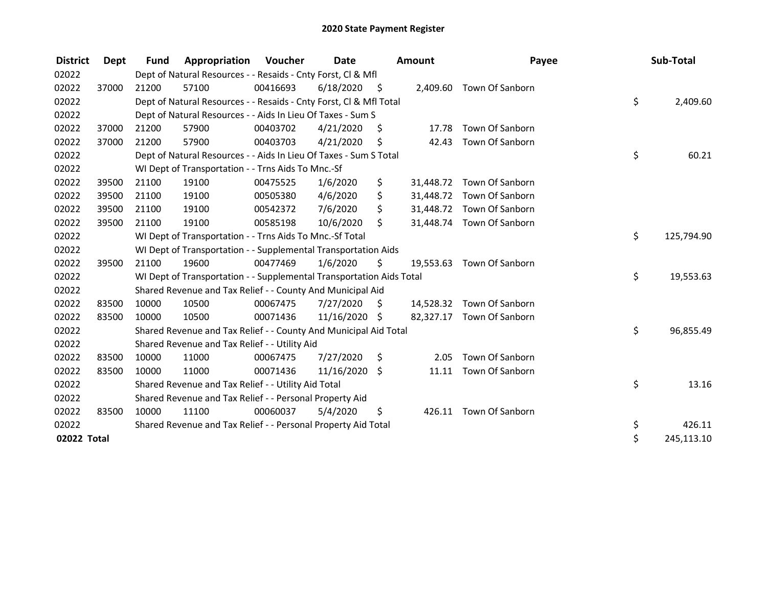| <b>District</b> | <b>Dept</b> | <b>Fund</b> | Appropriation                                                        | <b>Voucher</b> | Date          |      | Amount    | Payee                     | Sub-Total        |
|-----------------|-------------|-------------|----------------------------------------------------------------------|----------------|---------------|------|-----------|---------------------------|------------------|
| 02022           |             |             | Dept of Natural Resources - - Resaids - Cnty Forst, CI & Mfl         |                |               |      |           |                           |                  |
| 02022           | 37000       | 21200       | 57100                                                                | 00416693       | 6/18/2020     | - \$ |           | 2,409.60 Town Of Sanborn  |                  |
| 02022           |             |             | Dept of Natural Resources - - Resaids - Cnty Forst, CI & Mfl Total   |                |               |      |           |                           | \$<br>2,409.60   |
| 02022           |             |             | Dept of Natural Resources - - Aids In Lieu Of Taxes - Sum S          |                |               |      |           |                           |                  |
| 02022           | 37000       | 21200       | 57900                                                                | 00403702       | 4/21/2020     | S    | 17.78     | Town Of Sanborn           |                  |
| 02022           | 37000       | 21200       | 57900                                                                | 00403703       | 4/21/2020     | \$   | 42.43     | Town Of Sanborn           |                  |
| 02022           |             |             | Dept of Natural Resources - - Aids In Lieu Of Taxes - Sum S Total    |                |               |      |           |                           | \$<br>60.21      |
| 02022           |             |             | WI Dept of Transportation - - Trns Aids To Mnc.-Sf                   |                |               |      |           |                           |                  |
| 02022           | 39500       | 21100       | 19100                                                                | 00475525       | 1/6/2020      | \$   | 31,448.72 | Town Of Sanborn           |                  |
| 02022           | 39500       | 21100       | 19100                                                                | 00505380       | 4/6/2020      | \$   | 31,448.72 | Town Of Sanborn           |                  |
| 02022           | 39500       | 21100       | 19100                                                                | 00542372       | 7/6/2020      | \$   |           | 31,448.72 Town Of Sanborn |                  |
| 02022           | 39500       | 21100       | 19100                                                                | 00585198       | 10/6/2020     | \$   |           | 31,448.74 Town Of Sanborn |                  |
| 02022           |             |             | WI Dept of Transportation - - Trns Aids To Mnc.-Sf Total             |                |               |      |           |                           | \$<br>125,794.90 |
| 02022           |             |             | WI Dept of Transportation - - Supplemental Transportation Aids       |                |               |      |           |                           |                  |
| 02022           | 39500       | 21100       | 19600                                                                | 00477469       | 1/6/2020      | \$   | 19,553.63 | Town Of Sanborn           |                  |
| 02022           |             |             | WI Dept of Transportation - - Supplemental Transportation Aids Total |                |               |      |           |                           | \$<br>19,553.63  |
| 02022           |             |             | Shared Revenue and Tax Relief - - County And Municipal Aid           |                |               |      |           |                           |                  |
| 02022           | 83500       | 10000       | 10500                                                                | 00067475       | 7/27/2020     | - \$ |           | 14,528.32 Town Of Sanborn |                  |
| 02022           | 83500       | 10000       | 10500                                                                | 00071436       | 11/16/2020 \$ |      | 82,327.17 | Town Of Sanborn           |                  |
| 02022           |             |             | Shared Revenue and Tax Relief - - County And Municipal Aid Total     |                |               |      |           |                           | \$<br>96,855.49  |
| 02022           |             |             | Shared Revenue and Tax Relief - - Utility Aid                        |                |               |      |           |                           |                  |
| 02022           | 83500       | 10000       | 11000                                                                | 00067475       | 7/27/2020     | \$   | 2.05      | Town Of Sanborn           |                  |
| 02022           | 83500       | 10000       | 11000                                                                | 00071436       | 11/16/2020    | \$   | 11.11     | Town Of Sanborn           |                  |
| 02022           |             |             | Shared Revenue and Tax Relief - - Utility Aid Total                  |                |               |      |           |                           | \$<br>13.16      |
| 02022           |             |             | Shared Revenue and Tax Relief - - Personal Property Aid              |                |               |      |           |                           |                  |
| 02022           | 83500       | 10000       | 11100                                                                | 00060037       | 5/4/2020      | \$   | 426.11    | Town Of Sanborn           |                  |
| 02022           |             |             | Shared Revenue and Tax Relief - - Personal Property Aid Total        |                |               |      |           |                           | \$<br>426.11     |
| 02022 Total     |             |             |                                                                      |                |               |      |           |                           | \$<br>245,113.10 |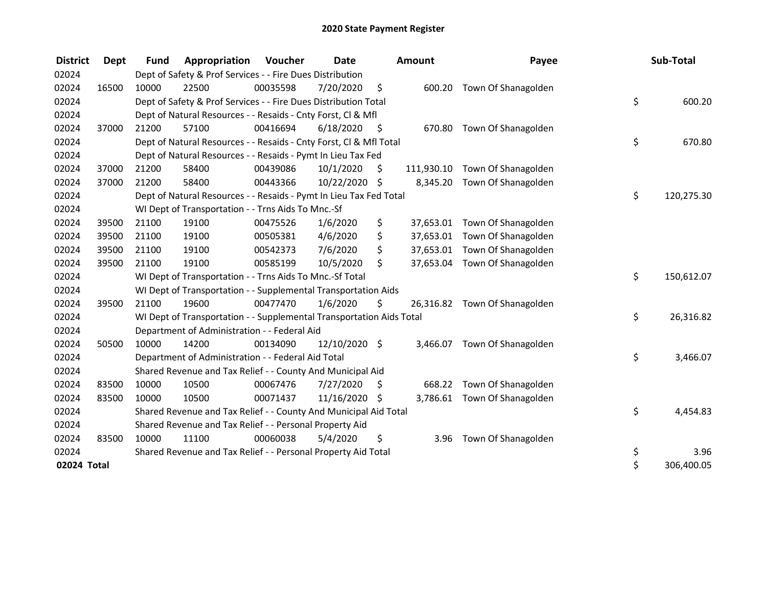| <b>District</b> | <b>Dept</b> | <b>Fund</b> | Appropriation                                                        | Voucher  | Date          |      | <b>Amount</b> | Payee                         | Sub-Total        |
|-----------------|-------------|-------------|----------------------------------------------------------------------|----------|---------------|------|---------------|-------------------------------|------------------|
| 02024           |             |             | Dept of Safety & Prof Services - - Fire Dues Distribution            |          |               |      |               |                               |                  |
| 02024           | 16500       | 10000       | 22500                                                                | 00035598 | 7/20/2020     | \$   | 600.20        | Town Of Shanagolden           |                  |
| 02024           |             |             | Dept of Safety & Prof Services - - Fire Dues Distribution Total      |          |               |      |               |                               | \$<br>600.20     |
| 02024           |             |             | Dept of Natural Resources - - Resaids - Cnty Forst, CI & Mfl         |          |               |      |               |                               |                  |
| 02024           | 37000       | 21200       | 57100                                                                | 00416694 | 6/18/2020     | - \$ |               | 670.80 Town Of Shanagolden    |                  |
| 02024           |             |             | Dept of Natural Resources - - Resaids - Cnty Forst, Cl & Mfl Total   |          |               |      |               |                               | \$<br>670.80     |
| 02024           |             |             | Dept of Natural Resources - - Resaids - Pymt In Lieu Tax Fed         |          |               |      |               |                               |                  |
| 02024           | 37000       | 21200       | 58400                                                                | 00439086 | 10/1/2020     | \$   | 111,930.10    | Town Of Shanagolden           |                  |
| 02024           | 37000       | 21200       | 58400                                                                | 00443366 | 10/22/2020    | \$   | 8,345.20      | Town Of Shanagolden           |                  |
| 02024           |             |             | Dept of Natural Resources - - Resaids - Pymt In Lieu Tax Fed Total   |          |               |      |               |                               | \$<br>120,275.30 |
| 02024           |             |             | WI Dept of Transportation - - Trns Aids To Mnc.-Sf                   |          |               |      |               |                               |                  |
| 02024           | 39500       | 21100       | 19100                                                                | 00475526 | 1/6/2020      | \$   | 37,653.01     | Town Of Shanagolden           |                  |
| 02024           | 39500       | 21100       | 19100                                                                | 00505381 | 4/6/2020      | \$   |               | 37,653.01 Town Of Shanagolden |                  |
| 02024           | 39500       | 21100       | 19100                                                                | 00542373 | 7/6/2020      | \$   |               | 37,653.01 Town Of Shanagolden |                  |
| 02024           | 39500       | 21100       | 19100                                                                | 00585199 | 10/5/2020     | \$   |               | 37,653.04 Town Of Shanagolden |                  |
| 02024           |             |             | WI Dept of Transportation - - Trns Aids To Mnc.-Sf Total             |          |               |      |               |                               | \$<br>150,612.07 |
| 02024           |             |             | WI Dept of Transportation - - Supplemental Transportation Aids       |          |               |      |               |                               |                  |
| 02024           | 39500       | 21100       | 19600                                                                | 00477470 | 1/6/2020      | \$   |               | 26,316.82 Town Of Shanagolden |                  |
| 02024           |             |             | WI Dept of Transportation - - Supplemental Transportation Aids Total |          |               |      |               |                               | \$<br>26,316.82  |
| 02024           |             |             | Department of Administration - - Federal Aid                         |          |               |      |               |                               |                  |
| 02024           | 50500       | 10000       | 14200                                                                | 00134090 | 12/10/2020 \$ |      | 3,466.07      | Town Of Shanagolden           |                  |
| 02024           |             |             | Department of Administration - - Federal Aid Total                   |          |               |      |               |                               | \$<br>3,466.07   |
| 02024           |             |             | Shared Revenue and Tax Relief - - County And Municipal Aid           |          |               |      |               |                               |                  |
| 02024           | 83500       | 10000       | 10500                                                                | 00067476 | 7/27/2020     | \$.  | 668.22        | Town Of Shanagolden           |                  |
| 02024           | 83500       | 10000       | 10500                                                                | 00071437 | 11/16/2020    | -\$  |               | 3,786.61 Town Of Shanagolden  |                  |
| 02024           |             |             | Shared Revenue and Tax Relief - - County And Municipal Aid Total     |          |               |      |               |                               | \$<br>4,454.83   |
| 02024           |             |             | Shared Revenue and Tax Relief - - Personal Property Aid              |          |               |      |               |                               |                  |
| 02024           | 83500       | 10000       | 11100                                                                | 00060038 | 5/4/2020      | \$   | 3.96          | Town Of Shanagolden           |                  |
| 02024           |             |             | Shared Revenue and Tax Relief - - Personal Property Aid Total        |          |               |      |               |                               | \$<br>3.96       |
| 02024 Total     |             |             |                                                                      |          |               |      |               |                               | \$<br>306,400.05 |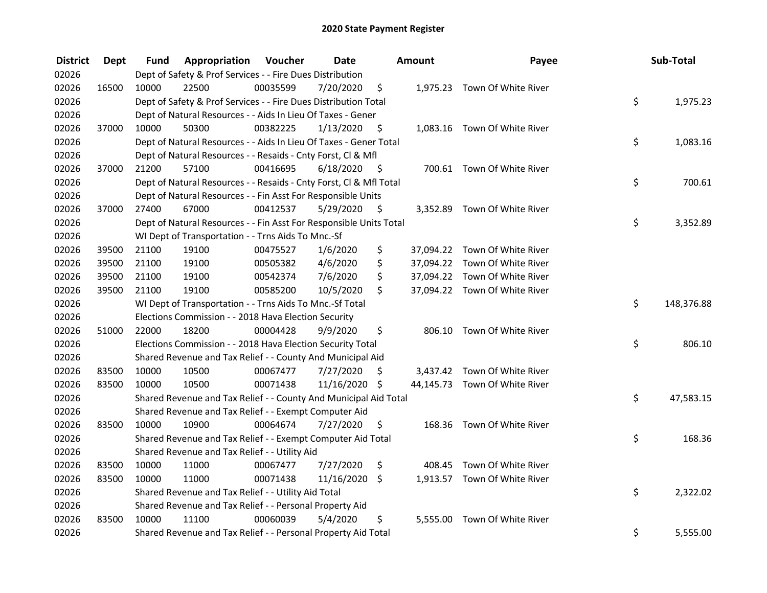| <b>District</b> | <b>Dept</b> | Fund  | Appropriation                                                      | Voucher  | <b>Date</b>   |      | <b>Amount</b> | Payee                         | Sub-Total        |
|-----------------|-------------|-------|--------------------------------------------------------------------|----------|---------------|------|---------------|-------------------------------|------------------|
| 02026           |             |       | Dept of Safety & Prof Services - - Fire Dues Distribution          |          |               |      |               |                               |                  |
| 02026           | 16500       | 10000 | 22500                                                              | 00035599 | 7/20/2020     | \$   |               | 1,975.23 Town Of White River  |                  |
| 02026           |             |       | Dept of Safety & Prof Services - - Fire Dues Distribution Total    |          |               |      |               |                               | \$<br>1,975.23   |
| 02026           |             |       | Dept of Natural Resources - - Aids In Lieu Of Taxes - Gener        |          |               |      |               |                               |                  |
| 02026           | 37000       | 10000 | 50300                                                              | 00382225 | 1/13/2020     | \$   |               | 1,083.16 Town Of White River  |                  |
| 02026           |             |       | Dept of Natural Resources - - Aids In Lieu Of Taxes - Gener Total  |          |               |      |               |                               | \$<br>1,083.16   |
| 02026           |             |       | Dept of Natural Resources - - Resaids - Cnty Forst, CI & Mfl       |          |               |      |               |                               |                  |
| 02026           | 37000       | 21200 | 57100                                                              | 00416695 | 6/18/2020     | - \$ |               | 700.61 Town Of White River    |                  |
| 02026           |             |       | Dept of Natural Resources - - Resaids - Cnty Forst, Cl & Mfl Total |          |               |      |               |                               | \$<br>700.61     |
| 02026           |             |       | Dept of Natural Resources - - Fin Asst For Responsible Units       |          |               |      |               |                               |                  |
| 02026           | 37000       | 27400 | 67000                                                              | 00412537 | 5/29/2020     | - \$ |               | 3,352.89 Town Of White River  |                  |
| 02026           |             |       | Dept of Natural Resources - - Fin Asst For Responsible Units Total |          |               |      |               |                               | \$<br>3,352.89   |
| 02026           |             |       | WI Dept of Transportation - - Trns Aids To Mnc.-Sf                 |          |               |      |               |                               |                  |
| 02026           | 39500       | 21100 | 19100                                                              | 00475527 | 1/6/2020      | \$   |               | 37,094.22 Town Of White River |                  |
| 02026           | 39500       | 21100 | 19100                                                              | 00505382 | 4/6/2020      | \$   |               | 37,094.22 Town Of White River |                  |
| 02026           | 39500       | 21100 | 19100                                                              | 00542374 | 7/6/2020      | \$   |               | 37,094.22 Town Of White River |                  |
| 02026           | 39500       | 21100 | 19100                                                              | 00585200 | 10/5/2020     | \$   |               | 37,094.22 Town Of White River |                  |
| 02026           |             |       | WI Dept of Transportation - - Trns Aids To Mnc.-Sf Total           |          |               |      |               |                               | \$<br>148,376.88 |
| 02026           |             |       | Elections Commission - - 2018 Hava Election Security               |          |               |      |               |                               |                  |
| 02026           | 51000       | 22000 | 18200                                                              | 00004428 | 9/9/2020      | \$   |               | 806.10 Town Of White River    |                  |
| 02026           |             |       | Elections Commission - - 2018 Hava Election Security Total         |          |               |      |               |                               | \$<br>806.10     |
| 02026           |             |       | Shared Revenue and Tax Relief - - County And Municipal Aid         |          |               |      |               |                               |                  |
| 02026           | 83500       | 10000 | 10500                                                              | 00067477 | 7/27/2020     | S    |               | 3,437.42 Town Of White River  |                  |
| 02026           | 83500       | 10000 | 10500                                                              | 00071438 | 11/16/2020 \$ |      |               | 44,145.73 Town Of White River |                  |
| 02026           |             |       | Shared Revenue and Tax Relief - - County And Municipal Aid Total   |          |               |      |               |                               | \$<br>47,583.15  |
| 02026           |             |       | Shared Revenue and Tax Relief - - Exempt Computer Aid              |          |               |      |               |                               |                  |
| 02026           | 83500       | 10000 | 10900                                                              | 00064674 | 7/27/2020     | \$.  |               | 168.36 Town Of White River    |                  |
| 02026           |             |       | Shared Revenue and Tax Relief - - Exempt Computer Aid Total        |          |               |      |               |                               | \$<br>168.36     |
| 02026           |             |       | Shared Revenue and Tax Relief - - Utility Aid                      |          |               |      |               |                               |                  |
| 02026           | 83500       | 10000 | 11000                                                              | 00067477 | 7/27/2020     | \$   |               | 408.45 Town Of White River    |                  |
| 02026           | 83500       | 10000 | 11000                                                              | 00071438 | 11/16/2020    | \$   |               | 1,913.57 Town Of White River  |                  |
| 02026           |             |       | Shared Revenue and Tax Relief - - Utility Aid Total                |          |               |      |               |                               | \$<br>2,322.02   |
| 02026           |             |       | Shared Revenue and Tax Relief - - Personal Property Aid            |          |               |      |               |                               |                  |
| 02026           | 83500       | 10000 | 11100                                                              | 00060039 | 5/4/2020      | \$   | 5,555.00      | Town Of White River           |                  |
| 02026           |             |       | Shared Revenue and Tax Relief - - Personal Property Aid Total      |          |               |      |               |                               | \$<br>5,555.00   |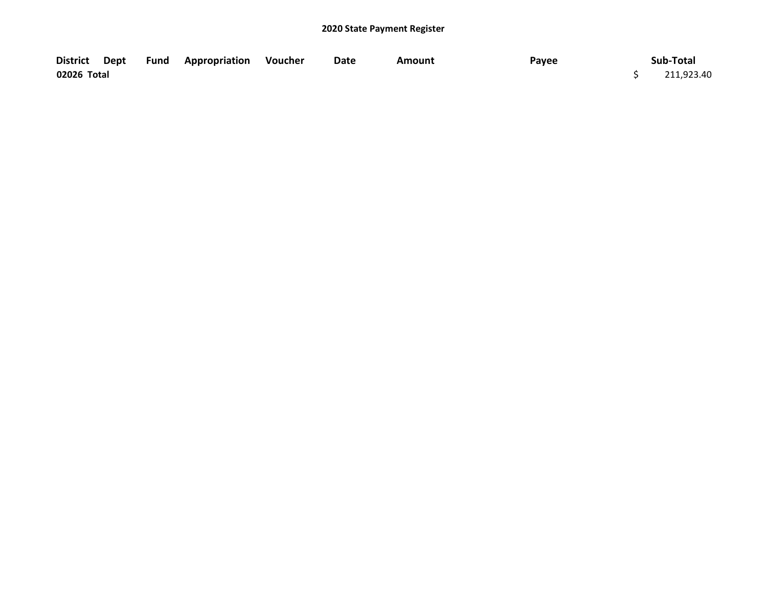|             |  | District Dept Fund Appropriation Voucher | Date | Amount | Payee | Sub-Total  |
|-------------|--|------------------------------------------|------|--------|-------|------------|
| 02026 Total |  |                                          |      |        |       | 211,923.40 |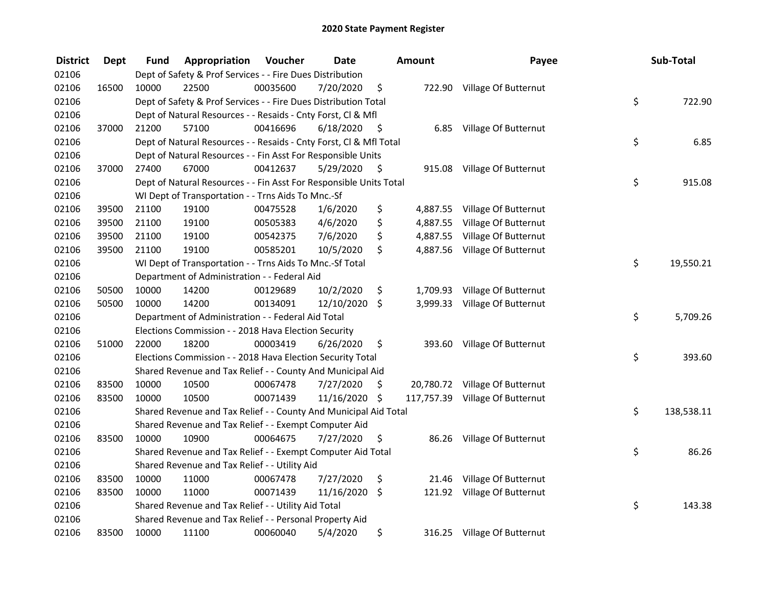| <b>District</b> | <b>Dept</b> | Fund  | Appropriation                                                      | Voucher  | <b>Date</b> |      | <b>Amount</b> | Payee                           | Sub-Total        |
|-----------------|-------------|-------|--------------------------------------------------------------------|----------|-------------|------|---------------|---------------------------------|------------------|
| 02106           |             |       | Dept of Safety & Prof Services - - Fire Dues Distribution          |          |             |      |               |                                 |                  |
| 02106           | 16500       | 10000 | 22500                                                              | 00035600 | 7/20/2020   | \$   |               | 722.90 Village Of Butternut     |                  |
| 02106           |             |       | Dept of Safety & Prof Services - - Fire Dues Distribution Total    |          |             |      |               |                                 | \$<br>722.90     |
| 02106           |             |       | Dept of Natural Resources - - Resaids - Cnty Forst, Cl & Mfl       |          |             |      |               |                                 |                  |
| 02106           | 37000       | 21200 | 57100                                                              | 00416696 | 6/18/2020   | - \$ |               | 6.85 Village Of Butternut       |                  |
| 02106           |             |       | Dept of Natural Resources - - Resaids - Cnty Forst, CI & Mfl Total |          |             |      |               |                                 | \$<br>6.85       |
| 02106           |             |       | Dept of Natural Resources - - Fin Asst For Responsible Units       |          |             |      |               |                                 |                  |
| 02106           | 37000       | 27400 | 67000                                                              | 00412637 | 5/29/2020   | - \$ |               | 915.08 Village Of Butternut     |                  |
| 02106           |             |       | Dept of Natural Resources - - Fin Asst For Responsible Units Total |          |             |      |               |                                 | \$<br>915.08     |
| 02106           |             |       | WI Dept of Transportation - - Trns Aids To Mnc.-Sf                 |          |             |      |               |                                 |                  |
| 02106           | 39500       | 21100 | 19100                                                              | 00475528 | 1/6/2020    | \$   |               | 4,887.55 Village Of Butternut   |                  |
| 02106           | 39500       | 21100 | 19100                                                              | 00505383 | 4/6/2020    | \$   | 4,887.55      | Village Of Butternut            |                  |
| 02106           | 39500       | 21100 | 19100                                                              | 00542375 | 7/6/2020    | \$   | 4,887.55      | Village Of Butternut            |                  |
| 02106           | 39500       | 21100 | 19100                                                              | 00585201 | 10/5/2020   | \$   | 4,887.56      | Village Of Butternut            |                  |
| 02106           |             |       | WI Dept of Transportation - - Trns Aids To Mnc.-Sf Total           |          |             |      |               |                                 | \$<br>19,550.21  |
| 02106           |             |       | Department of Administration - - Federal Aid                       |          |             |      |               |                                 |                  |
| 02106           | 50500       | 10000 | 14200                                                              | 00129689 | 10/2/2020   | \$   | 1,709.93      | Village Of Butternut            |                  |
| 02106           | 50500       | 10000 | 14200                                                              | 00134091 | 12/10/2020  | \$   |               | 3,999.33 Village Of Butternut   |                  |
| 02106           |             |       | Department of Administration - - Federal Aid Total                 |          |             |      |               |                                 | \$<br>5,709.26   |
| 02106           |             |       | Elections Commission - - 2018 Hava Election Security               |          |             |      |               |                                 |                  |
| 02106           | 51000       | 22000 | 18200                                                              | 00003419 | 6/26/2020   | \$   |               | 393.60 Village Of Butternut     |                  |
| 02106           |             |       | Elections Commission - - 2018 Hava Election Security Total         |          |             |      |               |                                 | \$<br>393.60     |
| 02106           |             |       | Shared Revenue and Tax Relief - - County And Municipal Aid         |          |             |      |               |                                 |                  |
| 02106           | 83500       | 10000 | 10500                                                              | 00067478 | 7/27/2020   | S    |               | 20,780.72 Village Of Butternut  |                  |
| 02106           | 83500       | 10000 | 10500                                                              | 00071439 | 11/16/2020  | \$   |               | 117,757.39 Village Of Butternut |                  |
| 02106           |             |       | Shared Revenue and Tax Relief - - County And Municipal Aid Total   |          |             |      |               |                                 | \$<br>138,538.11 |
| 02106           |             |       | Shared Revenue and Tax Relief - - Exempt Computer Aid              |          |             |      |               |                                 |                  |
| 02106           | 83500       | 10000 | 10900                                                              | 00064675 | 7/27/2020   | \$   |               | 86.26 Village Of Butternut      |                  |
| 02106           |             |       | Shared Revenue and Tax Relief - - Exempt Computer Aid Total        |          |             |      |               |                                 | \$<br>86.26      |
| 02106           |             |       | Shared Revenue and Tax Relief - - Utility Aid                      |          |             |      |               |                                 |                  |
| 02106           | 83500       | 10000 | 11000                                                              | 00067478 | 7/27/2020   | \$   | 21.46         | Village Of Butternut            |                  |
| 02106           | 83500       | 10000 | 11000                                                              | 00071439 | 11/16/2020  | - \$ |               | 121.92 Village Of Butternut     |                  |
| 02106           |             |       | Shared Revenue and Tax Relief - - Utility Aid Total                |          |             |      |               |                                 | \$<br>143.38     |
| 02106           |             |       | Shared Revenue and Tax Relief - - Personal Property Aid            |          |             |      |               |                                 |                  |
| 02106           | 83500       | 10000 | 11100                                                              | 00060040 | 5/4/2020    | \$   |               | 316.25 Village Of Butternut     |                  |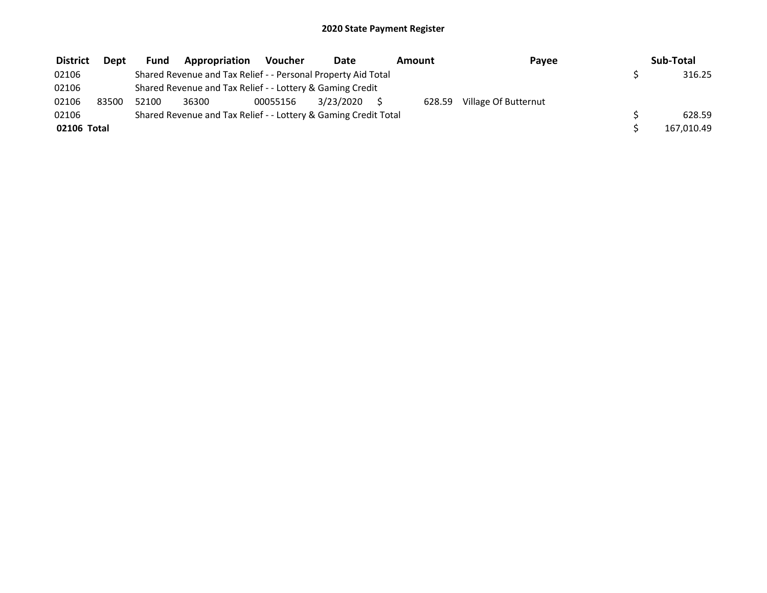| <b>District</b> | Dept  | <b>Fund</b>                                                     | Appropriation                                                 | <b>Voucher</b> | Date      | Amount | Payee                | Sub-Total  |
|-----------------|-------|-----------------------------------------------------------------|---------------------------------------------------------------|----------------|-----------|--------|----------------------|------------|
| 02106           |       |                                                                 | Shared Revenue and Tax Relief - - Personal Property Aid Total |                |           |        |                      | 316.25     |
| 02106           |       |                                                                 | Shared Revenue and Tax Relief - - Lottery & Gaming Credit     |                |           |        |                      |            |
| 02106           | 83500 | 52100                                                           | 36300                                                         | 00055156       | 3/23/2020 | 628.59 | Village Of Butternut |            |
| 02106           |       | Shared Revenue and Tax Relief - - Lottery & Gaming Credit Total |                                                               | 628.59         |           |        |                      |            |
| 02106 Total     |       |                                                                 |                                                               |                |           |        |                      | 167,010.49 |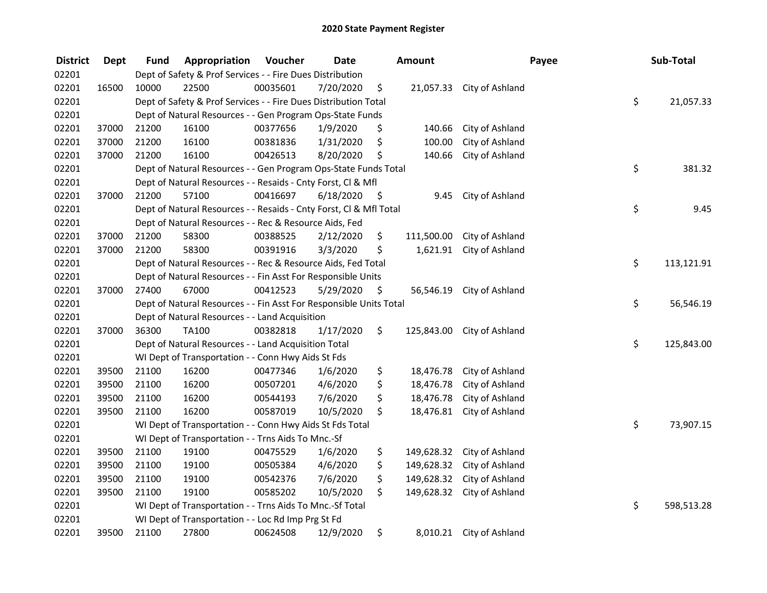| <b>District</b> | <b>Dept</b> | Fund  | Appropriation                                                      | Voucher  | <b>Date</b> |      | <b>Amount</b> |                 | Payee |    | Sub-Total  |
|-----------------|-------------|-------|--------------------------------------------------------------------|----------|-------------|------|---------------|-----------------|-------|----|------------|
| 02201           |             |       | Dept of Safety & Prof Services - - Fire Dues Distribution          |          |             |      |               |                 |       |    |            |
| 02201           | 16500       | 10000 | 22500                                                              | 00035601 | 7/20/2020   | \$   | 21,057.33     | City of Ashland |       |    |            |
| 02201           |             |       | Dept of Safety & Prof Services - - Fire Dues Distribution Total    |          |             |      |               |                 |       |    |            |
| 02201           |             |       | Dept of Natural Resources - - Gen Program Ops-State Funds          |          |             |      |               |                 |       |    |            |
| 02201           | 37000       | 21200 | 16100                                                              | 00377656 | 1/9/2020    | \$   | 140.66        | City of Ashland |       |    |            |
| 02201           | 37000       | 21200 | 16100                                                              | 00381836 | 1/31/2020   | \$   | 100.00        | City of Ashland |       |    |            |
| 02201           | 37000       | 21200 | 16100                                                              | 00426513 | 8/20/2020   | \$,  | 140.66        | City of Ashland |       |    |            |
| 02201           |             |       | Dept of Natural Resources - - Gen Program Ops-State Funds Total    |          |             |      |               |                 |       | \$ | 381.32     |
| 02201           |             |       | Dept of Natural Resources - - Resaids - Cnty Forst, Cl & Mfl       |          |             |      |               |                 |       |    |            |
| 02201           | 37000       | 21200 | 57100                                                              | 00416697 | 6/18/2020   | - \$ | 9.45          | City of Ashland |       |    |            |
| 02201           |             |       | Dept of Natural Resources - - Resaids - Cnty Forst, Cl & Mfl Total |          |             |      |               |                 |       | \$ | 9.45       |
| 02201           |             |       | Dept of Natural Resources - - Rec & Resource Aids, Fed             |          |             |      |               |                 |       |    |            |
| 02201           | 37000       | 21200 | 58300                                                              | 00388525 | 2/12/2020   | \$   | 111,500.00    | City of Ashland |       |    |            |
| 02201           | 37000       | 21200 | 58300                                                              | 00391916 | 3/3/2020    | \$   | 1,621.91      | City of Ashland |       |    |            |
| 02201           |             |       | Dept of Natural Resources - - Rec & Resource Aids, Fed Total       |          |             |      |               |                 |       | \$ | 113,121.91 |
| 02201           |             |       | Dept of Natural Resources - - Fin Asst For Responsible Units       |          |             |      |               |                 |       |    |            |
| 02201           | 37000       | 27400 | 67000                                                              | 00412523 | 5/29/2020   | \$   | 56,546.19     | City of Ashland |       |    |            |
| 02201           |             |       | Dept of Natural Resources - - Fin Asst For Responsible Units Total |          |             |      |               |                 |       | \$ | 56,546.19  |
| 02201           |             |       | Dept of Natural Resources - - Land Acquisition                     |          |             |      |               |                 |       |    |            |
| 02201           | 37000       | 36300 | TA100                                                              | 00382818 | 1/17/2020   | \$   | 125,843.00    | City of Ashland |       |    |            |
| 02201           |             |       | Dept of Natural Resources - - Land Acquisition Total               |          |             |      |               |                 |       | \$ | 125,843.00 |
| 02201           |             |       | WI Dept of Transportation - - Conn Hwy Aids St Fds                 |          |             |      |               |                 |       |    |            |
| 02201           | 39500       | 21100 | 16200                                                              | 00477346 | 1/6/2020    | \$   | 18,476.78     | City of Ashland |       |    |            |
| 02201           | 39500       | 21100 | 16200                                                              | 00507201 | 4/6/2020    | \$   | 18,476.78     | City of Ashland |       |    |            |
| 02201           | 39500       | 21100 | 16200                                                              | 00544193 | 7/6/2020    | \$   | 18,476.78     | City of Ashland |       |    |            |
| 02201           | 39500       | 21100 | 16200                                                              | 00587019 | 10/5/2020   | \$   | 18,476.81     | City of Ashland |       |    |            |
| 02201           |             |       | WI Dept of Transportation - - Conn Hwy Aids St Fds Total           |          |             |      |               |                 |       | \$ | 73,907.15  |
| 02201           |             |       | WI Dept of Transportation - - Trns Aids To Mnc.-Sf                 |          |             |      |               |                 |       |    |            |
| 02201           | 39500       | 21100 | 19100                                                              | 00475529 | 1/6/2020    | \$   | 149,628.32    | City of Ashland |       |    |            |
| 02201           | 39500       | 21100 | 19100                                                              | 00505384 | 4/6/2020    | \$   | 149,628.32    | City of Ashland |       |    |            |
| 02201           | 39500       | 21100 | 19100                                                              | 00542376 | 7/6/2020    | \$   | 149,628.32    | City of Ashland |       |    |            |
| 02201           | 39500       | 21100 | 19100                                                              | 00585202 | 10/5/2020   | \$   | 149,628.32    | City of Ashland |       |    |            |
| 02201           |             |       | WI Dept of Transportation - - Trns Aids To Mnc.-Sf Total           |          |             |      |               |                 |       | \$ | 598,513.28 |
| 02201           |             |       | WI Dept of Transportation - - Loc Rd Imp Prg St Fd                 |          |             |      |               |                 |       |    |            |
| 02201           | 39500       | 21100 | 27800                                                              | 00624508 | 12/9/2020   | \$   | 8,010.21      | City of Ashland |       |    |            |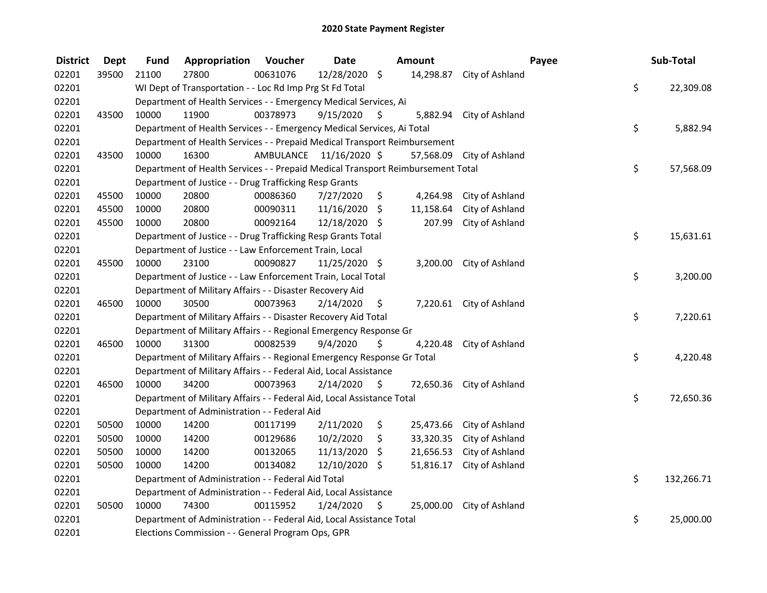| <b>District</b> | <b>Dept</b> | <b>Fund</b>                                                      | Appropriation                                                                   | Voucher  | <b>Date</b>             |                    | Amount    |                 | Payee |    | Sub-Total  |
|-----------------|-------------|------------------------------------------------------------------|---------------------------------------------------------------------------------|----------|-------------------------|--------------------|-----------|-----------------|-------|----|------------|
| 02201           | 39500       | 21100                                                            | 27800                                                                           | 00631076 | 12/28/2020 \$           |                    | 14,298.87 | City of Ashland |       |    |            |
| 02201           |             |                                                                  | WI Dept of Transportation - - Loc Rd Imp Prg St Fd Total                        |          |                         |                    |           |                 |       | \$ | 22,309.08  |
| 02201           |             | Department of Health Services - - Emergency Medical Services, Ai |                                                                                 |          |                         |                    |           |                 |       |    |            |
| 02201           | 43500       | 10000                                                            | 11900                                                                           | 00378973 | 9/15/2020               | \$                 | 5,882.94  | City of Ashland |       |    |            |
| 02201           |             |                                                                  | Department of Health Services - - Emergency Medical Services, Ai Total          |          |                         |                    |           |                 |       | \$ | 5,882.94   |
| 02201           |             |                                                                  | Department of Health Services - - Prepaid Medical Transport Reimbursement       |          |                         |                    |           |                 |       |    |            |
| 02201           | 43500       | 10000                                                            | 16300                                                                           |          | AMBULANCE 11/16/2020 \$ |                    | 57,568.09 | City of Ashland |       |    |            |
| 02201           |             |                                                                  | Department of Health Services - - Prepaid Medical Transport Reimbursement Total |          |                         |                    |           |                 |       | \$ | 57,568.09  |
| 02201           |             |                                                                  | Department of Justice - - Drug Trafficking Resp Grants                          |          |                         |                    |           |                 |       |    |            |
| 02201           | 45500       | 10000                                                            | 20800                                                                           | 00086360 | 7/27/2020               | \$                 | 4,264.98  | City of Ashland |       |    |            |
| 02201           | 45500       | 10000                                                            | 20800                                                                           | 00090311 | 11/16/2020              | \$                 | 11,158.64 | City of Ashland |       |    |            |
| 02201           | 45500       | 10000                                                            | 20800                                                                           | 00092164 | 12/18/2020 \$           |                    | 207.99    | City of Ashland |       |    |            |
| 02201           |             |                                                                  | Department of Justice - - Drug Trafficking Resp Grants Total                    |          |                         |                    |           |                 |       | \$ | 15,631.61  |
| 02201           |             |                                                                  | Department of Justice - - Law Enforcement Train, Local                          |          |                         |                    |           |                 |       |    |            |
| 02201           | 45500       | 10000                                                            | 23100                                                                           | 00090827 | 11/25/2020 \$           |                    | 3,200.00  | City of Ashland |       |    |            |
| 02201           |             |                                                                  | Department of Justice - - Law Enforcement Train, Local Total                    |          |                         |                    |           |                 |       | \$ | 3,200.00   |
| 02201           |             |                                                                  | Department of Military Affairs - - Disaster Recovery Aid                        |          |                         |                    |           |                 |       |    |            |
| 02201           | 46500       | 10000                                                            | 30500                                                                           | 00073963 | 2/14/2020               | \$                 | 7,220.61  | City of Ashland |       |    |            |
| 02201           |             |                                                                  | Department of Military Affairs - - Disaster Recovery Aid Total                  |          |                         |                    |           |                 |       | \$ | 7,220.61   |
| 02201           |             |                                                                  | Department of Military Affairs - - Regional Emergency Response Gr               |          |                         |                    |           |                 |       |    |            |
| 02201           | 46500       | 10000                                                            | 31300                                                                           | 00082539 | 9/4/2020                | \$                 | 4,220.48  | City of Ashland |       |    |            |
| 02201           |             |                                                                  | Department of Military Affairs - - Regional Emergency Response Gr Total         |          |                         |                    |           |                 |       | \$ | 4,220.48   |
| 02201           |             |                                                                  | Department of Military Affairs - - Federal Aid, Local Assistance                |          |                         |                    |           |                 |       |    |            |
| 02201           | 46500       | 10000                                                            | 34200                                                                           | 00073963 | 2/14/2020               | - \$               | 72,650.36 | City of Ashland |       |    |            |
| 02201           |             |                                                                  | Department of Military Affairs - - Federal Aid, Local Assistance Total          |          |                         |                    |           |                 |       | \$ | 72,650.36  |
| 02201           |             |                                                                  | Department of Administration - - Federal Aid                                    |          |                         |                    |           |                 |       |    |            |
| 02201           | 50500       | 10000                                                            | 14200                                                                           | 00117199 | 2/11/2020               | \$                 | 25,473.66 | City of Ashland |       |    |            |
| 02201           | 50500       | 10000                                                            | 14200                                                                           | 00129686 | 10/2/2020               | \$                 | 33,320.35 | City of Ashland |       |    |            |
| 02201           | 50500       | 10000                                                            | 14200                                                                           | 00132065 | 11/13/2020              | \$                 | 21,656.53 | City of Ashland |       |    |            |
| 02201           | 50500       | 10000                                                            | 14200                                                                           | 00134082 | 12/10/2020 \$           |                    | 51,816.17 | City of Ashland |       |    |            |
| 02201           |             |                                                                  | Department of Administration - - Federal Aid Total                              |          |                         |                    |           |                 |       | \$ | 132,266.71 |
| 02201           |             | Department of Administration - - Federal Aid, Local Assistance   |                                                                                 |          |                         |                    |           |                 |       |    |            |
| 02201           | 50500       | 10000                                                            | 74300                                                                           | 00115952 | 1/24/2020               | $\ddot{\varsigma}$ | 25,000.00 | City of Ashland |       |    |            |
| 02201           |             |                                                                  | Department of Administration - - Federal Aid, Local Assistance Total            |          |                         |                    |           |                 |       | \$ | 25,000.00  |
| 02201           |             | Elections Commission - - General Program Ops, GPR                |                                                                                 |          |                         |                    |           |                 |       |    |            |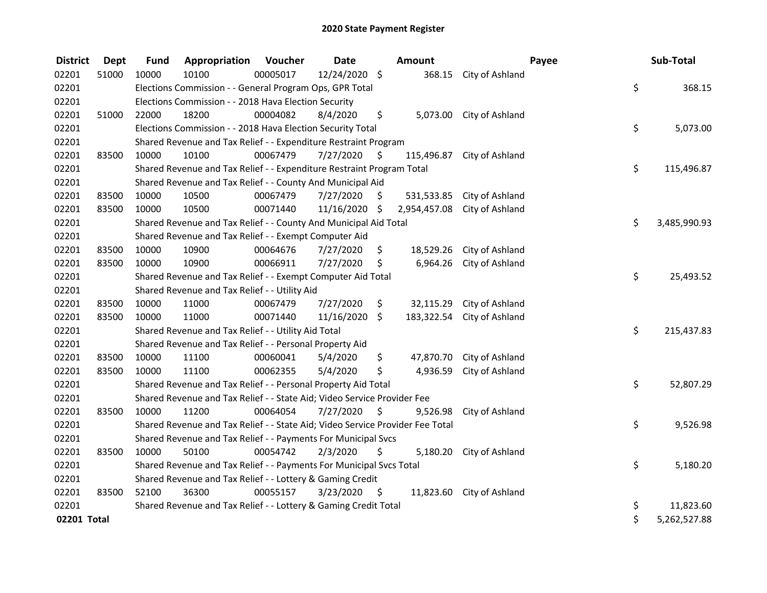| <b>District</b> | <b>Dept</b> | <b>Fund</b> | Appropriation                                                                 | <b>Voucher</b> | <b>Date</b>   |         | <b>Amount</b> |                            | Payee | Sub-Total    |
|-----------------|-------------|-------------|-------------------------------------------------------------------------------|----------------|---------------|---------|---------------|----------------------------|-------|--------------|
| 02201           | 51000       | 10000       | 10100                                                                         | 00005017       | 12/24/2020 \$ |         | 368.15        | City of Ashland            |       |              |
| 02201           |             |             | Elections Commission - - General Program Ops, GPR Total                       |                |               |         |               |                            | \$    | 368.15       |
| 02201           |             |             | Elections Commission - - 2018 Hava Election Security                          |                |               |         |               |                            |       |              |
| 02201           | 51000       | 22000       | 18200                                                                         | 00004082       | 8/4/2020      | \$      |               | 5,073.00 City of Ashland   |       |              |
| 02201           |             |             | Elections Commission - - 2018 Hava Election Security Total                    |                |               |         |               |                            | \$    | 5,073.00     |
| 02201           |             |             | Shared Revenue and Tax Relief - - Expenditure Restraint Program               |                |               |         |               |                            |       |              |
| 02201           | 83500       | 10000       | 10100                                                                         | 00067479       | 7/27/2020     | \$      | 115,496.87    | City of Ashland            |       |              |
| 02201           |             |             | Shared Revenue and Tax Relief - - Expenditure Restraint Program Total         |                |               |         |               |                            | \$    | 115,496.87   |
| 02201           |             |             | Shared Revenue and Tax Relief - - County And Municipal Aid                    |                |               |         |               |                            |       |              |
| 02201           | 83500       | 10000       | 10500                                                                         | 00067479       | 7/27/2020     | S.      | 531,533.85    | City of Ashland            |       |              |
| 02201           | 83500       | 10000       | 10500                                                                         | 00071440       | 11/16/2020    | \$      | 2,954,457.08  | City of Ashland            |       |              |
| 02201           |             |             | Shared Revenue and Tax Relief - - County And Municipal Aid Total              |                |               |         |               |                            | \$    | 3,485,990.93 |
| 02201           |             |             | Shared Revenue and Tax Relief - - Exempt Computer Aid                         |                |               |         |               |                            |       |              |
| 02201           | 83500       | 10000       | 10900                                                                         | 00064676       | 7/27/2020     | \$      | 18,529.26     | City of Ashland            |       |              |
| 02201           | 83500       | 10000       | 10900                                                                         | 00066911       | 7/27/2020     | \$      | 6,964.26      | City of Ashland            |       |              |
| 02201           |             |             | Shared Revenue and Tax Relief - - Exempt Computer Aid Total                   |                |               |         |               |                            | \$    | 25,493.52    |
| 02201           |             |             | Shared Revenue and Tax Relief - - Utility Aid                                 |                |               |         |               |                            |       |              |
| 02201           | 83500       | 10000       | 11000                                                                         | 00067479       | 7/27/2020     | \$      |               | 32,115.29 City of Ashland  |       |              |
| 02201           | 83500       | 10000       | 11000                                                                         | 00071440       | 11/16/2020    | $\zeta$ |               | 183,322.54 City of Ashland |       |              |
| 02201           |             |             | Shared Revenue and Tax Relief - - Utility Aid Total                           |                |               |         |               |                            | \$    | 215,437.83   |
| 02201           |             |             | Shared Revenue and Tax Relief - - Personal Property Aid                       |                |               |         |               |                            |       |              |
| 02201           | 83500       | 10000       | 11100                                                                         | 00060041       | 5/4/2020      | \$      | 47,870.70     | City of Ashland            |       |              |
| 02201           | 83500       | 10000       | 11100                                                                         | 00062355       | 5/4/2020      | \$      | 4,936.59      | City of Ashland            |       |              |
| 02201           |             |             | Shared Revenue and Tax Relief - - Personal Property Aid Total                 |                |               |         |               |                            | \$    | 52,807.29    |
| 02201           |             |             | Shared Revenue and Tax Relief - - State Aid; Video Service Provider Fee       |                |               |         |               |                            |       |              |
| 02201           | 83500       | 10000       | 11200                                                                         | 00064054       | 7/27/2020     | \$      | 9,526.98      | City of Ashland            |       |              |
| 02201           |             |             | Shared Revenue and Tax Relief - - State Aid; Video Service Provider Fee Total |                |               |         |               |                            | \$    | 9,526.98     |
| 02201           |             |             | Shared Revenue and Tax Relief - - Payments For Municipal Svcs                 |                |               |         |               |                            |       |              |
| 02201           | 83500       | 10000       | 50100                                                                         | 00054742       | 2/3/2020      | \$      | 5,180.20      | City of Ashland            |       |              |
| 02201           |             |             | Shared Revenue and Tax Relief - - Payments For Municipal Svcs Total           |                |               |         |               |                            | \$    | 5,180.20     |
| 02201           |             |             | Shared Revenue and Tax Relief - - Lottery & Gaming Credit                     |                |               |         |               |                            |       |              |
| 02201           | 83500       | 52100       | 36300                                                                         | 00055157       | 3/23/2020     | - \$    |               | 11,823.60 City of Ashland  |       |              |
| 02201           |             |             | Shared Revenue and Tax Relief - - Lottery & Gaming Credit Total               |                |               |         |               |                            | \$    | 11,823.60    |
| 02201 Total     |             |             |                                                                               |                |               |         |               |                            | \$    | 5,262,527.88 |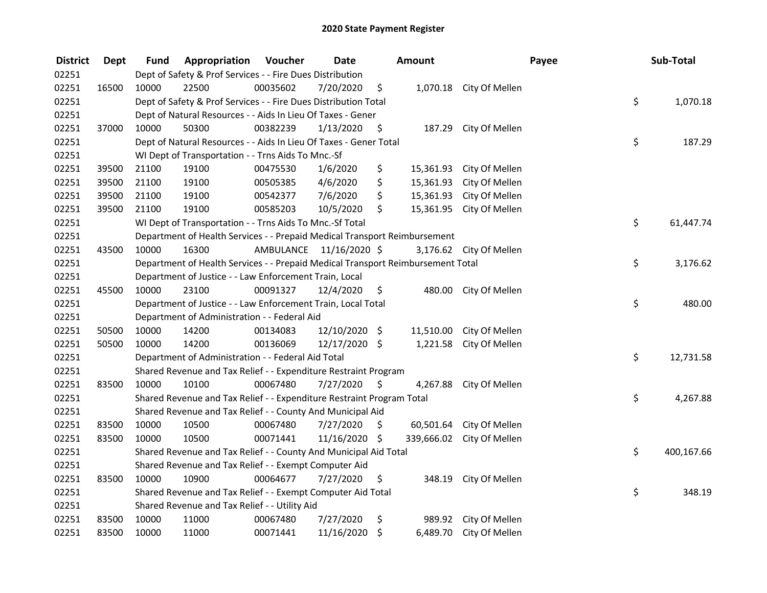| <b>District</b> | <b>Dept</b> | Fund                                                                  | Appropriation                                                                   | Voucher  | <b>Date</b>             |                     | Amount     |                          | Payee |    | Sub-Total  |
|-----------------|-------------|-----------------------------------------------------------------------|---------------------------------------------------------------------------------|----------|-------------------------|---------------------|------------|--------------------------|-------|----|------------|
| 02251           |             |                                                                       | Dept of Safety & Prof Services - - Fire Dues Distribution                       |          |                         |                     |            |                          |       |    |            |
| 02251           | 16500       | 10000                                                                 | 22500                                                                           | 00035602 | 7/20/2020               | \$                  |            | 1,070.18 City Of Mellen  |       |    |            |
| 02251           |             | \$<br>Dept of Safety & Prof Services - - Fire Dues Distribution Total |                                                                                 |          |                         |                     |            |                          |       |    | 1,070.18   |
| 02251           |             |                                                                       | Dept of Natural Resources - - Aids In Lieu Of Taxes - Gener                     |          |                         |                     |            |                          |       |    |            |
| 02251           | 37000       | 10000                                                                 | 50300                                                                           | 00382239 | 1/13/2020               | \$                  | 187.29     | City Of Mellen           |       |    |            |
| 02251           |             |                                                                       | Dept of Natural Resources - - Aids In Lieu Of Taxes - Gener Total               |          |                         |                     |            |                          |       | \$ | 187.29     |
| 02251           |             |                                                                       | WI Dept of Transportation - - Trns Aids To Mnc.-Sf                              |          |                         |                     |            |                          |       |    |            |
| 02251           | 39500       | 21100                                                                 | 19100                                                                           | 00475530 | 1/6/2020                | \$                  |            | 15,361.93 City Of Mellen |       |    |            |
| 02251           | 39500       | 21100                                                                 | 19100                                                                           | 00505385 | 4/6/2020                | \$                  | 15,361.93  | City Of Mellen           |       |    |            |
| 02251           | 39500       | 21100                                                                 | 19100                                                                           | 00542377 | 7/6/2020                | \$                  | 15,361.93  | City Of Mellen           |       |    |            |
| 02251           | 39500       | 21100                                                                 | 19100                                                                           | 00585203 | 10/5/2020               | \$                  | 15,361.95  | City Of Mellen           |       |    |            |
| 02251           |             |                                                                       | WI Dept of Transportation - - Trns Aids To Mnc.-Sf Total                        |          |                         |                     |            |                          |       | \$ | 61,447.74  |
| 02251           |             |                                                                       | Department of Health Services - - Prepaid Medical Transport Reimbursement       |          |                         |                     |            |                          |       |    |            |
| 02251           | 43500       | 10000                                                                 | 16300                                                                           |          | AMBULANCE 11/16/2020 \$ |                     |            | 3,176.62 City Of Mellen  |       |    |            |
| 02251           |             |                                                                       | Department of Health Services - - Prepaid Medical Transport Reimbursement Total |          |                         |                     |            |                          |       | \$ | 3,176.62   |
| 02251           |             |                                                                       | Department of Justice - - Law Enforcement Train, Local                          |          |                         |                     |            |                          |       |    |            |
| 02251           | 45500       | 10000                                                                 | 23100                                                                           | 00091327 | 12/4/2020               | \$                  | 480.00     | City Of Mellen           |       |    |            |
| 02251           |             |                                                                       | Department of Justice - - Law Enforcement Train, Local Total                    |          |                         |                     |            |                          |       | \$ | 480.00     |
| 02251           |             |                                                                       | Department of Administration - - Federal Aid                                    |          |                         |                     |            |                          |       |    |            |
| 02251           | 50500       | 10000                                                                 | 14200                                                                           | 00134083 | 12/10/2020 \$           |                     | 11,510.00  | City Of Mellen           |       |    |            |
| 02251           | 50500       | 10000                                                                 | 14200                                                                           | 00136069 | 12/17/2020 \$           |                     | 1,221.58   | City Of Mellen           |       |    |            |
| 02251           |             |                                                                       | Department of Administration - - Federal Aid Total                              |          |                         |                     |            |                          |       | \$ | 12,731.58  |
| 02251           |             |                                                                       | Shared Revenue and Tax Relief - - Expenditure Restraint Program                 |          |                         |                     |            |                          |       |    |            |
| 02251           | 83500       | 10000                                                                 | 10100                                                                           | 00067480 | 7/27/2020               | $\ddot{\mathsf{S}}$ | 4,267.88   | City Of Mellen           |       |    |            |
| 02251           |             |                                                                       | Shared Revenue and Tax Relief - - Expenditure Restraint Program Total           |          |                         |                     |            |                          |       | \$ | 4,267.88   |
| 02251           |             |                                                                       | Shared Revenue and Tax Relief - - County And Municipal Aid                      |          |                         |                     |            |                          |       |    |            |
| 02251           | 83500       | 10000                                                                 | 10500                                                                           | 00067480 | 7/27/2020               | \$                  | 60,501.64  | City Of Mellen           |       |    |            |
| 02251           | 83500       | 10000                                                                 | 10500                                                                           | 00071441 | 11/16/2020 \$           |                     | 339,666.02 | City Of Mellen           |       |    |            |
| 02251           |             |                                                                       | Shared Revenue and Tax Relief - - County And Municipal Aid Total                |          |                         |                     |            |                          |       | \$ | 400,167.66 |
| 02251           |             |                                                                       | Shared Revenue and Tax Relief - - Exempt Computer Aid                           |          |                         |                     |            |                          |       |    |            |
| 02251           | 83500       | 10000                                                                 | 10900                                                                           | 00064677 | 7/27/2020               | \$                  | 348.19     | City Of Mellen           |       |    |            |
| 02251           |             |                                                                       | Shared Revenue and Tax Relief - - Exempt Computer Aid Total                     |          |                         |                     |            |                          |       | \$ | 348.19     |
| 02251           |             |                                                                       | Shared Revenue and Tax Relief - - Utility Aid                                   |          |                         |                     |            |                          |       |    |            |
| 02251           | 83500       | 10000                                                                 | 11000                                                                           | 00067480 | 7/27/2020               | \$                  |            | 989.92 City Of Mellen    |       |    |            |
| 02251           | 83500       | 10000                                                                 | 11000                                                                           | 00071441 | 11/16/2020              | -\$                 | 6,489.70   | City Of Mellen           |       |    |            |